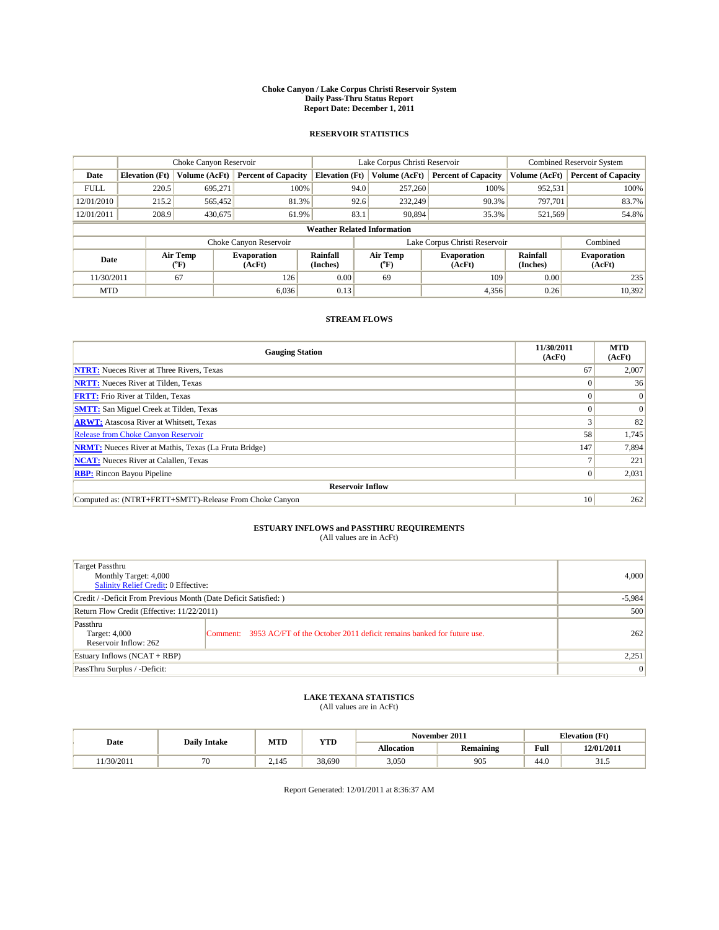#### **Choke Canyon / Lake Corpus Christi Reservoir System Daily Pass-Thru Status Report Report Date: December 1, 2011**

### **RESERVOIR STATISTICS**

|             | Choke Canyon Reservoir             |                            |                              |                       | Lake Corpus Christi Reservoir |                                         |                               |                      | Combined Reservoir System    |  |
|-------------|------------------------------------|----------------------------|------------------------------|-----------------------|-------------------------------|-----------------------------------------|-------------------------------|----------------------|------------------------------|--|
| Date        | <b>Elevation</b> (Ft)              | Volume (AcFt)              | <b>Percent of Capacity</b>   | <b>Elevation (Ft)</b> |                               | Volume (AcFt)                           | <b>Percent of Capacity</b>    | Volume (AcFt)        | <b>Percent of Capacity</b>   |  |
| <b>FULL</b> | 220.5                              | 695,271                    | 100%                         |                       | 94.0                          | 257,260                                 | 100%                          | 952,531              | 100%                         |  |
| 12/01/2010  | 215.2                              | 565.452                    | 81.3%                        |                       | 92.6                          | 232,249                                 | 90.3%                         | 797,701              | 83.7%                        |  |
| 12/01/2011  | 208.9                              | 430,675                    | 61.9%                        |                       | 83.1                          | 90.894                                  | 35.3%                         | 521,569              | 54.8%                        |  |
|             | <b>Weather Related Information</b> |                            |                              |                       |                               |                                         |                               |                      |                              |  |
|             |                                    |                            | Choke Canyon Reservoir       |                       |                               |                                         | Lake Corpus Christi Reservoir |                      | Combined                     |  |
| Date        |                                    | Air Temp<br>${}^{\circ}F)$ | <b>Evaporation</b><br>(AcFt) | Rainfall<br>(Inches)  |                               | Air Temp<br>$(^{\mathrm{o}}\mathrm{F})$ | <b>Evaporation</b><br>(AcFt)  | Rainfall<br>(Inches) | <b>Evaporation</b><br>(AcFt) |  |
| 11/30/2011  |                                    | 67                         | 126                          | 0.00                  |                               | 69                                      | 109                           | 0.00                 | 235                          |  |
| <b>MTD</b>  |                                    |                            | 6,036                        | 0.13                  |                               |                                         | 4,356                         | 0.26                 | 10,392                       |  |

## **STREAM FLOWS**

| <b>Gauging Station</b>                                       | 11/30/2011<br>(AcFt) | <b>MTD</b><br>(AcFt) |  |  |  |  |  |
|--------------------------------------------------------------|----------------------|----------------------|--|--|--|--|--|
| <b>NTRT:</b> Nueces River at Three Rivers, Texas             | 67                   | 2,007                |  |  |  |  |  |
| <b>NRTT:</b> Nueces River at Tilden, Texas                   | $\Omega$             | 36                   |  |  |  |  |  |
| <b>FRTT:</b> Frio River at Tilden, Texas                     | 0                    | $\Omega$             |  |  |  |  |  |
| <b>SMTT:</b> San Miguel Creek at Tilden, Texas               |                      | $\Omega$             |  |  |  |  |  |
| <b>ARWT:</b> Atascosa River at Whitsett, Texas               |                      | 82                   |  |  |  |  |  |
| <b>Release from Choke Canyon Reservoir</b>                   | 58                   | 1,745                |  |  |  |  |  |
| <b>NRMT:</b> Nueces River at Mathis, Texas (La Fruta Bridge) | 147                  | 7,894                |  |  |  |  |  |
| <b>NCAT:</b> Nueces River at Calallen, Texas                 |                      | 221                  |  |  |  |  |  |
| <b>RBP:</b> Rincon Bayou Pipeline                            | $\overline{0}$       | 2,031                |  |  |  |  |  |
| <b>Reservoir Inflow</b>                                      |                      |                      |  |  |  |  |  |
| Computed as: (NTRT+FRTT+SMTT)-Release From Choke Canyon      | 10                   | 262                  |  |  |  |  |  |

# **ESTUARY INFLOWS and PASSTHRU REQUIREMENTS**<br>(All values are in AcFt)

| Target Passthru<br>Monthly Target: 4,000<br>Salinity Relief Credit: 0 Effective: |                                                                                | 4,000 |
|----------------------------------------------------------------------------------|--------------------------------------------------------------------------------|-------|
| Credit / -Deficit From Previous Month (Date Deficit Satisfied: )                 | $-5,984$                                                                       |       |
| Return Flow Credit (Effective: 11/22/2011)                                       | 500                                                                            |       |
| Passthru<br>Target: 4,000<br>Reservoir Inflow: 262                               | Comment: 3953 AC/FT of the October 2011 deficit remains banked for future use. | 262   |
| Estuary Inflows (NCAT + RBP)                                                     | 2,251                                                                          |       |
| PassThru Surplus / -Deficit:                                                     | $\overline{0}$                                                                 |       |

## **LAKE TEXANA STATISTICS** (All values are in AcFt)

|           | <b>Daily Intake</b> | MTD<br><b>YTD</b> |        |            | November 2011 | <b>Elevation</b> (Ft) |            |
|-----------|---------------------|-------------------|--------|------------|---------------|-----------------------|------------|
| Date      |                     |                   |        | Allocation | Remaining     | Full                  | 12/01/2011 |
| 1/30/2011 | 70                  | 2.145             | 38,690 | 3,050      | 905           | 44.0                  | ر. . د     |

Report Generated: 12/01/2011 at 8:36:37 AM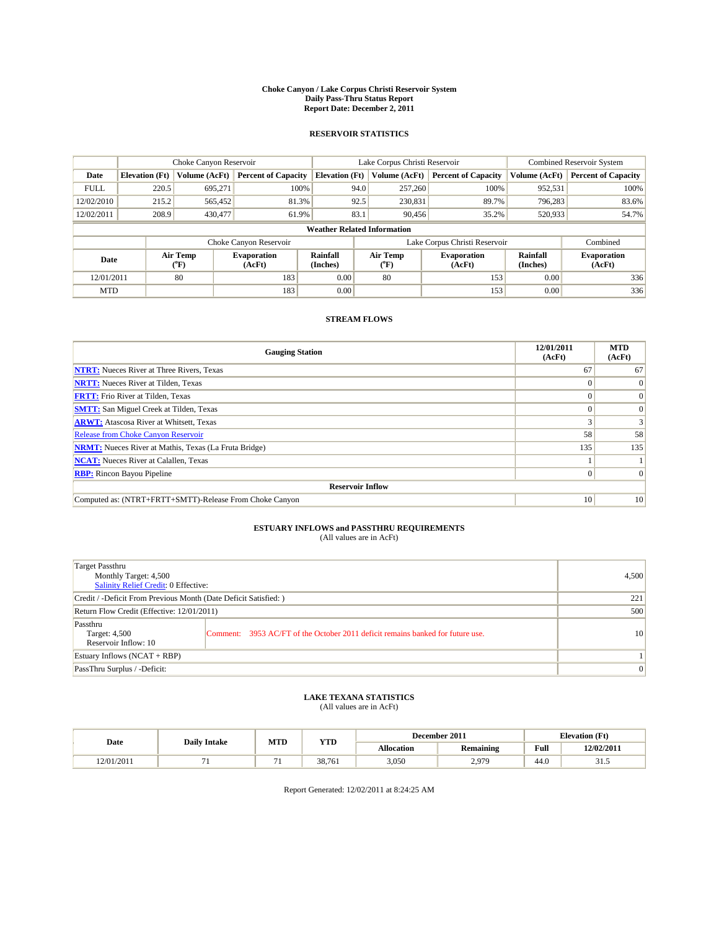#### **Choke Canyon / Lake Corpus Christi Reservoir System Daily Pass-Thru Status Report Report Date: December 2, 2011**

### **RESERVOIR STATISTICS**

|             | Choke Canyon Reservoir             |                  |                            |                       | Lake Corpus Christi Reservoir | Combined Reservoir System     |                      |                              |  |  |
|-------------|------------------------------------|------------------|----------------------------|-----------------------|-------------------------------|-------------------------------|----------------------|------------------------------|--|--|
| Date        | <b>Elevation</b> (Ft)              | Volume (AcFt)    | <b>Percent of Capacity</b> | <b>Elevation (Ft)</b> | Volume (AcFt)                 | <b>Percent of Capacity</b>    | Volume (AcFt)        | <b>Percent of Capacity</b>   |  |  |
| <b>FULL</b> | 220.5                              | 695,271          | 100%                       | 94.0                  | 257,260                       | 100%                          | 952,531              | 100%                         |  |  |
| 12/02/2010  | 215.2                              | 565,452          | 81.3%                      | 92.5                  | 230,831                       | 89.7%                         | 796,283              | 83.6%                        |  |  |
| 12/02/2011  | 208.9                              | 430,477          | 61.9%                      | 83.1                  | 90,456                        | 35.2%                         | 520,933              | 54.7%                        |  |  |
|             | <b>Weather Related Information</b> |                  |                            |                       |                               |                               |                      |                              |  |  |
|             |                                    |                  | Choke Canyon Reservoir     |                       |                               | Lake Corpus Christi Reservoir |                      | Combined                     |  |  |
| Date        |                                    | Air Temp<br>(°F) | Evaporation<br>(AcFt)      | Rainfall<br>(Inches)  | Air Temp<br>("F)              | <b>Evaporation</b><br>(AcFt)  | Rainfall<br>(Inches) | <b>Evaporation</b><br>(AcFt) |  |  |
| 12/01/2011  |                                    | 80               | 183                        | 0.00                  | 80                            | 153                           | 0.00                 | 336                          |  |  |
| <b>MTD</b>  |                                    |                  | 183                        | 0.00                  |                               | 153                           | 0.00                 | 336                          |  |  |

## **STREAM FLOWS**

| <b>Gauging Station</b>                                       | 12/01/2011<br>(AcFt) | <b>MTD</b><br>(AcFt) |
|--------------------------------------------------------------|----------------------|----------------------|
| <b>NTRT:</b> Nueces River at Three Rivers, Texas             | 67                   | 67                   |
| <b>NRTT:</b> Nueces River at Tilden, Texas                   |                      |                      |
| <b>FRTT:</b> Frio River at Tilden, Texas                     |                      | $\Omega$             |
| <b>SMTT:</b> San Miguel Creek at Tilden, Texas               |                      | $\Omega$             |
| <b>ARWT:</b> Atascosa River at Whitsett, Texas               |                      | 3                    |
| <b>Release from Choke Canyon Reservoir</b>                   | 58                   | 58                   |
| <b>NRMT:</b> Nueces River at Mathis, Texas (La Fruta Bridge) | 135                  | 135                  |
| <b>NCAT:</b> Nueces River at Calallen, Texas                 |                      |                      |
| <b>RBP:</b> Rincon Bayou Pipeline                            | $\Omega$             | $\Omega$             |
| <b>Reservoir Inflow</b>                                      |                      |                      |
| Computed as: (NTRT+FRTT+SMTT)-Release From Choke Canyon      | 10                   | 10                   |

# **ESTUARY INFLOWS and PASSTHRU REQUIREMENTS**<br>(All values are in AcFt)

| Target Passthru<br>Monthly Target: 4,500<br>Salinity Relief Credit: 0 Effective: |                                                                                | 4.500 |
|----------------------------------------------------------------------------------|--------------------------------------------------------------------------------|-------|
| Credit / -Deficit From Previous Month (Date Deficit Satisfied: )                 | 221                                                                            |       |
| Return Flow Credit (Effective: 12/01/2011)                                       | 500                                                                            |       |
| Passthru<br>Target: 4,500<br>Reservoir Inflow: 10                                | Comment: 3953 AC/FT of the October 2011 deficit remains banked for future use. | 10    |
| Estuary Inflows (NCAT + RBP)                                                     |                                                                                |       |
| PassThru Surplus / -Deficit:                                                     | $\Omega$                                                                       |       |

## **LAKE TEXANA STATISTICS** (All values are in AcFt)

|           | <b>Daily Intake</b> | MTD                      | <b>YTD</b> |                   | December 2011    |                    | <b>Elevation</b> (Ft) |
|-----------|---------------------|--------------------------|------------|-------------------|------------------|--------------------|-----------------------|
| Date      |                     |                          |            | <b>Allocation</b> | <b>Remaining</b> | Full               | 12/02/2011            |
| 2/01/2011 |                     | $\overline{\phantom{0}}$ | 38,761     | 3,050             | 070<br>2.713     | $\sqrt{2}$<br>44.0 | ن. د د                |

Report Generated: 12/02/2011 at 8:24:25 AM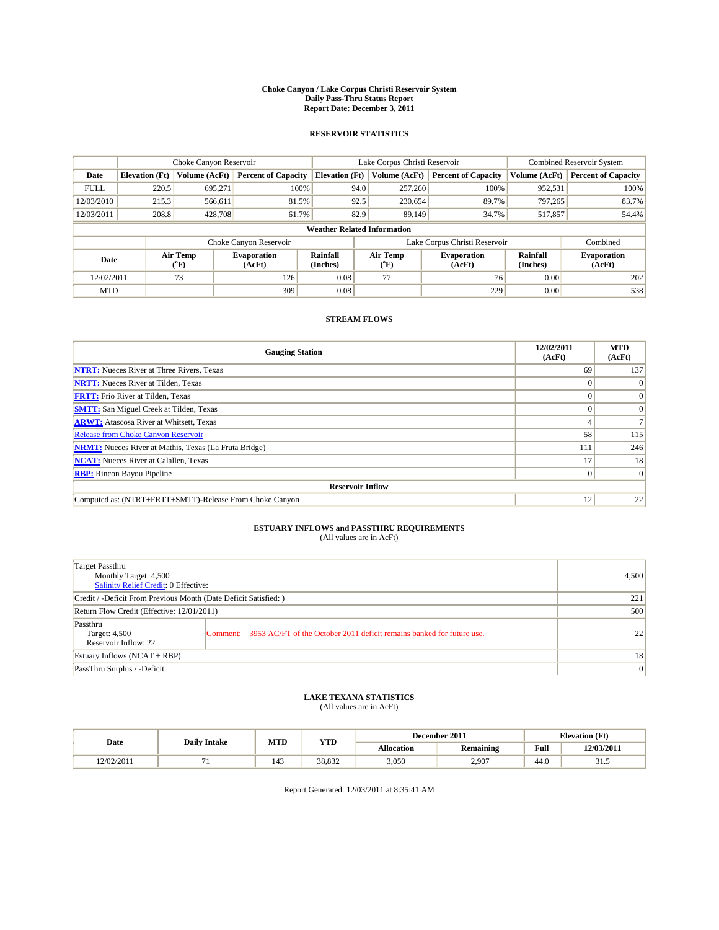#### **Choke Canyon / Lake Corpus Christi Reservoir System Daily Pass-Thru Status Report Report Date: December 3, 2011**

### **RESERVOIR STATISTICS**

|             | Choke Canyon Reservoir             |                  |                            |                       | Lake Corpus Christi Reservoir | Combined Reservoir System     |                      |                              |  |  |
|-------------|------------------------------------|------------------|----------------------------|-----------------------|-------------------------------|-------------------------------|----------------------|------------------------------|--|--|
| Date        | <b>Elevation</b> (Ft)              | Volume (AcFt)    | <b>Percent of Capacity</b> | <b>Elevation</b> (Ft) | Volume (AcFt)                 | <b>Percent of Capacity</b>    | Volume (AcFt)        | <b>Percent of Capacity</b>   |  |  |
| <b>FULL</b> | 220.5                              | 695,271          | 100%                       | 94.0                  | 257,260                       | 100%                          | 952,531              | 100%                         |  |  |
| 12/03/2010  | 215.3                              | 566,611          | 81.5%                      | 92.5                  | 230,654                       | 89.7%                         | 797,265              | 83.7%                        |  |  |
| 12/03/2011  | 208.8                              | 428,708          | 61.7%                      | 82.9                  | 89.149                        | 34.7%                         | 517,857              | 54.4%                        |  |  |
|             | <b>Weather Related Information</b> |                  |                            |                       |                               |                               |                      |                              |  |  |
|             |                                    |                  | Choke Canyon Reservoir     |                       |                               | Lake Corpus Christi Reservoir |                      | Combined                     |  |  |
| Date        |                                    | Air Temp<br>(°F) | Evaporation<br>(AcFt)      | Rainfall<br>(Inches)  | Air Temp<br>("F)              | <b>Evaporation</b><br>(AcFt)  | Rainfall<br>(Inches) | <b>Evaporation</b><br>(AcFt) |  |  |
| 12/02/2011  |                                    | 73               | 126                        | 0.08                  | 77                            | 76                            | 0.00                 | 202                          |  |  |
| <b>MTD</b>  |                                    |                  | 309                        | 0.08                  |                               | 229                           | 0.00                 | 538                          |  |  |

## **STREAM FLOWS**

| <b>Gauging Station</b>                                       | 12/02/2011<br>(AcFt) | <b>MTD</b><br>(AcFt) |
|--------------------------------------------------------------|----------------------|----------------------|
| <b>NTRT:</b> Nueces River at Three Rivers, Texas             | 69                   | 137                  |
| <b>NRTT:</b> Nueces River at Tilden, Texas                   |                      |                      |
| <b>FRTT:</b> Frio River at Tilden, Texas                     |                      | $\Omega$             |
| <b>SMTT:</b> San Miguel Creek at Tilden, Texas               |                      | $\Omega$             |
| <b>ARWT:</b> Atascosa River at Whitsett, Texas               |                      |                      |
| Release from Choke Canyon Reservoir                          | 58                   | 115                  |
| <b>NRMT:</b> Nueces River at Mathis, Texas (La Fruta Bridge) | 111                  | 246                  |
| <b>NCAT:</b> Nueces River at Calallen, Texas                 | 17                   | 18                   |
| <b>RBP:</b> Rincon Bayou Pipeline                            | $\Omega$             | $\Omega$             |
| <b>Reservoir Inflow</b>                                      |                      |                      |
| Computed as: (NTRT+FRTT+SMTT)-Release From Choke Canyon      | 12                   | 22                   |

# **ESTUARY INFLOWS and PASSTHRU REQUIREMENTS**<br>(All values are in AcFt)

| Target Passthru<br>Monthly Target: 4,500<br>Salinity Relief Credit: 0 Effective: |                                                                                | 4,500 |
|----------------------------------------------------------------------------------|--------------------------------------------------------------------------------|-------|
| Credit / -Deficit From Previous Month (Date Deficit Satisfied: )                 | 221                                                                            |       |
| Return Flow Credit (Effective: 12/01/2011)                                       | 500                                                                            |       |
| Passthru<br>Target: 4,500<br>Reservoir Inflow: 22                                | Comment: 3953 AC/FT of the October 2011 deficit remains banked for future use. | 22    |
| Estuary Inflows (NCAT + RBP)                                                     |                                                                                | 18    |
| PassThru Surplus / -Deficit:                                                     | $\vert 0 \vert$                                                                |       |

## **LAKE TEXANA STATISTICS** (All values are in AcFt)

| Date       | <b>Daily Intake</b> | MTD | <b>YTD</b>      |                   | December 2011    |      | <b>Elevation</b> (Ft) |
|------------|---------------------|-----|-----------------|-------------------|------------------|------|-----------------------|
|            |                     |     |                 | <b>Allocation</b> | <b>Remaining</b> | Full | 12/03/2011            |
| 12/02/2011 |                     | 143 | 20022<br>38.832 | 3,050             | 2,907            | 44.0 | ن. د د                |

Report Generated: 12/03/2011 at 8:35:41 AM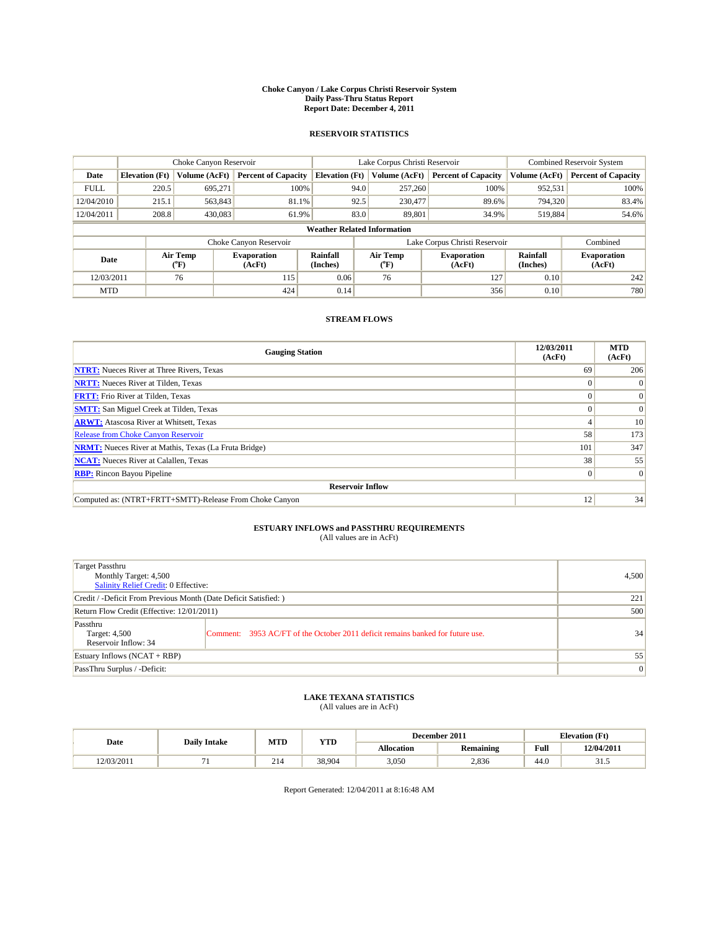#### **Choke Canyon / Lake Corpus Christi Reservoir System Daily Pass-Thru Status Report Report Date: December 4, 2011**

### **RESERVOIR STATISTICS**

|             | Choke Canyon Reservoir             |                  |                              |                             | Lake Corpus Christi Reservoir |                               |                      | <b>Combined Reservoir System</b> |  |  |
|-------------|------------------------------------|------------------|------------------------------|-----------------------------|-------------------------------|-------------------------------|----------------------|----------------------------------|--|--|
| Date        | <b>Elevation</b> (Ft)              | Volume (AcFt)    | <b>Percent of Capacity</b>   | <b>Elevation</b> (Ft)       | Volume (AcFt)                 | <b>Percent of Capacity</b>    | Volume (AcFt)        | <b>Percent of Capacity</b>       |  |  |
| <b>FULL</b> | 220.5                              | 695,271          | 100%                         | 94.0                        | 257,260                       | 100%                          | 952,531              | 100%                             |  |  |
| 12/04/2010  | 215.1                              | 563,843          | 81.1%                        | 92.5                        | 230,477                       | 89.6%                         | 794,320              | 83.4%                            |  |  |
| 12/04/2011  | 208.8                              | 430,083          | 61.9%                        | 83.0                        | 89,801                        | 34.9%                         | 519,884              | 54.6%                            |  |  |
|             | <b>Weather Related Information</b> |                  |                              |                             |                               |                               |                      |                                  |  |  |
|             |                                    |                  | Choke Canyon Reservoir       |                             |                               | Lake Corpus Christi Reservoir |                      | Combined                         |  |  |
| Date        |                                    | Air Temp<br>(°F) | <b>Evaporation</b><br>(AcFt) | <b>Rainfall</b><br>(Inches) | Air Temp<br>(°F)              | <b>Evaporation</b><br>(AcFt)  | Rainfall<br>(Inches) | <b>Evaporation</b><br>(AcFt)     |  |  |
| 12/03/2011  |                                    | 76               | 115                          | 0.06                        | 76                            | 127                           | 0.10                 | 242                              |  |  |
| <b>MTD</b>  |                                    |                  | 424                          | 0.14                        |                               | 356                           | 0.10                 | 780                              |  |  |

## **STREAM FLOWS**

| <b>Gauging Station</b>                                       | 12/03/2011<br>(AcFt) | <b>MTD</b><br>(AcFt) |  |  |  |  |  |
|--------------------------------------------------------------|----------------------|----------------------|--|--|--|--|--|
| <b>NTRT:</b> Nueces River at Three Rivers, Texas             | 69                   | 206                  |  |  |  |  |  |
| <b>NRTT:</b> Nueces River at Tilden, Texas                   | $\Omega$             |                      |  |  |  |  |  |
| <b>FRTT:</b> Frio River at Tilden, Texas                     |                      | $\Omega$             |  |  |  |  |  |
| <b>SMTT:</b> San Miguel Creek at Tilden, Texas               |                      | $\Omega$             |  |  |  |  |  |
| <b>ARWT:</b> Atascosa River at Whitsett, Texas               |                      | 10 <sub>1</sub>      |  |  |  |  |  |
| <b>Release from Choke Canyon Reservoir</b>                   | 58                   | 173                  |  |  |  |  |  |
| <b>NRMT:</b> Nueces River at Mathis, Texas (La Fruta Bridge) | 101                  | 347                  |  |  |  |  |  |
| <b>NCAT:</b> Nueces River at Calallen, Texas                 | 38                   | 55                   |  |  |  |  |  |
| <b>RBP:</b> Rincon Bayou Pipeline                            | $\overline{0}$       | $\Omega$             |  |  |  |  |  |
| <b>Reservoir Inflow</b>                                      |                      |                      |  |  |  |  |  |
| Computed as: (NTRT+FRTT+SMTT)-Release From Choke Canyon      | 12                   | 34                   |  |  |  |  |  |

# **ESTUARY INFLOWS and PASSTHRU REQUIREMENTS**<br>(All values are in AcFt)

| Target Passthru<br>Monthly Target: 4,500<br>Salinity Relief Credit: 0 Effective: |                                                                                | 4,500           |
|----------------------------------------------------------------------------------|--------------------------------------------------------------------------------|-----------------|
| Credit / -Deficit From Previous Month (Date Deficit Satisfied: )                 | 221                                                                            |                 |
| Return Flow Credit (Effective: 12/01/2011)                                       | 500                                                                            |                 |
| Passthru<br>Target: 4,500<br>Reservoir Inflow: 34                                | Comment: 3953 AC/FT of the October 2011 deficit remains banked for future use. | 34              |
| Estuary Inflows (NCAT + RBP)                                                     |                                                                                | 55              |
| PassThru Surplus / -Deficit:                                                     |                                                                                | $\vert 0 \vert$ |

## **LAKE TEXANA STATISTICS** (All values are in AcFt)

|            | <b>Daily Intake</b> | MTD | <b>YTD</b> |            | December 2011    |                                             | <b>Elevation</b> (Ft) |
|------------|---------------------|-----|------------|------------|------------------|---------------------------------------------|-----------------------|
| Date       |                     |     |            | Allocation | <b>Remaining</b> | Full<br>the contract of the contract of the | 12/04/2011            |
| 12/03/2011 |                     | 214 | 38,904     | 3.050      | 2,836            | 44.0                                        | ر. . د                |

Report Generated: 12/04/2011 at 8:16:48 AM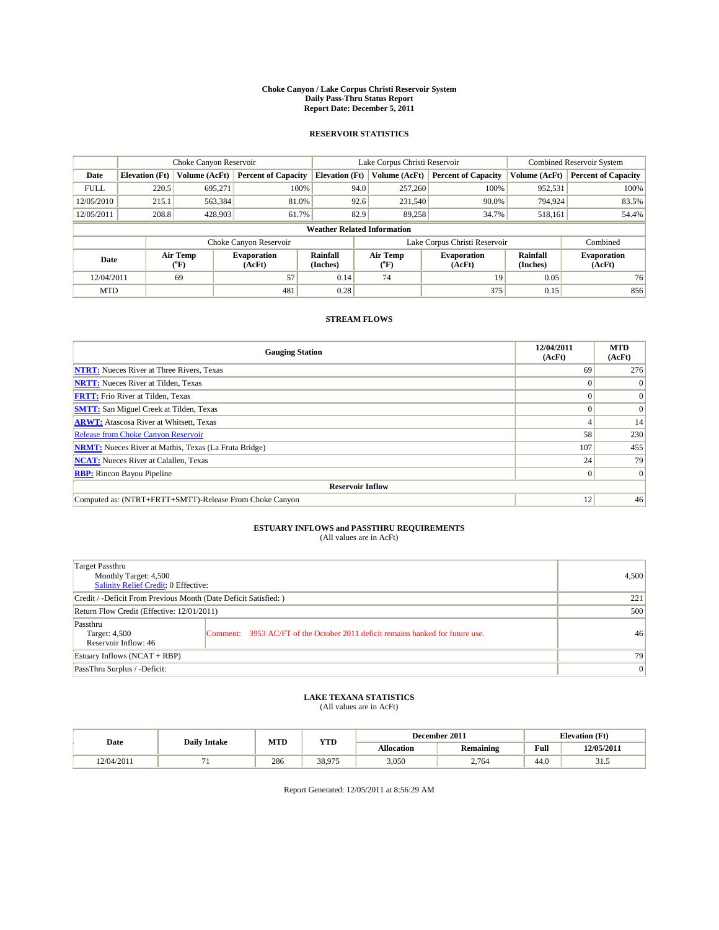#### **Choke Canyon / Lake Corpus Christi Reservoir System Daily Pass-Thru Status Report Report Date: December 5, 2011**

### **RESERVOIR STATISTICS**

|             | Choke Canyon Reservoir             |                  |                            |                       | Lake Corpus Christi Reservoir |                               |                      | <b>Combined Reservoir System</b> |  |  |
|-------------|------------------------------------|------------------|----------------------------|-----------------------|-------------------------------|-------------------------------|----------------------|----------------------------------|--|--|
| Date        | <b>Elevation</b> (Ft)              | Volume (AcFt)    | <b>Percent of Capacity</b> | <b>Elevation</b> (Ft) | Volume (AcFt)                 | <b>Percent of Capacity</b>    | Volume (AcFt)        | <b>Percent of Capacity</b>       |  |  |
| <b>FULL</b> | 220.5                              | 695,271          | 100%                       | 94.0                  | 257,260                       | 100%                          | 952,531              | 100%                             |  |  |
| 12/05/2010  | 215.1                              | 563,384          | 81.0%                      | 92.6                  | 231,540                       | 90.0%                         | 794.924              | 83.5%                            |  |  |
| 12/05/2011  | 208.8                              | 428,903          | 61.7%                      | 82.9                  | 89.258                        | 34.7%                         | 518,161              | 54.4%                            |  |  |
|             | <b>Weather Related Information</b> |                  |                            |                       |                               |                               |                      |                                  |  |  |
|             |                                    |                  | Choke Canyon Reservoir     |                       |                               | Lake Corpus Christi Reservoir |                      | Combined                         |  |  |
| Date        |                                    | Air Temp<br>(°F) | Evaporation<br>(AcFt)      | Rainfall<br>(Inches)  | Air Temp<br>("F)              | <b>Evaporation</b><br>(AcFt)  | Rainfall<br>(Inches) | <b>Evaporation</b><br>(AcFt)     |  |  |
| 12/04/2011  |                                    | 69               | 57                         | 0.14                  | 74                            | 19                            | 0.05                 | 76                               |  |  |
| <b>MTD</b>  |                                    |                  | 481                        | 0.28                  |                               | 375                           | 0.15                 | 856                              |  |  |

## **STREAM FLOWS**

| <b>Gauging Station</b>                                       | 12/04/2011<br>(AcFt) | <b>MTD</b><br>(AcFt) |  |  |  |  |  |
|--------------------------------------------------------------|----------------------|----------------------|--|--|--|--|--|
| <b>NTRT:</b> Nueces River at Three Rivers, Texas             | 69                   | 276                  |  |  |  |  |  |
| <b>NRTT:</b> Nueces River at Tilden, Texas                   | $\Omega$             |                      |  |  |  |  |  |
| <b>FRTT:</b> Frio River at Tilden, Texas                     |                      | $\Omega$             |  |  |  |  |  |
| <b>SMTT:</b> San Miguel Creek at Tilden, Texas               |                      | $\Omega$             |  |  |  |  |  |
| <b>ARWT:</b> Atascosa River at Whitsett, Texas               |                      | 14                   |  |  |  |  |  |
| <b>Release from Choke Canyon Reservoir</b>                   | 58                   | 230                  |  |  |  |  |  |
| <b>NRMT:</b> Nueces River at Mathis, Texas (La Fruta Bridge) | 107                  | 455                  |  |  |  |  |  |
| <b>NCAT:</b> Nueces River at Calallen, Texas                 | 24                   | 79                   |  |  |  |  |  |
| <b>RBP:</b> Rincon Bayou Pipeline                            | $\overline{0}$       | $\Omega$             |  |  |  |  |  |
| <b>Reservoir Inflow</b>                                      |                      |                      |  |  |  |  |  |
| Computed as: (NTRT+FRTT+SMTT)-Release From Choke Canyon      | 12                   | 46                   |  |  |  |  |  |

# **ESTUARY INFLOWS and PASSTHRU REQUIREMENTS**<br>(All values are in AcFt)

| Target Passthru<br>Monthly Target: 4,500<br>Salinity Relief Credit: 0 Effective: |                                                                                | 4.500 |
|----------------------------------------------------------------------------------|--------------------------------------------------------------------------------|-------|
| Credit / -Deficit From Previous Month (Date Deficit Satisfied: )                 | 221                                                                            |       |
| Return Flow Credit (Effective: 12/01/2011)                                       | 500                                                                            |       |
| Passthru<br>Target: 4,500<br>Reservoir Inflow: 46                                | Comment: 3953 AC/FT of the October 2011 deficit remains banked for future use. | 46    |
| Estuary Inflows (NCAT + RBP)                                                     |                                                                                | 79    |
| PassThru Surplus / -Deficit:                                                     | $\vert 0 \vert$                                                                |       |

# **LAKE TEXANA STATISTICS** (All values are in AcFt)

|            | <b>Daily Intake</b> | MTD | <b>YTD</b> |                   | December 2011    |                    | <b>Elevation</b> (Ft) |
|------------|---------------------|-----|------------|-------------------|------------------|--------------------|-----------------------|
| Date       |                     |     |            | <b>Allocation</b> | <b>Remaining</b> | Full               | 12/05/2011            |
| 12/04/2011 |                     | 286 | 38.075     | 3,050             | 2,764            | $\sqrt{2}$<br>44.0 | ن. د د                |

Report Generated: 12/05/2011 at 8:56:29 AM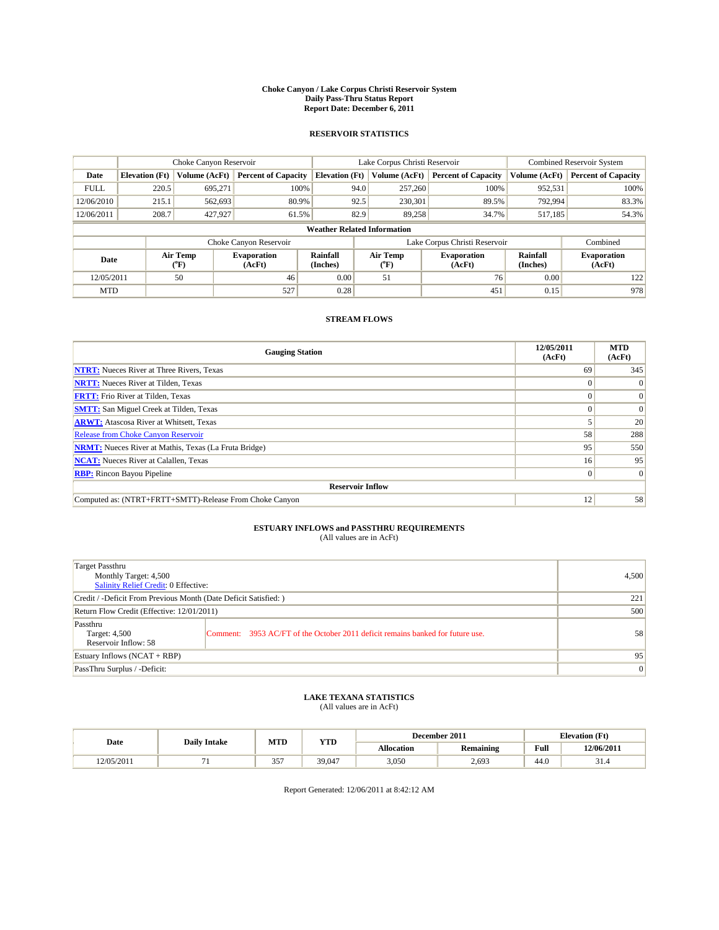#### **Choke Canyon / Lake Corpus Christi Reservoir System Daily Pass-Thru Status Report Report Date: December 6, 2011**

### **RESERVOIR STATISTICS**

|             | Choke Canyon Reservoir             |                  |                              |                             | Lake Corpus Christi Reservoir |                               |                      | <b>Combined Reservoir System</b> |  |
|-------------|------------------------------------|------------------|------------------------------|-----------------------------|-------------------------------|-------------------------------|----------------------|----------------------------------|--|
| Date        | <b>Elevation</b> (Ft)              | Volume (AcFt)    | <b>Percent of Capacity</b>   | <b>Elevation</b> (Ft)       | Volume (AcFt)                 | <b>Percent of Capacity</b>    | Volume (AcFt)        | <b>Percent of Capacity</b>       |  |
| <b>FULL</b> | 220.5                              | 695,271          | 100%                         | 94.0                        | 257,260                       | 100%                          | 952,531              | 100%                             |  |
| 12/06/2010  | 215.1                              | 562,693          | 80.9%                        | 92.5                        | 230,301                       | 89.5%                         | 792,994              | 83.3%                            |  |
| 12/06/2011  | 208.7                              | 427,927          | 61.5%                        | 82.9                        | 89.258                        | 34.7%                         | 517,185              | 54.3%                            |  |
|             | <b>Weather Related Information</b> |                  |                              |                             |                               |                               |                      |                                  |  |
|             |                                    |                  | Choke Canyon Reservoir       |                             |                               | Lake Corpus Christi Reservoir |                      | Combined                         |  |
| Date        |                                    | Air Temp<br>(°F) | <b>Evaporation</b><br>(AcFt) | <b>Rainfall</b><br>(Inches) | Air Temp<br>(°F)              | <b>Evaporation</b><br>(AcFt)  | Rainfall<br>(Inches) | <b>Evaporation</b><br>(AcFt)     |  |
| 12/05/2011  |                                    | 50               | 46                           | 0.00                        | 51                            | 76                            | 0.00                 | 122                              |  |
| <b>MTD</b>  |                                    |                  | 527                          | 0.28                        |                               | 451                           | 0.15                 | 978                              |  |

## **STREAM FLOWS**

| <b>Gauging Station</b>                                       | 12/05/2011<br>(AcFt) | <b>MTD</b><br>(AcFt) |
|--------------------------------------------------------------|----------------------|----------------------|
| <b>NTRT:</b> Nueces River at Three Rivers, Texas             | 69                   | 345                  |
| <b>NRTT:</b> Nueces River at Tilden, Texas                   | $\theta$             |                      |
| <b>FRTT:</b> Frio River at Tilden, Texas                     |                      | $\Omega$             |
| <b>SMTT:</b> San Miguel Creek at Tilden, Texas               |                      | $\Omega$             |
| <b>ARWT:</b> Atascosa River at Whitsett, Texas               |                      | 20                   |
| <b>Release from Choke Canyon Reservoir</b>                   | 58                   | 288                  |
| <b>NRMT:</b> Nueces River at Mathis, Texas (La Fruta Bridge) | 95                   | 550                  |
| <b>NCAT:</b> Nueces River at Calallen, Texas                 | 16 <sup>1</sup>      | 95                   |
| <b>RBP:</b> Rincon Bayou Pipeline                            | $\overline{0}$       | $\Omega$             |
| <b>Reservoir Inflow</b>                                      |                      |                      |
| Computed as: (NTRT+FRTT+SMTT)-Release From Choke Canyon      | 12                   | 58                   |

# **ESTUARY INFLOWS and PASSTHRU REQUIREMENTS**<br>(All values are in AcFt)

| Target Passthru<br>Monthly Target: 4,500<br>Salinity Relief Credit: 0 Effective: |                                                                                   | 4,500           |
|----------------------------------------------------------------------------------|-----------------------------------------------------------------------------------|-----------------|
| Credit / -Deficit From Previous Month (Date Deficit Satisfied: )                 |                                                                                   | 221             |
| Return Flow Credit (Effective: 12/01/2011)                                       | 500                                                                               |                 |
| Passthru<br>Target: 4,500<br>Reservoir Inflow: 58                                | 3953 AC/FT of the October 2011 deficit remains banked for future use.<br>Comment: | 58              |
| Estuary Inflows $(NCAT + RBP)$                                                   |                                                                                   | 95              |
| PassThru Surplus / -Deficit:                                                     |                                                                                   | $\vert 0 \vert$ |

# **LAKE TEXANA STATISTICS** (All values are in AcFt)

|                     | <b>Daily Intake</b> | MTD               | <b>YTD</b> |            | December 2011    |      | <b>Elevation</b> (Ft) |
|---------------------|---------------------|-------------------|------------|------------|------------------|------|-----------------------|
| Date                |                     |                   |            | Allocation | <b>Remaining</b> | Full | 12/06/2011            |
| 2/05/2011<br>40 I J |                     | 257<br><u>. .</u> | 39,047     | 3,050      | 2,693            | 44.0 | 51.4                  |

Report Generated: 12/06/2011 at 8:42:12 AM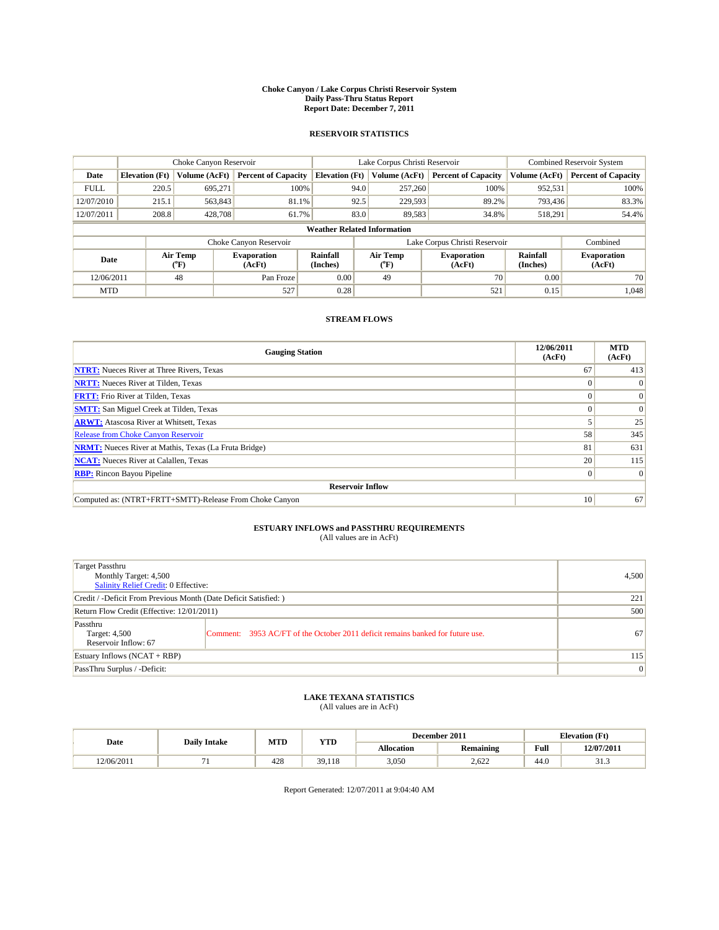#### **Choke Canyon / Lake Corpus Christi Reservoir System Daily Pass-Thru Status Report Report Date: December 7, 2011**

### **RESERVOIR STATISTICS**

|             | Choke Canyon Reservoir             |                             |                            |                             | Lake Corpus Christi Reservoir |                               |                      | Combined Reservoir System    |  |
|-------------|------------------------------------|-----------------------------|----------------------------|-----------------------------|-------------------------------|-------------------------------|----------------------|------------------------------|--|
| Date        | <b>Elevation</b> (Ft)              | Volume (AcFt)               | <b>Percent of Capacity</b> | <b>Elevation</b> (Ft)       | Volume (AcFt)                 | <b>Percent of Capacity</b>    | Volume (AcFt)        | <b>Percent of Capacity</b>   |  |
| <b>FULL</b> | 220.5                              | 695,271                     | 100%                       | 94.0                        | 257,260                       | 100%                          | 952,531              | 100%                         |  |
| 12/07/2010  | 215.1                              | 563,843                     | 81.1%                      | 92.5                        | 229.593                       | 89.2%                         | 793,436              | 83.3%                        |  |
| 12/07/2011  | 208.8                              | 428,708                     | 61.7%                      | 83.0                        | 89.583                        | 34.8%                         | 518,291              | 54.4%                        |  |
|             | <b>Weather Related Information</b> |                             |                            |                             |                               |                               |                      |                              |  |
|             |                                    |                             | Choke Canyon Reservoir     |                             |                               | Lake Corpus Christi Reservoir |                      | Combined                     |  |
| Date        |                                    | Air Temp<br>${}^{\circ}$ F) | Evaporation<br>(AcFt)      | <b>Rainfall</b><br>(Inches) | Air Temp<br>$(^oF)$           | <b>Evaporation</b><br>(AcFt)  | Rainfall<br>(Inches) | <b>Evaporation</b><br>(AcFt) |  |
| 12/06/2011  |                                    | 48                          | Pan Froze                  | 0.00                        | 49                            | 70                            | 0.00                 | 70                           |  |
| <b>MTD</b>  |                                    |                             | 527                        | 0.28                        |                               | 521                           | 0.15                 | 1,048                        |  |

## **STREAM FLOWS**

| <b>Gauging Station</b>                                       | 12/06/2011<br>(AcFt) | <b>MTD</b><br>(AcFt) |  |  |  |  |  |
|--------------------------------------------------------------|----------------------|----------------------|--|--|--|--|--|
| <b>NTRT:</b> Nueces River at Three Rivers, Texas             | 67                   | 413                  |  |  |  |  |  |
| <b>NRTT:</b> Nueces River at Tilden, Texas                   |                      |                      |  |  |  |  |  |
| <b>FRTT:</b> Frio River at Tilden, Texas                     |                      | $\Omega$             |  |  |  |  |  |
| <b>SMTT:</b> San Miguel Creek at Tilden, Texas               |                      | $\Omega$             |  |  |  |  |  |
| <b>ARWT:</b> Atascosa River at Whitsett, Texas               |                      | 25                   |  |  |  |  |  |
| <b>Release from Choke Canyon Reservoir</b>                   | 58                   | 345                  |  |  |  |  |  |
| <b>NRMT:</b> Nueces River at Mathis, Texas (La Fruta Bridge) | 81                   | 631                  |  |  |  |  |  |
| <b>NCAT:</b> Nueces River at Calallen, Texas                 | 20                   | 115                  |  |  |  |  |  |
| <b>RBP:</b> Rincon Bayou Pipeline                            | $\overline{0}$       | $\Omega$             |  |  |  |  |  |
| <b>Reservoir Inflow</b>                                      |                      |                      |  |  |  |  |  |
| Computed as: (NTRT+FRTT+SMTT)-Release From Choke Canyon      | 10                   | 67                   |  |  |  |  |  |

# **ESTUARY INFLOWS and PASSTHRU REQUIREMENTS**<br>(All values are in AcFt)

| Target Passthru<br>Monthly Target: 4,500<br>Salinity Relief Credit: 0 Effective: |                                                                                | 4,500 |
|----------------------------------------------------------------------------------|--------------------------------------------------------------------------------|-------|
| Credit / -Deficit From Previous Month (Date Deficit Satisfied: )                 | 221                                                                            |       |
| Return Flow Credit (Effective: 12/01/2011)                                       | 500                                                                            |       |
| Passthru<br>Target: 4,500<br>Reservoir Inflow: 67                                | Comment: 3953 AC/FT of the October 2011 deficit remains banked for future use. | 67    |
| Estuary Inflows (NCAT + RBP)                                                     | 115                                                                            |       |
| PassThru Surplus / -Deficit:                                                     | $\vert 0 \vert$                                                                |       |

# **LAKE TEXANA STATISTICS** (All values are in AcFt)

|            | <b>Daily Intake</b> | MTD | <b>YTD</b> | December 2011     |                  | <b>Elevation</b> (Ft) |            |
|------------|---------------------|-----|------------|-------------------|------------------|-----------------------|------------|
| Date       |                     |     |            | <b>Allocation</b> | <b>Remaining</b> | Full                  | 12/07/2011 |
| 12/06/2011 |                     | 428 | 39,118     | 3,050             | 2.622            | 44.0                  | ر. د د     |

Report Generated: 12/07/2011 at 9:04:40 AM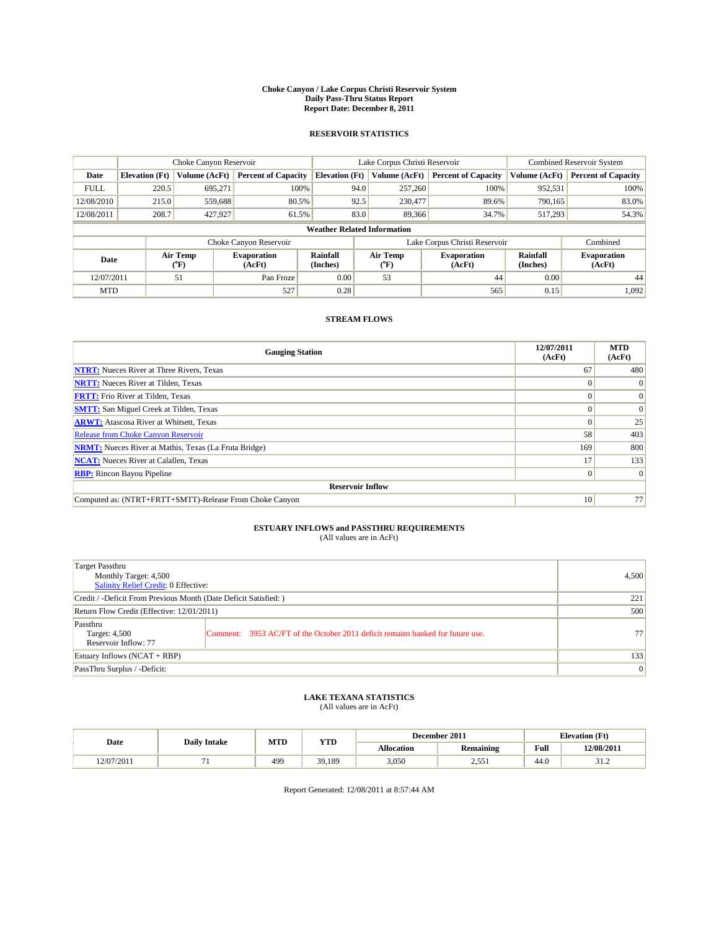#### **Choke Canyon / Lake Corpus Christi Reservoir System Daily Pass-Thru Status Report Report Date: December 8, 2011**

### **RESERVOIR STATISTICS**

|             | Choke Canyon Reservoir             |                  |                            |                             | Lake Corpus Christi Reservoir |                               |                      | <b>Combined Reservoir System</b> |  |
|-------------|------------------------------------|------------------|----------------------------|-----------------------------|-------------------------------|-------------------------------|----------------------|----------------------------------|--|
| Date        | <b>Elevation</b> (Ft)              | Volume (AcFt)    | <b>Percent of Capacity</b> | <b>Elevation</b> (Ft)       | Volume (AcFt)                 | <b>Percent of Capacity</b>    | Volume (AcFt)        | <b>Percent of Capacity</b>       |  |
| <b>FULL</b> | 220.5                              | 695,271          | 100%                       | 94.0                        | 257,260                       | 100%                          | 952,531              | 100%                             |  |
| 12/08/2010  | 215.0                              | 559,688          | 80.5%                      | 92.5                        | 230,477                       | 89.6%                         | 790.165              | 83.0%                            |  |
| 12/08/2011  | 208.7                              | 427,927          | 61.5%                      | 83.0                        | 89,366                        | 34.7%                         | 517,293              | 54.3%                            |  |
|             | <b>Weather Related Information</b> |                  |                            |                             |                               |                               |                      |                                  |  |
|             |                                    |                  | Choke Canyon Reservoir     |                             |                               | Lake Corpus Christi Reservoir |                      | Combined                         |  |
| Date        |                                    | Air Temp<br>(°F) | Evaporation<br>(AcFt)      | <b>Rainfall</b><br>(Inches) | Air Temp<br>(°F)              | <b>Evaporation</b><br>(AcFt)  | Rainfall<br>(Inches) | <b>Evaporation</b><br>(AcFt)     |  |
| 12/07/2011  |                                    | 51               | Pan Froze                  | 0.00                        | 53                            | 44                            | 0.00                 | 44                               |  |
| <b>MTD</b>  |                                    |                  | 527                        | 0.28                        |                               | 565                           | 0.15                 | 1,092                            |  |

## **STREAM FLOWS**

| <b>Gauging Station</b>                                       | 12/07/2011<br>(AcFt) | <b>MTD</b><br>(AcFt) |  |  |  |  |  |
|--------------------------------------------------------------|----------------------|----------------------|--|--|--|--|--|
| <b>NTRT:</b> Nueces River at Three Rivers, Texas             | 67                   | 480                  |  |  |  |  |  |
| <b>NRTT:</b> Nueces River at Tilden, Texas                   | $\theta$             |                      |  |  |  |  |  |
| <b>FRTT:</b> Frio River at Tilden, Texas                     |                      | $\Omega$             |  |  |  |  |  |
| <b>SMTT:</b> San Miguel Creek at Tilden, Texas               |                      | $\Omega$             |  |  |  |  |  |
| <b>ARWT:</b> Atascosa River at Whitsett, Texas               | $\theta$             | 25                   |  |  |  |  |  |
| <b>Release from Choke Canyon Reservoir</b>                   | 58                   | 403                  |  |  |  |  |  |
| <b>NRMT:</b> Nueces River at Mathis, Texas (La Fruta Bridge) | 169                  | 800                  |  |  |  |  |  |
| <b>NCAT:</b> Nueces River at Calallen, Texas                 | 17                   | 133                  |  |  |  |  |  |
| <b>RBP:</b> Rincon Bayou Pipeline                            | $\overline{0}$       | $\Omega$             |  |  |  |  |  |
| <b>Reservoir Inflow</b>                                      |                      |                      |  |  |  |  |  |
| Computed as: (NTRT+FRTT+SMTT)-Release From Choke Canyon      | 10                   | 77                   |  |  |  |  |  |

# **ESTUARY INFLOWS and PASSTHRU REQUIREMENTS**<br>(All values are in AcFt)

| Target Passthru<br>Monthly Target: 4,500<br>Salinity Relief Credit: 0 Effective: |                                                                                | 4,500           |
|----------------------------------------------------------------------------------|--------------------------------------------------------------------------------|-----------------|
| Credit / -Deficit From Previous Month (Date Deficit Satisfied: )                 | 221                                                                            |                 |
| Return Flow Credit (Effective: 12/01/2011)                                       | 500                                                                            |                 |
| Passthru<br>Target: 4,500<br>Reservoir Inflow: 77                                | Comment: 3953 AC/FT of the October 2011 deficit remains banked for future use. | 77 <sub>1</sub> |
| Estuary Inflows (NCAT + RBP)                                                     | 133                                                                            |                 |
| PassThru Surplus / -Deficit:                                                     | $\vert 0 \vert$                                                                |                 |

# **LAKE TEXANA STATISTICS** (All values are in AcFt)

|            | <b>Daily Intake</b> | MTD             | <b>VTD</b><br>1 I D |            | December 2011    |      | <b>Elevation</b> (Ft) |
|------------|---------------------|-----------------|---------------------|------------|------------------|------|-----------------------|
| Date       |                     |                 |                     | Allocation | <b>Remaining</b> | Full | 12/08/2011            |
| !2/07/2011 |                     | 49 <sup>°</sup> | 39,189              | 3,050      | -55<br>1 ئى ئى   | 44.0 | ے ۔ د                 |

Report Generated: 12/08/2011 at 8:57:44 AM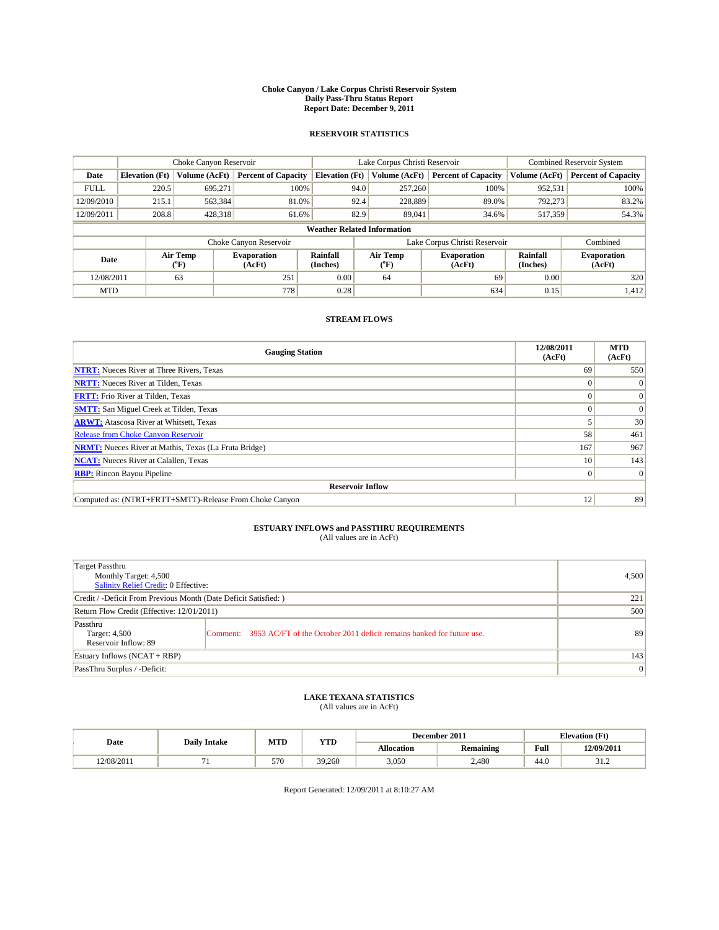#### **Choke Canyon / Lake Corpus Christi Reservoir System Daily Pass-Thru Status Report Report Date: December 9, 2011**

### **RESERVOIR STATISTICS**

|             | Choke Canyon Reservoir             |                  |                              |                       | Lake Corpus Christi Reservoir |                               |                      | Combined Reservoir System    |  |
|-------------|------------------------------------|------------------|------------------------------|-----------------------|-------------------------------|-------------------------------|----------------------|------------------------------|--|
| Date        | <b>Elevation</b> (Ft)              | Volume (AcFt)    | <b>Percent of Capacity</b>   | <b>Elevation (Ft)</b> | Volume (AcFt)                 | <b>Percent of Capacity</b>    | Volume (AcFt)        | <b>Percent of Capacity</b>   |  |
| <b>FULL</b> | 220.5                              | 695,271          | 100%                         | 94.0                  | 257,260                       | 100%                          | 952,531              | 100%                         |  |
| 12/09/2010  | 215.1                              | 563,384          | 81.0%                        | 92.4                  | 228,889                       | 89.0%                         | 792,273              | 83.2%                        |  |
| 12/09/2011  | 208.8                              | 428,318          | 61.6%                        | 82.9                  | 89,041                        | 34.6%                         | 517,359              | 54.3%                        |  |
|             | <b>Weather Related Information</b> |                  |                              |                       |                               |                               |                      |                              |  |
|             |                                    |                  | Choke Canyon Reservoir       |                       |                               | Lake Corpus Christi Reservoir |                      | Combined                     |  |
| Date        |                                    | Air Temp<br>(°F) | <b>Evaporation</b><br>(AcFt) | Rainfall<br>(Inches)  | Air Temp<br>("F)              | <b>Evaporation</b><br>(AcFt)  | Rainfall<br>(Inches) | <b>Evaporation</b><br>(AcFt) |  |
| 12/08/2011  |                                    | 63               | 251                          | 0.00                  | 64                            | 69                            | 0.00                 | 320                          |  |
| <b>MTD</b>  |                                    |                  | 778                          | 0.28                  |                               | 634                           | 0.15                 | 1,412                        |  |

## **STREAM FLOWS**

| <b>Gauging Station</b>                                       | 12/08/2011<br>(AcFt) | <b>MTD</b><br>(AcFt) |  |  |  |  |  |
|--------------------------------------------------------------|----------------------|----------------------|--|--|--|--|--|
| <b>NTRT:</b> Nueces River at Three Rivers, Texas             | 69                   | 550                  |  |  |  |  |  |
| <b>NRTT:</b> Nueces River at Tilden, Texas                   | $\Omega$             | $\Omega$             |  |  |  |  |  |
| <b>FRTT:</b> Frio River at Tilden, Texas                     |                      | $\Omega$             |  |  |  |  |  |
| <b>SMTT:</b> San Miguel Creek at Tilden, Texas               |                      | $\Omega$             |  |  |  |  |  |
| <b>ARWT:</b> Atascosa River at Whitsett, Texas               |                      | 30                   |  |  |  |  |  |
| <b>Release from Choke Canyon Reservoir</b>                   | 58                   | 461                  |  |  |  |  |  |
| <b>NRMT:</b> Nueces River at Mathis, Texas (La Fruta Bridge) | 167                  | 967                  |  |  |  |  |  |
| <b>NCAT:</b> Nueces River at Calallen, Texas                 | 10                   | 143                  |  |  |  |  |  |
| <b>RBP:</b> Rincon Bayou Pipeline                            | $\overline{0}$       | $\Omega$             |  |  |  |  |  |
| <b>Reservoir Inflow</b>                                      |                      |                      |  |  |  |  |  |
| Computed as: (NTRT+FRTT+SMTT)-Release From Choke Canyon      | 12                   | 89                   |  |  |  |  |  |

# **ESTUARY INFLOWS and PASSTHRU REQUIREMENTS**<br>(All values are in AcFt)

| Target Passthru<br>Monthly Target: 4,500<br>Salinity Relief Credit: 0 Effective: |                                                                                | 4,500 |
|----------------------------------------------------------------------------------|--------------------------------------------------------------------------------|-------|
| Credit / -Deficit From Previous Month (Date Deficit Satisfied: )                 | 221                                                                            |       |
| Return Flow Credit (Effective: 12/01/2011)                                       | 500                                                                            |       |
| Passthru<br>Target: 4,500<br>Reservoir Inflow: 89                                | Comment: 3953 AC/FT of the October 2011 deficit remains banked for future use. | 89    |
| Estuary Inflows (NCAT + RBP)                                                     | 143                                                                            |       |
| PassThru Surplus / -Deficit:                                                     | $\vert 0 \vert$                                                                |       |

## **LAKE TEXANA STATISTICS** (All values are in AcFt)

|            |                     | MTD | YTD    |                   | December 2011 |      | <b>Elevation</b> (Ft) |
|------------|---------------------|-----|--------|-------------------|---------------|------|-----------------------|
| Date       | <b>Daily Intake</b> |     |        | <b>Allocation</b> | Remaining     | Full | 12/09/2011            |
| 12/08/2011 |                     | 570 | 39,260 | 3.050             | 2.480         | 44.0 | ے ۔ د                 |

Report Generated: 12/09/2011 at 8:10:27 AM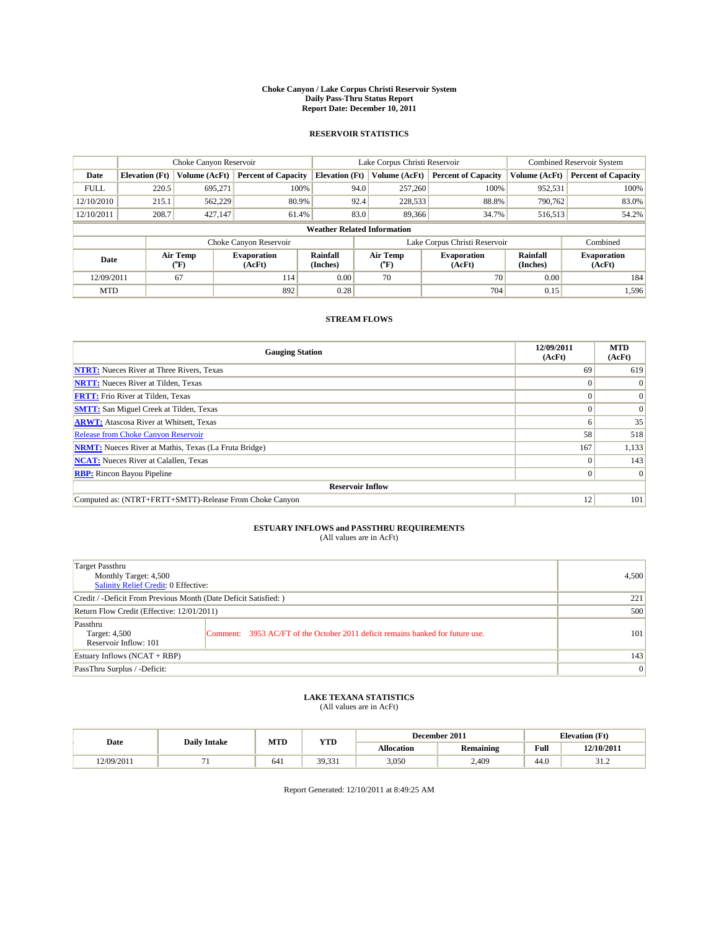#### **Choke Canyon / Lake Corpus Christi Reservoir System Daily Pass-Thru Status Report Report Date: December 10, 2011**

### **RESERVOIR STATISTICS**

|             | Choke Canyon Reservoir             |                  |                              |                       | Lake Corpus Christi Reservoir |                               |                      | <b>Combined Reservoir System</b> |  |  |
|-------------|------------------------------------|------------------|------------------------------|-----------------------|-------------------------------|-------------------------------|----------------------|----------------------------------|--|--|
| Date        | <b>Elevation</b> (Ft)              | Volume (AcFt)    | <b>Percent of Capacity</b>   | <b>Elevation</b> (Ft) | Volume (AcFt)                 | <b>Percent of Capacity</b>    | Volume (AcFt)        | <b>Percent of Capacity</b>       |  |  |
| <b>FULL</b> | 220.5                              | 695,271          | 100%                         | 94.0                  | 257,260                       | 100%                          | 952,531              | 100%                             |  |  |
| 12/10/2010  | 215.1                              | 562,229          | 80.9%                        | 92.4                  | 228,533                       | 88.8%                         | 790.762              | 83.0%                            |  |  |
| 12/10/2011  | 208.7                              | 427,147          | 61.4%                        | 83.0                  | 89,366                        | 34.7%                         | 516,513              | 54.2%                            |  |  |
|             | <b>Weather Related Information</b> |                  |                              |                       |                               |                               |                      |                                  |  |  |
|             |                                    |                  | Choke Canyon Reservoir       |                       |                               | Lake Corpus Christi Reservoir |                      | Combined                         |  |  |
| Date        |                                    | Air Temp<br>(°F) | <b>Evaporation</b><br>(AcFt) | Rainfall<br>(Inches)  | Air Temp<br>("F)              | <b>Evaporation</b><br>(AcFt)  | Rainfall<br>(Inches) | <b>Evaporation</b><br>(AcFt)     |  |  |
| 12/09/2011  |                                    | 67               | 114                          | 0.00                  | 70                            | 70                            | 0.00                 | 184                              |  |  |
| <b>MTD</b>  |                                    |                  | 892                          | 0.28                  |                               | 704                           | 0.15                 | 1,596                            |  |  |

## **STREAM FLOWS**

| <b>Gauging Station</b>                                       | 12/09/2011<br>(AcFt) | <b>MTD</b><br>(AcFt) |
|--------------------------------------------------------------|----------------------|----------------------|
| <b>NTRT:</b> Nueces River at Three Rivers, Texas             | 69                   | 619                  |
| <b>NRTT:</b> Nueces River at Tilden, Texas                   | $\Omega$             |                      |
| <b>FRTT:</b> Frio River at Tilden, Texas                     |                      | $\Omega$             |
| <b>SMTT:</b> San Miguel Creek at Tilden, Texas               |                      | $\Omega$             |
| <b>ARWT:</b> Atascosa River at Whitsett, Texas               | o                    | 35                   |
| <b>Release from Choke Canyon Reservoir</b>                   | 58                   | 518                  |
| <b>NRMT:</b> Nueces River at Mathis, Texas (La Fruta Bridge) | 167                  | 1,133                |
| <b>NCAT:</b> Nueces River at Calallen, Texas                 | $\Omega$             | 143                  |
| <b>RBP:</b> Rincon Bayou Pipeline                            | $\Omega$             | $\Omega$             |
| <b>Reservoir Inflow</b>                                      |                      |                      |
| Computed as: (NTRT+FRTT+SMTT)-Release From Choke Canyon      | 12                   | 101                  |

# **ESTUARY INFLOWS and PASSTHRU REQUIREMENTS**<br>(All values are in AcFt)

| Target Passthru<br>Monthly Target: 4,500<br>Salinity Relief Credit: 0 Effective: |                                                                                | 4.500 |
|----------------------------------------------------------------------------------|--------------------------------------------------------------------------------|-------|
| Credit / -Deficit From Previous Month (Date Deficit Satisfied: )                 | 221                                                                            |       |
| Return Flow Credit (Effective: 12/01/2011)                                       | 500                                                                            |       |
| Passthru<br>Target: 4,500<br>Reservoir Inflow: 101                               | Comment: 3953 AC/FT of the October 2011 deficit remains banked for future use. | 101   |
| Estuary Inflows (NCAT + RBP)                                                     | 143                                                                            |       |
| PassThru Surplus / -Deficit:                                                     | $\vert 0 \vert$                                                                |       |

## **LAKE TEXANA STATISTICS** (All values are in AcFt)

| Date       | <b>Daily Intake</b> | MTD | <b>YTD</b>                                     | December 2011     |                  |                | <b>Elevation</b> (Ft) |
|------------|---------------------|-----|------------------------------------------------|-------------------|------------------|----------------|-----------------------|
|            |                     |     |                                                | <b>Allocation</b> | <b>Remaining</b> | Full           | 12/10/2011            |
| 12/09/2011 |                     | 641 | $30^{\circ}$<br>$\sim$<br><i><b>JJ.JJI</b></i> | 3,050             | 2,409            | $\sim$<br>44.0 | ے د                   |

Report Generated: 12/10/2011 at 8:49:25 AM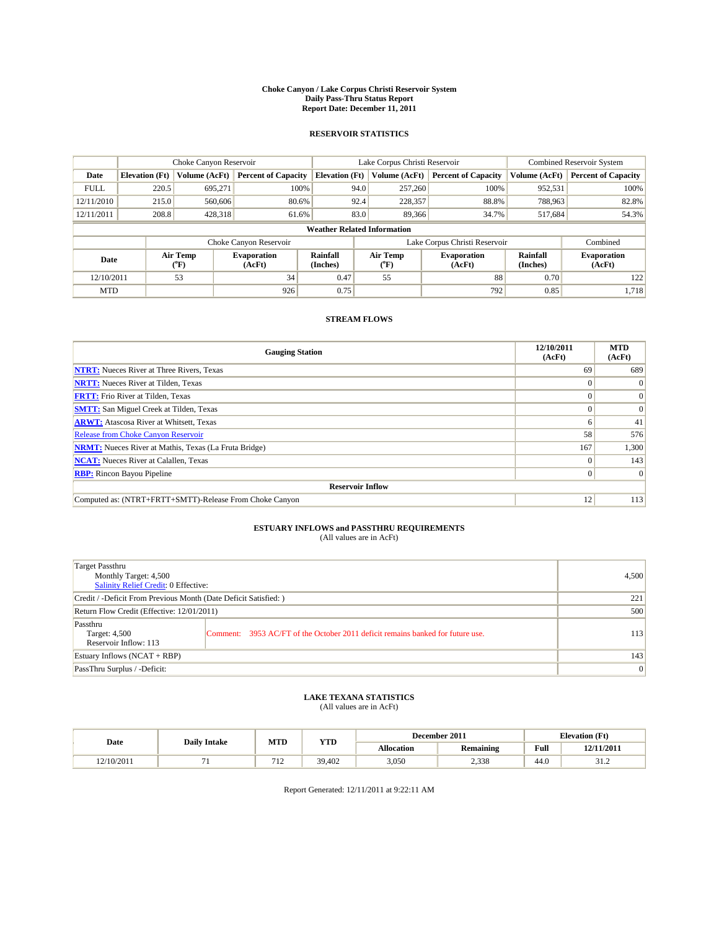#### **Choke Canyon / Lake Corpus Christi Reservoir System Daily Pass-Thru Status Report Report Date: December 11, 2011**

### **RESERVOIR STATISTICS**

|             | Choke Canyon Reservoir             |                            |                              |                             | Lake Corpus Christi Reservoir |                  |                               |                      | <b>Combined Reservoir System</b> |  |
|-------------|------------------------------------|----------------------------|------------------------------|-----------------------------|-------------------------------|------------------|-------------------------------|----------------------|----------------------------------|--|
| Date        | <b>Elevation</b> (Ft)              | Volume (AcFt)              | <b>Percent of Capacity</b>   | <b>Elevation</b> (Ft)       |                               | Volume (AcFt)    | <b>Percent of Capacity</b>    | Volume (AcFt)        | <b>Percent of Capacity</b>       |  |
| <b>FULL</b> | 220.5                              | 695.271                    | 100%                         |                             | 94.0                          | 257,260          | 100%                          | 952,531              | 100%                             |  |
| 12/11/2010  | 215.0                              | 560,606                    | 80.6%                        |                             | 92.4                          | 228,357          | 88.8%                         | 788,963              | 82.8%                            |  |
| 12/11/2011  | 208.8                              | 428,318                    | 61.6%                        |                             | 83.0                          | 89,366           | 34.7%                         | 517,684              | 54.3%                            |  |
|             | <b>Weather Related Information</b> |                            |                              |                             |                               |                  |                               |                      |                                  |  |
|             |                                    |                            | Choke Canyon Reservoir       |                             |                               |                  | Lake Corpus Christi Reservoir |                      | Combined                         |  |
| Date        |                                    | Air Temp<br>${}^{\circ}F)$ | <b>Evaporation</b><br>(AcFt) | <b>Rainfall</b><br>(Inches) |                               | Air Temp<br>(°F) | <b>Evaporation</b><br>(AcFt)  | Rainfall<br>(Inches) | <b>Evaporation</b><br>(AcFt)     |  |
| 12/10/2011  |                                    | 53                         | 34                           | 0.47                        |                               | 55               | 88                            | 0.70                 | 122                              |  |
| <b>MTD</b>  |                                    |                            | 926                          | 0.75                        |                               |                  | 792                           | 0.85                 | 1,718                            |  |

## **STREAM FLOWS**

| <b>Gauging Station</b>                                       | 12/10/2011<br>(AcFt) | <b>MTD</b><br>(AcFt) |
|--------------------------------------------------------------|----------------------|----------------------|
| <b>NTRT:</b> Nueces River at Three Rivers, Texas             | 69                   | 689                  |
| <b>NRTT:</b> Nueces River at Tilden, Texas                   | $\Omega$             |                      |
| <b>FRTT:</b> Frio River at Tilden, Texas                     |                      | $\Omega$             |
| <b>SMTT:</b> San Miguel Creek at Tilden, Texas               |                      | $\Omega$             |
| <b>ARWT:</b> Atascosa River at Whitsett, Texas               | o                    | 41                   |
| <b>Release from Choke Canyon Reservoir</b>                   | 58                   | 576                  |
| <b>NRMT:</b> Nueces River at Mathis, Texas (La Fruta Bridge) | 167                  | 1,300                |
| <b>NCAT:</b> Nueces River at Calallen, Texas                 | $\Omega$             | 143                  |
| <b>RBP:</b> Rincon Bayou Pipeline                            | $\Omega$             | $\Omega$             |
| <b>Reservoir Inflow</b>                                      |                      |                      |
| Computed as: (NTRT+FRTT+SMTT)-Release From Choke Canyon      | 12                   | 113                  |

# **ESTUARY INFLOWS and PASSTHRU REQUIREMENTS**<br>(All values are in AcFt)

| Target Passthru<br>Monthly Target: 4,500<br>Salinity Relief Credit: 0 Effective: |                                                                                | 4,500 |
|----------------------------------------------------------------------------------|--------------------------------------------------------------------------------|-------|
| Credit / -Deficit From Previous Month (Date Deficit Satisfied: )                 | 221                                                                            |       |
| Return Flow Credit (Effective: 12/01/2011)                                       | 500                                                                            |       |
| Passthru<br>Target: 4,500<br>Reservoir Inflow: 113                               | Comment: 3953 AC/FT of the October 2011 deficit remains banked for future use. | 113   |
| Estuary Inflows (NCAT + RBP)                                                     |                                                                                | 143   |
| PassThru Surplus / -Deficit:                                                     | $\vert 0 \vert$                                                                |       |

## **LAKE TEXANA STATISTICS** (All values are in AcFt)

|            | <b>Daily Intake</b> | MTD        | YTD    |                   | December 2011 |      | <b>Elevation</b> (Ft) |  |
|------------|---------------------|------------|--------|-------------------|---------------|------|-----------------------|--|
| Date       |                     |            |        | <b>Allocation</b> | Remaining     | Full | 12/11/2011            |  |
| 12/10/2011 |                     | 71<br>- 12 | 39.402 | 3,050             | 2,338         | 44.0 | ے ۔ د                 |  |

Report Generated: 12/11/2011 at 9:22:11 AM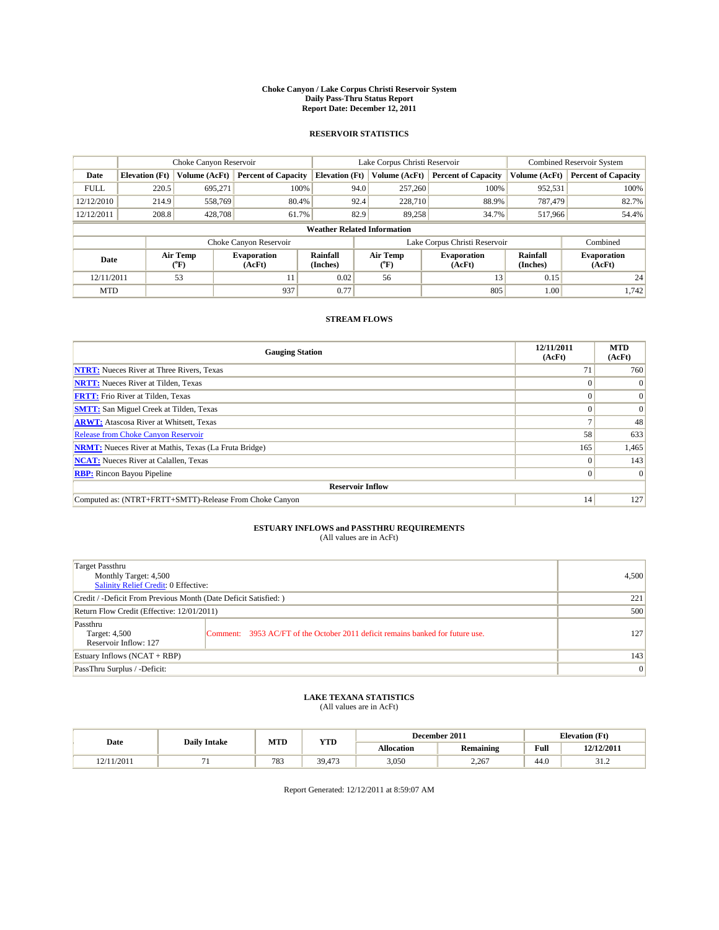#### **Choke Canyon / Lake Corpus Christi Reservoir System Daily Pass-Thru Status Report Report Date: December 12, 2011**

### **RESERVOIR STATISTICS**

|             | Choke Canyon Reservoir             |                             |                              |                             | Lake Corpus Christi Reservoir | <b>Combined Reservoir System</b> |                      |                              |  |  |
|-------------|------------------------------------|-----------------------------|------------------------------|-----------------------------|-------------------------------|----------------------------------|----------------------|------------------------------|--|--|
| Date        | <b>Elevation</b> (Ft)              | Volume (AcFt)               | <b>Percent of Capacity</b>   | <b>Elevation</b> (Ft)       | Volume (AcFt)                 | <b>Percent of Capacity</b>       | Volume (AcFt)        | <b>Percent of Capacity</b>   |  |  |
| <b>FULL</b> | 220.5                              | 695,271                     | 100%                         |                             | 257,260<br>94.0               | 100%                             | 952,531              | 100%                         |  |  |
| 12/12/2010  | 214.9                              | 558,769                     | 80.4%                        |                             | 92.4<br>228,710               | 88.9%                            | 787,479              | 82.7%                        |  |  |
| 12/12/2011  | 208.8                              | 428,708                     | 61.7%                        |                             | 82.9<br>89.258                | 34.7%                            | 517,966              | 54.4%                        |  |  |
|             | <b>Weather Related Information</b> |                             |                              |                             |                               |                                  |                      |                              |  |  |
|             |                                    |                             | Choke Canyon Reservoir       |                             |                               | Lake Corpus Christi Reservoir    |                      | Combined                     |  |  |
| Date        |                                    | Air Temp<br>${}^{\circ}$ F) | <b>Evaporation</b><br>(AcFt) | <b>Rainfall</b><br>(Inches) | Air Temp<br>(°F)              | <b>Evaporation</b><br>(AcFt)     | Rainfall<br>(Inches) | <b>Evaporation</b><br>(AcFt) |  |  |
| 12/11/2011  |                                    | 53                          | 11                           | 0.02                        | 56                            | 13                               | 0.15                 | 24                           |  |  |
| <b>MTD</b>  |                                    |                             | 937                          | 0.77                        |                               | 805                              | 1.00                 | 1.742                        |  |  |

## **STREAM FLOWS**

| <b>Gauging Station</b>                                       | 12/11/2011<br>(AcFt) | <b>MTD</b><br>(AcFt) |
|--------------------------------------------------------------|----------------------|----------------------|
| <b>NTRT:</b> Nueces River at Three Rivers, Texas             | 71                   | 760                  |
| <b>NRTT:</b> Nueces River at Tilden, Texas                   |                      |                      |
| <b>FRTT:</b> Frio River at Tilden, Texas                     |                      | $\Omega$             |
| <b>SMTT:</b> San Miguel Creek at Tilden, Texas               |                      | $\Omega$             |
| <b>ARWT:</b> Atascosa River at Whitsett, Texas               |                      | 48                   |
| <b>Release from Choke Canyon Reservoir</b>                   | 58                   | 633                  |
| <b>NRMT:</b> Nueces River at Mathis, Texas (La Fruta Bridge) | 165                  | 1,465                |
| <b>NCAT:</b> Nueces River at Calallen, Texas                 | $\theta$             | 143                  |
| <b>RBP:</b> Rincon Bayou Pipeline                            | $\Omega$             | $\Omega$             |
| <b>Reservoir Inflow</b>                                      |                      |                      |
| Computed as: (NTRT+FRTT+SMTT)-Release From Choke Canyon      | 14                   | 127                  |

# **ESTUARY INFLOWS and PASSTHRU REQUIREMENTS**<br>(All values are in AcFt)

| Target Passthru<br>Monthly Target: 4,500<br>Salinity Relief Credit: 0 Effective: |                                                                                | 4,500 |
|----------------------------------------------------------------------------------|--------------------------------------------------------------------------------|-------|
| Credit / -Deficit From Previous Month (Date Deficit Satisfied: )                 | 221                                                                            |       |
| Return Flow Credit (Effective: 12/01/2011)                                       | 500                                                                            |       |
| Passthru<br>Target: 4,500<br>Reservoir Inflow: 127                               | Comment: 3953 AC/FT of the October 2011 deficit remains banked for future use. | 127   |
| Estuary Inflows (NCAT + RBP)                                                     |                                                                                | 143   |
| PassThru Surplus / -Deficit:                                                     | $\vert 0 \vert$                                                                |       |

## **LAKE TEXANA STATISTICS** (All values are in AcFt)

|            | <b>Daily Intake</b> | MTD | <b>YTD</b>    | December 2011     |                  |      | <b>Elevation</b> (Ft) |  |
|------------|---------------------|-----|---------------|-------------------|------------------|------|-----------------------|--|
| Date       |                     |     |               | <b>Allocation</b> | <b>Remaining</b> | Full | 12/12/2011            |  |
| !2/11/2011 |                     | 783 | 39.473<br>472 | 3,050             | 2,267            | 44.0 | ے ۔ د                 |  |

Report Generated: 12/12/2011 at 8:59:07 AM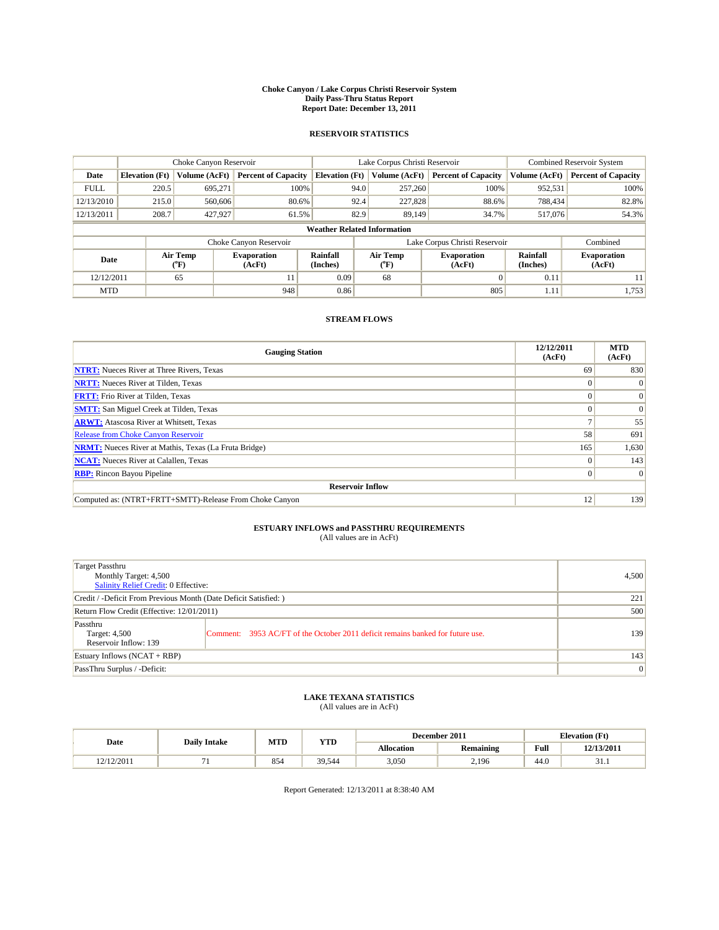#### **Choke Canyon / Lake Corpus Christi Reservoir System Daily Pass-Thru Status Report Report Date: December 13, 2011**

### **RESERVOIR STATISTICS**

|             | Choke Canyon Reservoir             |                  |                              |                             | Lake Corpus Christi Reservoir |                               |                      | <b>Combined Reservoir System</b> |  |
|-------------|------------------------------------|------------------|------------------------------|-----------------------------|-------------------------------|-------------------------------|----------------------|----------------------------------|--|
| Date        | <b>Elevation</b> (Ft)              | Volume (AcFt)    | <b>Percent of Capacity</b>   | <b>Elevation</b> (Ft)       | Volume (AcFt)                 | <b>Percent of Capacity</b>    | Volume (AcFt)        | <b>Percent of Capacity</b>       |  |
| <b>FULL</b> | 220.5                              | 695,271          | 100%                         |                             | 257,260<br>94.0               | 100%                          | 952,531              | 100%                             |  |
| 12/13/2010  | 215.0                              | 560,606          | 80.6%                        |                             | 92.4<br>227,828               | 88.6%                         | 788,434              | 82.8%                            |  |
| 12/13/2011  | 208.7                              | 427,927          | 61.5%                        |                             | 82.9<br>89.149                | 34.7%                         | 517,076              | 54.3%                            |  |
|             | <b>Weather Related Information</b> |                  |                              |                             |                               |                               |                      |                                  |  |
|             |                                    |                  | Choke Canyon Reservoir       |                             |                               | Lake Corpus Christi Reservoir |                      | Combined                         |  |
| Date        |                                    | Air Temp<br>(°F) | <b>Evaporation</b><br>(AcFt) | <b>Rainfall</b><br>(Inches) | Air Temp<br>$(^oF)$           | <b>Evaporation</b><br>(AcFt)  | Rainfall<br>(Inches) | <b>Evaporation</b><br>(AcFt)     |  |
| 12/12/2011  |                                    | 65               | 11                           | 0.09                        | 68                            | $\Omega$                      | 0.11                 | 11                               |  |
| <b>MTD</b>  |                                    |                  | 948                          | 0.86                        |                               | 805                           | 1.11                 | 1,753                            |  |

## **STREAM FLOWS**

| <b>Gauging Station</b>                                       | 12/12/2011<br>(AcFt) | <b>MTD</b><br>(AcFt) |  |  |  |  |  |
|--------------------------------------------------------------|----------------------|----------------------|--|--|--|--|--|
| <b>NTRT:</b> Nueces River at Three Rivers, Texas             | 69                   | 830                  |  |  |  |  |  |
| <b>NRTT:</b> Nueces River at Tilden, Texas                   | $\Omega$             |                      |  |  |  |  |  |
| <b>FRTT:</b> Frio River at Tilden, Texas                     |                      | $\Omega$             |  |  |  |  |  |
| <b>SMTT:</b> San Miguel Creek at Tilden, Texas               |                      | $\Omega$             |  |  |  |  |  |
| <b>ARWT:</b> Atascosa River at Whitsett, Texas               |                      | 55                   |  |  |  |  |  |
| <b>Release from Choke Canyon Reservoir</b>                   | 58                   | 691                  |  |  |  |  |  |
| <b>NRMT:</b> Nueces River at Mathis, Texas (La Fruta Bridge) | 165                  | 1,630                |  |  |  |  |  |
| <b>NCAT:</b> Nueces River at Calallen, Texas                 | $\theta$             | 143                  |  |  |  |  |  |
| <b>RBP:</b> Rincon Bayou Pipeline                            | $\Omega$             | $\Omega$             |  |  |  |  |  |
| <b>Reservoir Inflow</b>                                      |                      |                      |  |  |  |  |  |
| Computed as: (NTRT+FRTT+SMTT)-Release From Choke Canyon      | 12                   | 139                  |  |  |  |  |  |

# **ESTUARY INFLOWS and PASSTHRU REQUIREMENTS**<br>(All values are in AcFt)

| Target Passthru<br>Monthly Target: 4,500<br>Salinity Relief Credit: 0 Effective: | 4,500                                                                          |     |
|----------------------------------------------------------------------------------|--------------------------------------------------------------------------------|-----|
| Credit / -Deficit From Previous Month (Date Deficit Satisfied: )                 | 221                                                                            |     |
| Return Flow Credit (Effective: 12/01/2011)                                       | 500                                                                            |     |
| Passthru<br>Target: 4,500<br>Reservoir Inflow: 139                               | Comment: 3953 AC/FT of the October 2011 deficit remains banked for future use. | 139 |
| Estuary Inflows (NCAT + RBP)                                                     | 143                                                                            |     |
| PassThru Surplus / -Deficit:                                                     | $\vert 0 \vert$                                                                |     |

## **LAKE TEXANA STATISTICS** (All values are in AcFt)

|            |                     | MTD | <b>YTD</b> |            | December 2011 |      | <b>Elevation</b> (Ft) |
|------------|---------------------|-----|------------|------------|---------------|------|-----------------------|
| Date       | <b>Daily Intake</b> |     |            | Allocation | Remaining     | Full | 12/13/2011            |
| 12/12/2011 |                     | 854 | 39,544     | 3,050      | 2,196         | 44.0 | .                     |

Report Generated: 12/13/2011 at 8:38:40 AM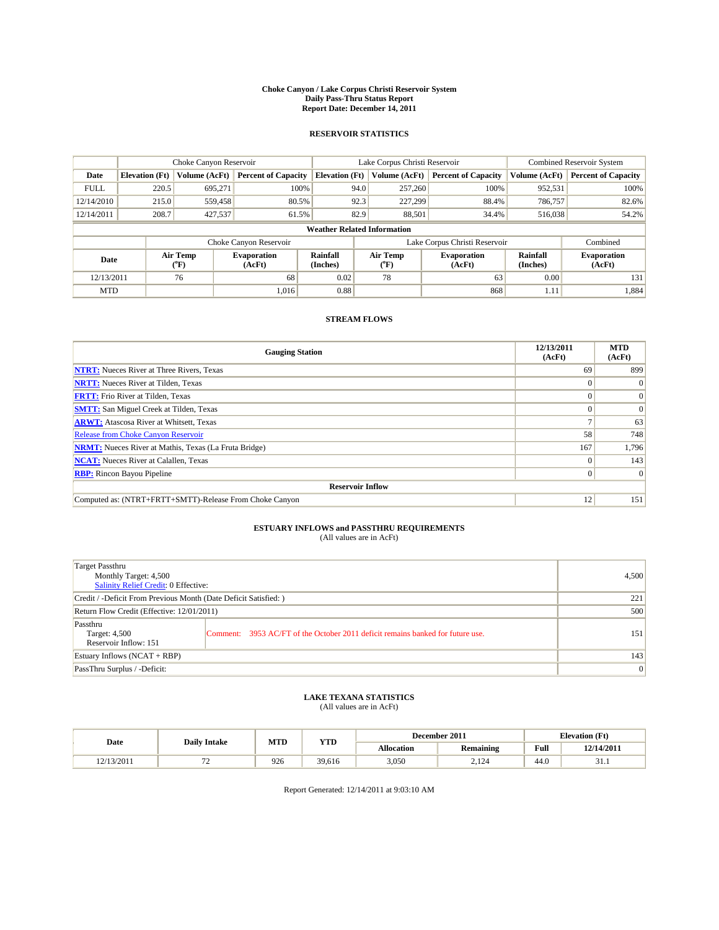#### **Choke Canyon / Lake Corpus Christi Reservoir System Daily Pass-Thru Status Report Report Date: December 14, 2011**

### **RESERVOIR STATISTICS**

|             | Choke Canyon Reservoir             |                  |                              |                       | Lake Corpus Christi Reservoir |                               |                      | <b>Combined Reservoir System</b> |  |
|-------------|------------------------------------|------------------|------------------------------|-----------------------|-------------------------------|-------------------------------|----------------------|----------------------------------|--|
| Date        | <b>Elevation</b> (Ft)              | Volume (AcFt)    | <b>Percent of Capacity</b>   | <b>Elevation</b> (Ft) | Volume (AcFt)                 | <b>Percent of Capacity</b>    | Volume (AcFt)        | <b>Percent of Capacity</b>       |  |
| <b>FULL</b> | 220.5                              | 695,271          | 100%                         | 94.0                  | 257,260                       | 100%                          | 952,531              | 100%                             |  |
| 12/14/2010  | 215.0                              | 559,458          | 80.5%                        | 92.3                  | 227.299                       | 88.4%                         | 786,757              | 82.6%                            |  |
| 12/14/2011  | 208.7                              | 427,537          | 61.5%                        | 82.9                  | 88,501                        | 34.4%                         | 516,038              | 54.2%                            |  |
|             | <b>Weather Related Information</b> |                  |                              |                       |                               |                               |                      |                                  |  |
|             |                                    |                  | Choke Canyon Reservoir       |                       |                               | Lake Corpus Christi Reservoir |                      | Combined                         |  |
| Date        |                                    | Air Temp<br>(°F) | <b>Evaporation</b><br>(AcFt) | Rainfall<br>(Inches)  | Air Temp<br>("F)              | <b>Evaporation</b><br>(AcFt)  | Rainfall<br>(Inches) | <b>Evaporation</b><br>(AcFt)     |  |
| 12/13/2011  |                                    | 76               | 68                           | 0.02                  | 78                            | 63                            | 0.00                 | 131                              |  |
| <b>MTD</b>  |                                    |                  | 1.016                        | 0.88                  |                               | 868                           | 1.11                 | 1,884                            |  |

## **STREAM FLOWS**

| <b>Gauging Station</b>                                       | 12/13/2011<br>(AcFt) | <b>MTD</b><br>(AcFt) |  |  |  |  |
|--------------------------------------------------------------|----------------------|----------------------|--|--|--|--|
| <b>NTRT:</b> Nueces River at Three Rivers, Texas             | 69                   | 899                  |  |  |  |  |
| <b>NRTT:</b> Nueces River at Tilden, Texas                   | $\Omega$             |                      |  |  |  |  |
| <b>FRTT:</b> Frio River at Tilden, Texas                     |                      | $\Omega$             |  |  |  |  |
| <b>SMTT:</b> San Miguel Creek at Tilden, Texas               |                      | $\Omega$             |  |  |  |  |
| <b>ARWT:</b> Atascosa River at Whitsett, Texas               |                      | 63                   |  |  |  |  |
| <b>Release from Choke Canyon Reservoir</b>                   | 58                   | 748                  |  |  |  |  |
| <b>NRMT:</b> Nueces River at Mathis, Texas (La Fruta Bridge) | 167                  | 1,796                |  |  |  |  |
| <b>NCAT:</b> Nueces River at Calallen, Texas                 | $\Omega$             | 143                  |  |  |  |  |
| <b>RBP:</b> Rincon Bayou Pipeline                            | $\Omega$             | $\Omega$             |  |  |  |  |
| <b>Reservoir Inflow</b>                                      |                      |                      |  |  |  |  |
| Computed as: (NTRT+FRTT+SMTT)-Release From Choke Canyon      | 12                   | 151                  |  |  |  |  |

# **ESTUARY INFLOWS and PASSTHRU REQUIREMENTS**<br>(All values are in AcFt)

| Target Passthru<br>Monthly Target: 4,500<br>Salinity Relief Credit: 0 Effective: |                                                                                | 4,500 |
|----------------------------------------------------------------------------------|--------------------------------------------------------------------------------|-------|
| Credit / -Deficit From Previous Month (Date Deficit Satisfied: )                 | 221                                                                            |       |
| Return Flow Credit (Effective: 12/01/2011)                                       | 500                                                                            |       |
| Passthru<br>Target: 4,500<br>Reservoir Inflow: 151                               | Comment: 3953 AC/FT of the October 2011 deficit remains banked for future use. | 151   |
| Estuary Inflows (NCAT + RBP)                                                     |                                                                                | 143   |
| PassThru Surplus / -Deficit:                                                     | $\vert 0 \vert$                                                                |       |

## **LAKE TEXANA STATISTICS** (All values are in AcFt)

|           | <b>Daily Intake</b> | MTD | <b>YTD</b> |                   | December 2011 |      | <b>Elevation</b> (Ft) |
|-----------|---------------------|-----|------------|-------------------|---------------|------|-----------------------|
| Date      |                     |     |            | <b>Allocation</b> | Remaining     | Full | 12/14/2011            |
| 2/13/2011 | -                   | 926 | 39,616     | 3,050             | 2.124         | 44.0 | .                     |

Report Generated: 12/14/2011 at 9:03:10 AM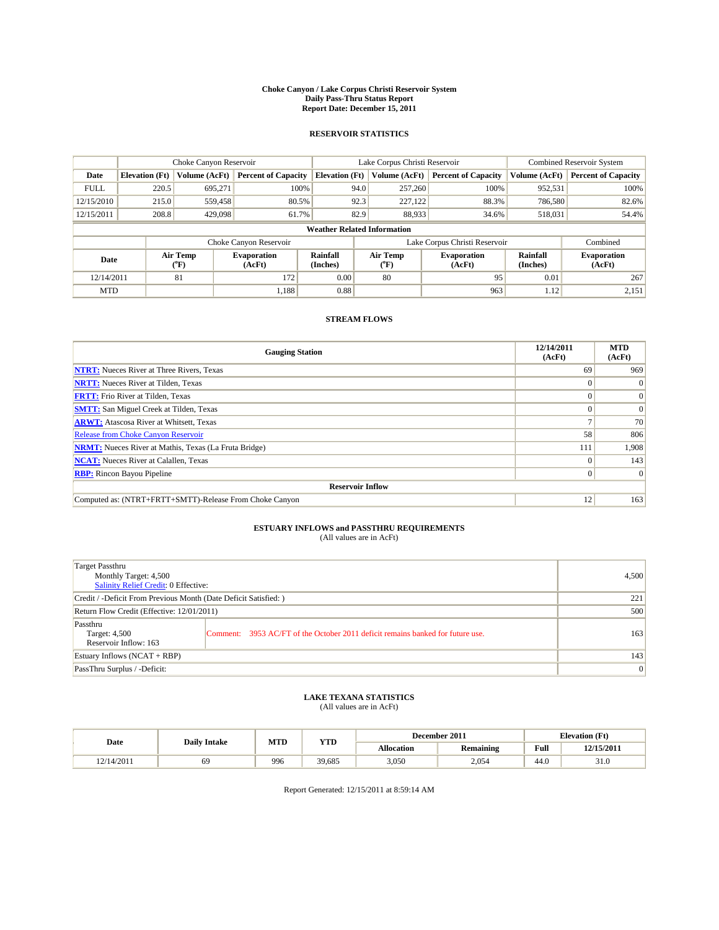#### **Choke Canyon / Lake Corpus Christi Reservoir System Daily Pass-Thru Status Report Report Date: December 15, 2011**

### **RESERVOIR STATISTICS**

|             | Choke Canyon Reservoir             |                             |                              |                             | Lake Corpus Christi Reservoir |                               |                      | Combined Reservoir System    |  |  |
|-------------|------------------------------------|-----------------------------|------------------------------|-----------------------------|-------------------------------|-------------------------------|----------------------|------------------------------|--|--|
| Date        | <b>Elevation</b> (Ft)              | Volume (AcFt)               | <b>Percent of Capacity</b>   | <b>Elevation</b> (Ft)       | Volume (AcFt)                 | <b>Percent of Capacity</b>    | Volume (AcFt)        | <b>Percent of Capacity</b>   |  |  |
| <b>FULL</b> | 220.5                              | 695,271                     | 100%                         | 94.0                        | 257,260                       | 100%                          | 952,531              | 100%                         |  |  |
| 12/15/2010  | 215.0                              | 559,458                     | 80.5%                        | 92.3                        | 227,122                       | 88.3%                         | 786,580              | 82.6%                        |  |  |
| 12/15/2011  | 208.8                              | 429,098                     | 61.7%                        | 82.9                        | 88.933                        | 34.6%                         | 518,031              | 54.4%                        |  |  |
|             | <b>Weather Related Information</b> |                             |                              |                             |                               |                               |                      |                              |  |  |
|             |                                    |                             | Choke Canyon Reservoir       |                             |                               | Lake Corpus Christi Reservoir |                      | Combined                     |  |  |
| Date        |                                    | Air Temp<br>${}^{\circ}$ F) | <b>Evaporation</b><br>(AcFt) | <b>Rainfall</b><br>(Inches) | Air Temp<br>$(^oF)$           | <b>Evaporation</b><br>(AcFt)  | Rainfall<br>(Inches) | <b>Evaporation</b><br>(AcFt) |  |  |
| 12/14/2011  |                                    | 81                          | 172                          | 0.00                        | 80                            | 95                            | 0.01                 | 267                          |  |  |
| <b>MTD</b>  |                                    |                             | 1.188                        | 0.88                        |                               | 963                           | 1.12                 | 2,151                        |  |  |

## **STREAM FLOWS**

| <b>Gauging Station</b>                                       | 12/14/2011<br>(AcFt) | <b>MTD</b><br>(AcFt) |  |  |  |  |  |
|--------------------------------------------------------------|----------------------|----------------------|--|--|--|--|--|
| <b>NTRT:</b> Nueces River at Three Rivers, Texas             | 69                   | 969                  |  |  |  |  |  |
| <b>NRTT:</b> Nueces River at Tilden, Texas                   | $\Omega$             |                      |  |  |  |  |  |
| <b>FRTT:</b> Frio River at Tilden, Texas                     |                      | $\Omega$             |  |  |  |  |  |
| <b>SMTT:</b> San Miguel Creek at Tilden, Texas               |                      | $\Omega$             |  |  |  |  |  |
| <b>ARWT:</b> Atascosa River at Whitsett, Texas               |                      | 70                   |  |  |  |  |  |
| <b>Release from Choke Canyon Reservoir</b>                   | 58                   | 806                  |  |  |  |  |  |
| <b>NRMT:</b> Nueces River at Mathis, Texas (La Fruta Bridge) | 111                  | 1,908                |  |  |  |  |  |
| <b>NCAT:</b> Nueces River at Calallen, Texas                 | $\Omega$             | 143                  |  |  |  |  |  |
| <b>RBP:</b> Rincon Bayou Pipeline                            | $\Omega$             | $\Omega$             |  |  |  |  |  |
| <b>Reservoir Inflow</b>                                      |                      |                      |  |  |  |  |  |
| Computed as: (NTRT+FRTT+SMTT)-Release From Choke Canyon      | 12                   | 163                  |  |  |  |  |  |

# **ESTUARY INFLOWS and PASSTHRU REQUIREMENTS**<br>(All values are in AcFt)

| Target Passthru<br>Monthly Target: 4,500<br>Salinity Relief Credit: 0 Effective: |                                                                                | 4,500 |
|----------------------------------------------------------------------------------|--------------------------------------------------------------------------------|-------|
| Credit / -Deficit From Previous Month (Date Deficit Satisfied: )                 | 221                                                                            |       |
| Return Flow Credit (Effective: 12/01/2011)                                       | 500                                                                            |       |
| Passthru<br>Target: 4,500<br>Reservoir Inflow: 163                               | Comment: 3953 AC/FT of the October 2011 deficit remains banked for future use. | 163   |
| Estuary Inflows (NCAT + RBP)                                                     |                                                                                | 143   |
| PassThru Surplus / -Deficit:                                                     | $\vert 0 \vert$                                                                |       |

# **LAKE TEXANA STATISTICS** (All values are in AcFt)

|            |                     | MTD | <b>YTD</b> |                   | December 2011 |      | <b>Elevation</b> (Ft) |
|------------|---------------------|-----|------------|-------------------|---------------|------|-----------------------|
| Date       | <b>Daily Intake</b> |     |            | <b>Allocation</b> | Remaining     | Full | 12/15/2011            |
| 12/14/2011 | 69                  | 996 | 39.685     | 3,050             | 2.054         | 44.0 | 31.0                  |

Report Generated: 12/15/2011 at 8:59:14 AM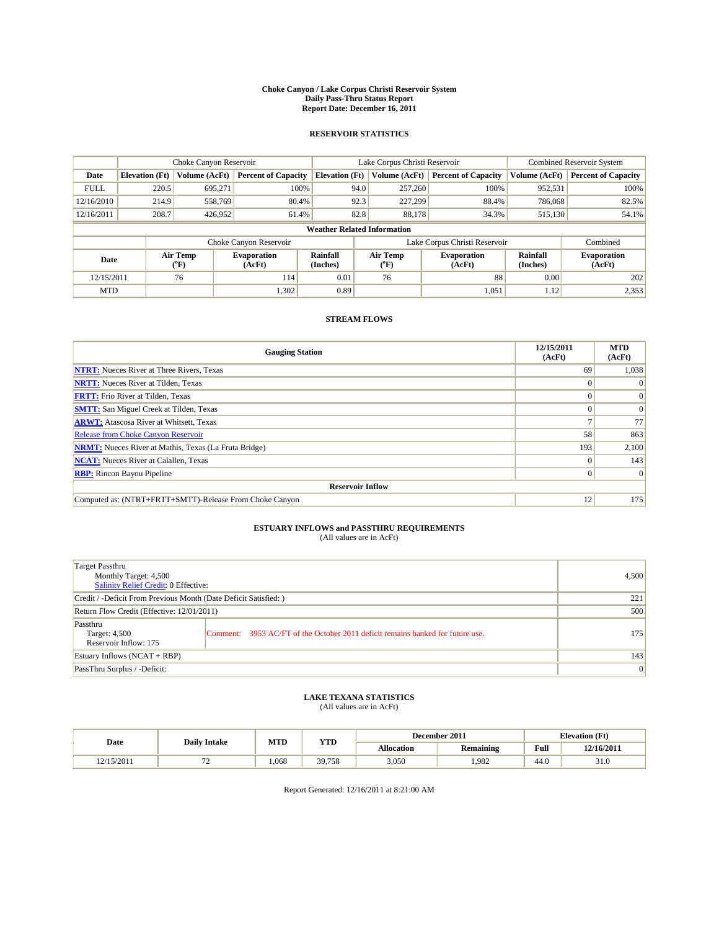#### **Choke Canyon / Lake Corpus Christi Reservoir System Daily Pass-Thru Status Report Report Date: December 16, 2011**

### **RESERVOIR STATISTICS**

|             | Choke Canyon Reservoir             |                  |                              |                       | Lake Corpus Christi Reservoir     |                               |                      | <b>Combined Reservoir System</b> |  |
|-------------|------------------------------------|------------------|------------------------------|-----------------------|-----------------------------------|-------------------------------|----------------------|----------------------------------|--|
| Date        | <b>Elevation</b> (Ft)              | Volume (AcFt)    | <b>Percent of Capacity</b>   | <b>Elevation (Ft)</b> | Volume (AcFt)                     | <b>Percent of Capacity</b>    | Volume (AcFt)        | <b>Percent of Capacity</b>       |  |
| <b>FULL</b> | 220.5                              | 695,271          | 100%                         | 94.0                  | 257,260                           | 100%                          | 952,531              | 100%                             |  |
| 12/16/2010  | 214.9                              | 558,769          | 80.4%                        | 92.3                  | 227.299                           | 88.4%                         | 786,068              | 82.5%                            |  |
| 12/16/2011  | 208.7                              | 426,952          | 61.4%                        | 82.8                  | 88,178                            | 34.3%                         | 515,130              | 54.1%                            |  |
|             | <b>Weather Related Information</b> |                  |                              |                       |                                   |                               |                      |                                  |  |
|             |                                    |                  | Choke Canyon Reservoir       |                       |                                   | Lake Corpus Christi Reservoir |                      | Combined                         |  |
| Date        |                                    | Air Temp<br>(°F) | <b>Evaporation</b><br>(AcFt) | Rainfall<br>(Inches)  | Air Temp<br>$({}^{\circ}{\rm F})$ | <b>Evaporation</b><br>(AcFt)  | Rainfall<br>(Inches) | <b>Evaporation</b><br>(AcFt)     |  |
| 12/15/2011  |                                    | 76               | 114                          | 0.01                  | 76                                | 88                            | 0.00                 | 202                              |  |
| <b>MTD</b>  |                                    |                  | 1,302                        | 0.89                  |                                   | 1,051                         | 1.12                 | 2,353                            |  |

## **STREAM FLOWS**

| <b>Gauging Station</b>                                       | 12/15/2011<br>(AcFt) | <b>MTD</b><br>(AcFt) |  |  |  |  |
|--------------------------------------------------------------|----------------------|----------------------|--|--|--|--|
| <b>NTRT:</b> Nueces River at Three Rivers, Texas             | 69                   | 1,038                |  |  |  |  |
| <b>NRTT:</b> Nueces River at Tilden, Texas                   | $\theta$             |                      |  |  |  |  |
| <b>FRTT:</b> Frio River at Tilden, Texas                     |                      | $\Omega$             |  |  |  |  |
| <b>SMTT:</b> San Miguel Creek at Tilden, Texas               |                      | $\Omega$             |  |  |  |  |
| <b>ARWT:</b> Atascosa River at Whitsett, Texas               |                      | 77                   |  |  |  |  |
| <b>Release from Choke Canyon Reservoir</b>                   | 58                   | 863                  |  |  |  |  |
| <b>NRMT:</b> Nueces River at Mathis, Texas (La Fruta Bridge) | 193                  | 2,100                |  |  |  |  |
| <b>NCAT:</b> Nueces River at Calallen, Texas                 | $\Omega$             | 143                  |  |  |  |  |
| <b>RBP:</b> Rincon Bayou Pipeline                            | $\Omega$             | $\Omega$             |  |  |  |  |
| <b>Reservoir Inflow</b>                                      |                      |                      |  |  |  |  |
| Computed as: (NTRT+FRTT+SMTT)-Release From Choke Canyon      | 12                   | 175                  |  |  |  |  |

# **ESTUARY INFLOWS and PASSTHRU REQUIREMENTS**<br>(All values are in AcFt)

| Target Passthru<br>Monthly Target: 4,500<br>Salinity Relief Credit: 0 Effective: | 4,500                                                                          |     |
|----------------------------------------------------------------------------------|--------------------------------------------------------------------------------|-----|
| Credit / -Deficit From Previous Month (Date Deficit Satisfied: )                 | 221                                                                            |     |
| Return Flow Credit (Effective: 12/01/2011)                                       | 500                                                                            |     |
| Passthru<br>Target: 4,500<br>Reservoir Inflow: 175                               | Comment: 3953 AC/FT of the October 2011 deficit remains banked for future use. | 175 |
| Estuary Inflows (NCAT + RBP)                                                     | 143                                                                            |     |
| PassThru Surplus / -Deficit:                                                     | $\vert 0 \vert$                                                                |     |

## **LAKE TEXANA STATISTICS** (All values are in AcFt)

|            |                     | MTD   | <b>YTD</b> |            | December 2011    |      | <b>Elevation</b> (Ft) |
|------------|---------------------|-------|------------|------------|------------------|------|-----------------------|
| Date       | <b>Daily Intake</b> |       |            | Allocation | <b>Remaining</b> | Full | 12/16/2011            |
| 12/15/2011 | . .                 | 1.068 | 39,758     | 3,050      | ,982             | 44.0 | 31.0                  |

Report Generated: 12/16/2011 at 8:21:00 AM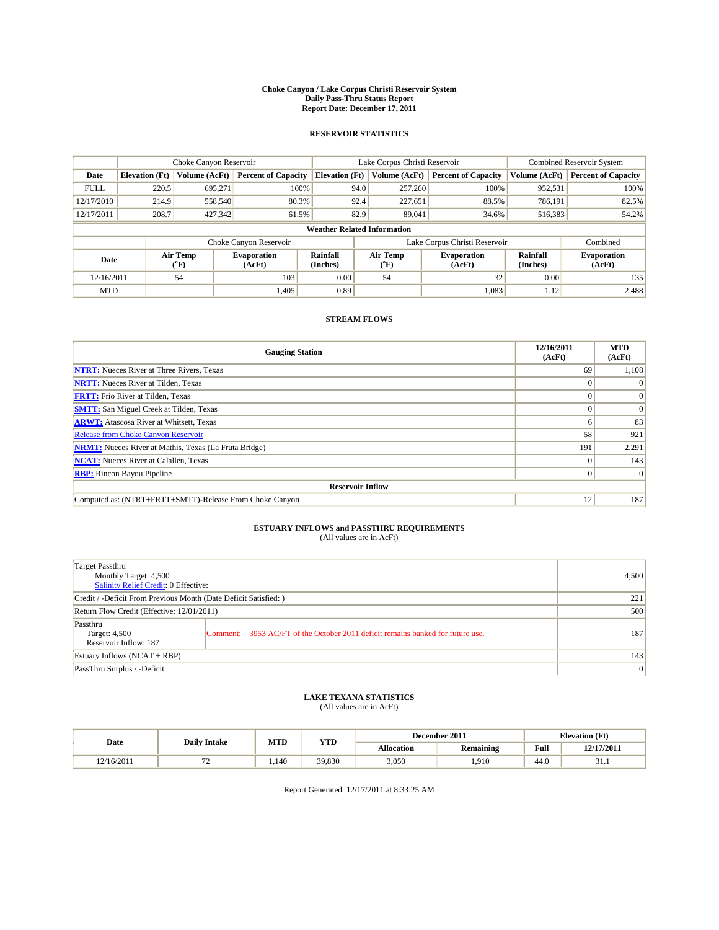#### **Choke Canyon / Lake Corpus Christi Reservoir System Daily Pass-Thru Status Report Report Date: December 17, 2011**

### **RESERVOIR STATISTICS**

|             | Choke Canyon Reservoir             |                  |                              |                       | Lake Corpus Christi Reservoir |                               |                      | <b>Combined Reservoir System</b> |  |
|-------------|------------------------------------|------------------|------------------------------|-----------------------|-------------------------------|-------------------------------|----------------------|----------------------------------|--|
| Date        | <b>Elevation</b> (Ft)              | Volume (AcFt)    | <b>Percent of Capacity</b>   | <b>Elevation (Ft)</b> | Volume (AcFt)                 | <b>Percent of Capacity</b>    | Volume (AcFt)        | <b>Percent of Capacity</b>       |  |
| <b>FULL</b> | 220.5                              | 695,271          | 100%                         |                       | 94.0<br>257,260               | 100%                          | 952,531              | 100%                             |  |
| 12/17/2010  | 214.9                              | 558,540          | 80.3%                        |                       | 92.4<br>227,651               | 88.5%                         | 786,191              | 82.5%                            |  |
| 12/17/2011  | 208.7                              | 427,342          | 61.5%                        | 82.9                  | 89,041                        | 34.6%                         | 516,383              | 54.2%                            |  |
|             | <b>Weather Related Information</b> |                  |                              |                       |                               |                               |                      |                                  |  |
|             |                                    |                  | Choke Canyon Reservoir       |                       |                               | Lake Corpus Christi Reservoir |                      | Combined                         |  |
| Date        |                                    | Air Temp<br>(°F) | <b>Evaporation</b><br>(AcFt) | Rainfall<br>(Inches)  | Air Temp<br>("F)              | <b>Evaporation</b><br>(AcFt)  | Rainfall<br>(Inches) | <b>Evaporation</b><br>(AcFt)     |  |
| 12/16/2011  |                                    | 54               | 103                          | 0.00                  | 54                            | 32                            | 0.00                 | 135                              |  |
| <b>MTD</b>  |                                    |                  | 1,405                        | 0.89                  |                               | 1.083                         | 1.12                 | 2,488                            |  |

## **STREAM FLOWS**

| <b>Gauging Station</b>                                       | 12/16/2011<br>(AcFt) | <b>MTD</b><br>(AcFt) |  |  |  |  |
|--------------------------------------------------------------|----------------------|----------------------|--|--|--|--|
| <b>NTRT:</b> Nueces River at Three Rivers, Texas             | 69                   | 1,108                |  |  |  |  |
| <b>NRTT:</b> Nueces River at Tilden, Texas                   | $\theta$             |                      |  |  |  |  |
| <b>FRTT:</b> Frio River at Tilden, Texas                     |                      | $\Omega$             |  |  |  |  |
| <b>SMTT:</b> San Miguel Creek at Tilden, Texas               |                      | $\Omega$             |  |  |  |  |
| <b>ARWT:</b> Atascosa River at Whitsett, Texas               | o                    | 83                   |  |  |  |  |
| <b>Release from Choke Canyon Reservoir</b>                   | 58                   | 921                  |  |  |  |  |
| <b>NRMT:</b> Nueces River at Mathis, Texas (La Fruta Bridge) | 191                  | 2,291                |  |  |  |  |
| <b>NCAT:</b> Nueces River at Calallen, Texas                 | $\Omega$             | 143                  |  |  |  |  |
| <b>RBP:</b> Rincon Bayou Pipeline                            | $\Omega$             | $\Omega$             |  |  |  |  |
| <b>Reservoir Inflow</b>                                      |                      |                      |  |  |  |  |
| Computed as: (NTRT+FRTT+SMTT)-Release From Choke Canyon      | 12                   | 187                  |  |  |  |  |

# **ESTUARY INFLOWS and PASSTHRU REQUIREMENTS**<br>(All values are in AcFt)

| Target Passthru<br>Monthly Target: 4,500<br>Salinity Relief Credit: 0 Effective: |                                                                                | 4,500 |
|----------------------------------------------------------------------------------|--------------------------------------------------------------------------------|-------|
| Credit / -Deficit From Previous Month (Date Deficit Satisfied: )                 | 221                                                                            |       |
| Return Flow Credit (Effective: 12/01/2011)                                       | 500                                                                            |       |
| Passthru<br>Target: 4,500<br>Reservoir Inflow: 187                               | Comment: 3953 AC/FT of the October 2011 deficit remains banked for future use. | 187   |
| Estuary Inflows (NCAT + RBP)                                                     |                                                                                | 143   |
| PassThru Surplus / -Deficit:                                                     | $\vert 0 \vert$                                                                |       |

## **LAKE TEXANA STATISTICS** (All values are in AcFt)

|            |                     |      | MTD<br>YTD |                   | December 2011 | <b>Elevation</b> (Ft) |            |
|------------|---------------------|------|------------|-------------------|---------------|-----------------------|------------|
| Date       | <b>Daily Intake</b> |      |            | <b>Allocation</b> | Remaining     | Full                  | 12/17/2011 |
| 12/16/2011 |                     | .140 | 39.830     | 3,050             | .910          | 44.0                  | J.I        |

Report Generated: 12/17/2011 at 8:33:25 AM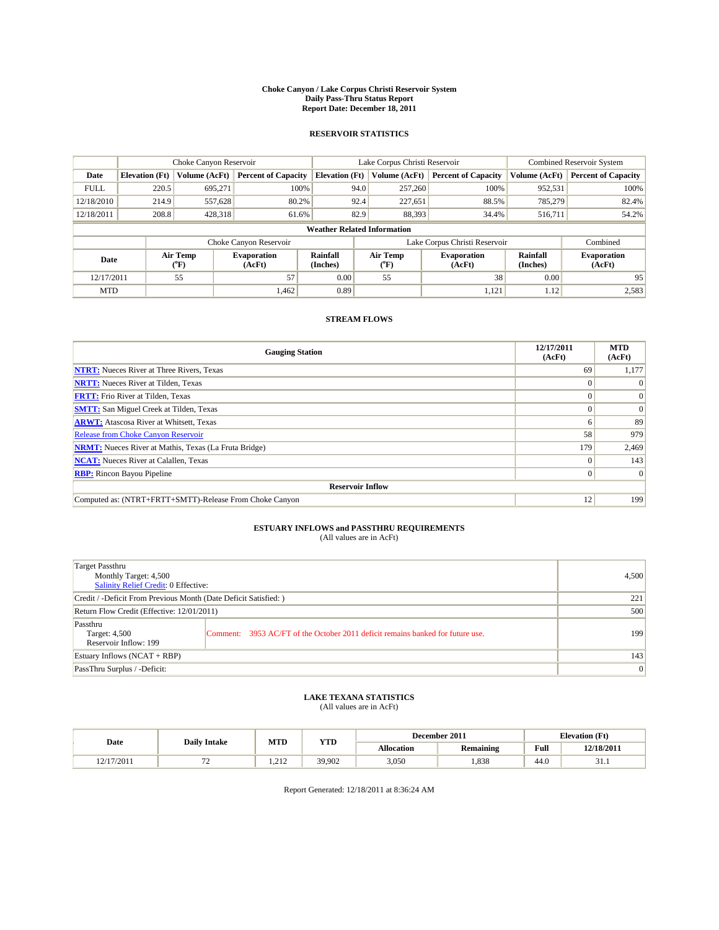#### **Choke Canyon / Lake Corpus Christi Reservoir System Daily Pass-Thru Status Report Report Date: December 18, 2011**

### **RESERVOIR STATISTICS**

|             | Choke Canyon Reservoir             |                  |                              |                       | Lake Corpus Christi Reservoir |                               |                      | <b>Combined Reservoir System</b> |  |
|-------------|------------------------------------|------------------|------------------------------|-----------------------|-------------------------------|-------------------------------|----------------------|----------------------------------|--|
| Date        | <b>Elevation</b> (Ft)              | Volume (AcFt)    | <b>Percent of Capacity</b>   | <b>Elevation</b> (Ft) | Volume (AcFt)                 | <b>Percent of Capacity</b>    | Volume (AcFt)        | <b>Percent of Capacity</b>       |  |
| <b>FULL</b> | 220.5                              | 695,271          | 100%                         | 94.0                  | 257,260                       | 100%                          | 952,531              | 100%                             |  |
| 12/18/2010  | 214.9                              | 557,628          | 80.2%                        | 92.4                  | 227,651                       | 88.5%                         | 785,279              | 82.4%                            |  |
| 12/18/2011  | 208.8                              | 428,318          | 61.6%                        | 82.9                  | 88,393                        | 34.4%                         | 516,711              | 54.2%                            |  |
|             | <b>Weather Related Information</b> |                  |                              |                       |                               |                               |                      |                                  |  |
|             |                                    |                  | Choke Canyon Reservoir       |                       |                               | Lake Corpus Christi Reservoir |                      | Combined                         |  |
| Date        |                                    | Air Temp<br>(°F) | <b>Evaporation</b><br>(AcFt) | Rainfall<br>(Inches)  | Air Temp<br>("F)              | <b>Evaporation</b><br>(AcFt)  | Rainfall<br>(Inches) | <b>Evaporation</b><br>(AcFt)     |  |
| 12/17/2011  |                                    | 55               | 57                           | 0.00                  | 55                            | 38                            | 0.00                 | 95                               |  |
| <b>MTD</b>  |                                    |                  | 1,462                        | 0.89                  |                               | 1,121                         | 1.12                 | 2,583                            |  |

## **STREAM FLOWS**

| <b>Gauging Station</b>                                       | 12/17/2011<br>(AcFt) | <b>MTD</b><br>(AcFt) |  |  |  |  |
|--------------------------------------------------------------|----------------------|----------------------|--|--|--|--|
| <b>NTRT:</b> Nueces River at Three Rivers, Texas             | 69                   | 1,177                |  |  |  |  |
| <b>NRTT:</b> Nueces River at Tilden, Texas                   |                      |                      |  |  |  |  |
| <b>FRTT:</b> Frio River at Tilden, Texas                     |                      | $\Omega$             |  |  |  |  |
| <b>SMTT:</b> San Miguel Creek at Tilden, Texas               |                      | $\Omega$             |  |  |  |  |
| <b>ARWT:</b> Atascosa River at Whitsett, Texas               | n                    | 89                   |  |  |  |  |
| Release from Choke Canyon Reservoir                          | 58                   | 979                  |  |  |  |  |
| <b>NRMT:</b> Nueces River at Mathis, Texas (La Fruta Bridge) | 179                  | 2,469                |  |  |  |  |
| <b>NCAT:</b> Nueces River at Calallen, Texas                 | 0                    | 143                  |  |  |  |  |
| <b>RBP:</b> Rincon Bayou Pipeline                            | $\Omega$             | $\Omega$             |  |  |  |  |
| <b>Reservoir Inflow</b>                                      |                      |                      |  |  |  |  |
| Computed as: (NTRT+FRTT+SMTT)-Release From Choke Canyon      | 12                   | 199                  |  |  |  |  |

## **ESTUARY INFLOWS and PASSTHRU REQUIREMENTS**<br>(All values are in AcFt)

| Target Passthru<br>Monthly Target: 4,500<br>Salinity Relief Credit: 0 Effective: |                                                                                | 4,500 |
|----------------------------------------------------------------------------------|--------------------------------------------------------------------------------|-------|
| Credit / -Deficit From Previous Month (Date Deficit Satisfied: )                 | 221                                                                            |       |
| Return Flow Credit (Effective: 12/01/2011)                                       | 500                                                                            |       |
| Passthru<br>Target: 4,500<br>Reservoir Inflow: 199                               | Comment: 3953 AC/FT of the October 2011 deficit remains banked for future use. | 199   |
| Estuary Inflows (NCAT + RBP)                                                     |                                                                                | 143   |
| PassThru Surplus / -Deficit:                                                     |                                                                                | 0     |

## **LAKE TEXANA STATISTICS** (All values are in AcFt)

|           |                     | MTD                  | <b>YTD</b> | <b>Elevation</b> (Ft)<br>December 2011 |           |      |            |
|-----------|---------------------|----------------------|------------|----------------------------------------|-----------|------|------------|
| Date      | <b>Daily Intake</b> |                      |            | Allocation                             | Remaining | Full | 12/18/2011 |
| 2/17/2011 | . .                 | 21 <sup>o</sup><br>. | 39,902     | 3,050                                  | ,838      | 44.0 | .          |

Report Generated: 12/18/2011 at 8:36:24 AM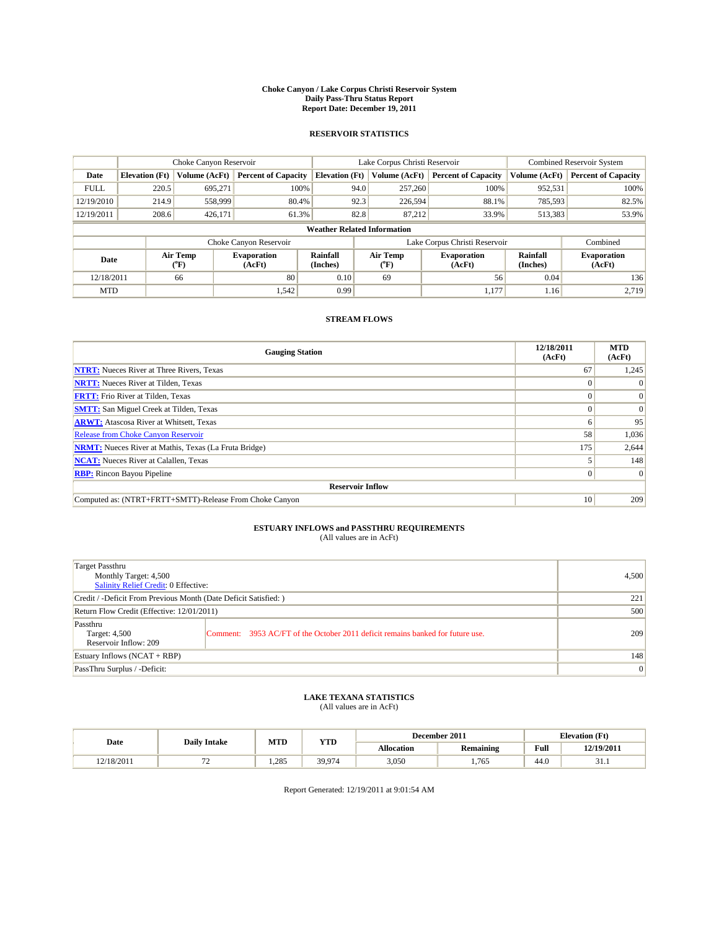#### **Choke Canyon / Lake Corpus Christi Reservoir System Daily Pass-Thru Status Report Report Date: December 19, 2011**

### **RESERVOIR STATISTICS**

|             |                                    | Choke Canyon Reservoir      |                              |                             | Lake Corpus Christi Reservoir | <b>Combined Reservoir System</b> |                      |                              |  |  |
|-------------|------------------------------------|-----------------------------|------------------------------|-----------------------------|-------------------------------|----------------------------------|----------------------|------------------------------|--|--|
| Date        | <b>Elevation</b> (Ft)              | Volume (AcFt)               | <b>Percent of Capacity</b>   | <b>Elevation</b> (Ft)       | Volume (AcFt)                 | <b>Percent of Capacity</b>       | Volume (AcFt)        | <b>Percent of Capacity</b>   |  |  |
| <b>FULL</b> | 220.5                              | 695,271                     | 100%                         | 94.0                        | 257,260                       | 100%                             | 952,531              | 100%                         |  |  |
| 12/19/2010  | 214.9                              | 558,999                     | 80.4%                        | 92.3                        | 226,594                       | 88.1%                            | 785,593              | 82.5%                        |  |  |
| 12/19/2011  | 208.6                              | 426,171                     | 61.3%                        | 82.8                        | 87.212                        | 33.9%                            | 513,383              | 53.9%                        |  |  |
|             | <b>Weather Related Information</b> |                             |                              |                             |                               |                                  |                      |                              |  |  |
|             |                                    |                             | Choke Canyon Reservoir       |                             |                               | Lake Corpus Christi Reservoir    |                      | Combined                     |  |  |
| Date        |                                    | Air Temp<br>${}^{\circ}$ F) | <b>Evaporation</b><br>(AcFt) | <b>Rainfall</b><br>(Inches) | Air Temp<br>(°F)              | <b>Evaporation</b><br>(AcFt)     | Rainfall<br>(Inches) | <b>Evaporation</b><br>(AcFt) |  |  |
| 12/18/2011  |                                    | 66                          | 80                           | 0.10                        | 69                            | 56                               | 0.04                 | 136                          |  |  |
| <b>MTD</b>  |                                    |                             | 1,542                        | 0.99                        |                               | 1,177                            | 1.16                 | 2.719                        |  |  |

## **STREAM FLOWS**

| <b>Gauging Station</b>                                       | 12/18/2011<br>(AcFt) | <b>MTD</b><br>(AcFt) |
|--------------------------------------------------------------|----------------------|----------------------|
| <b>NTRT:</b> Nueces River at Three Rivers, Texas             | 67                   | 1,245                |
| <b>NRTT:</b> Nueces River at Tilden, Texas                   |                      |                      |
| <b>FRTT:</b> Frio River at Tilden, Texas                     |                      | $\Omega$             |
| <b>SMTT:</b> San Miguel Creek at Tilden, Texas               |                      | $\Omega$             |
| <b>ARWT:</b> Atascosa River at Whitsett, Texas               | o                    | 95                   |
| <b>Release from Choke Canyon Reservoir</b>                   | 58                   | 1,036                |
| <b>NRMT:</b> Nueces River at Mathis, Texas (La Fruta Bridge) | 175                  | 2,644                |
| <b>NCAT:</b> Nueces River at Calallen, Texas                 |                      | 148                  |
| <b>RBP:</b> Rincon Bayou Pipeline                            | $\Omega$             | $\Omega$             |
| <b>Reservoir Inflow</b>                                      |                      |                      |
| Computed as: (NTRT+FRTT+SMTT)-Release From Choke Canyon      | 10                   | 209                  |

# **ESTUARY INFLOWS and PASSTHRU REQUIREMENTS**<br>(All values are in AcFt)

| Target Passthru<br>Monthly Target: 4,500<br>Salinity Relief Credit: 0 Effective: |                                                                                | 4,500 |
|----------------------------------------------------------------------------------|--------------------------------------------------------------------------------|-------|
| Credit / -Deficit From Previous Month (Date Deficit Satisfied: )                 | 221                                                                            |       |
| Return Flow Credit (Effective: 12/01/2011)                                       | 500                                                                            |       |
| Passthru<br>Target: 4,500<br>Reservoir Inflow: 209                               | Comment: 3953 AC/FT of the October 2011 deficit remains banked for future use. | 209   |
| Estuary Inflows (NCAT + RBP)                                                     |                                                                                | 148   |
| PassThru Surplus / -Deficit:                                                     | $\vert 0 \vert$                                                                |       |

# **LAKE TEXANA STATISTICS** (All values are in AcFt)

| Date      |                                | MTD  | <b>YTD</b> |            | December 2011    | <b>Elevation</b> (Ft) |            |
|-----------|--------------------------------|------|------------|------------|------------------|-----------------------|------------|
|           | <b>Daily Intake</b>            |      |            | Allocation | <b>Remaining</b> | Full                  | 12/19/2011 |
| 2/18/2011 | --<br>$\overline{\phantom{0}}$ | .285 | 39,974     | 3,050      | .765             | 44.0                  | 31.I       |

Report Generated: 12/19/2011 at 9:01:54 AM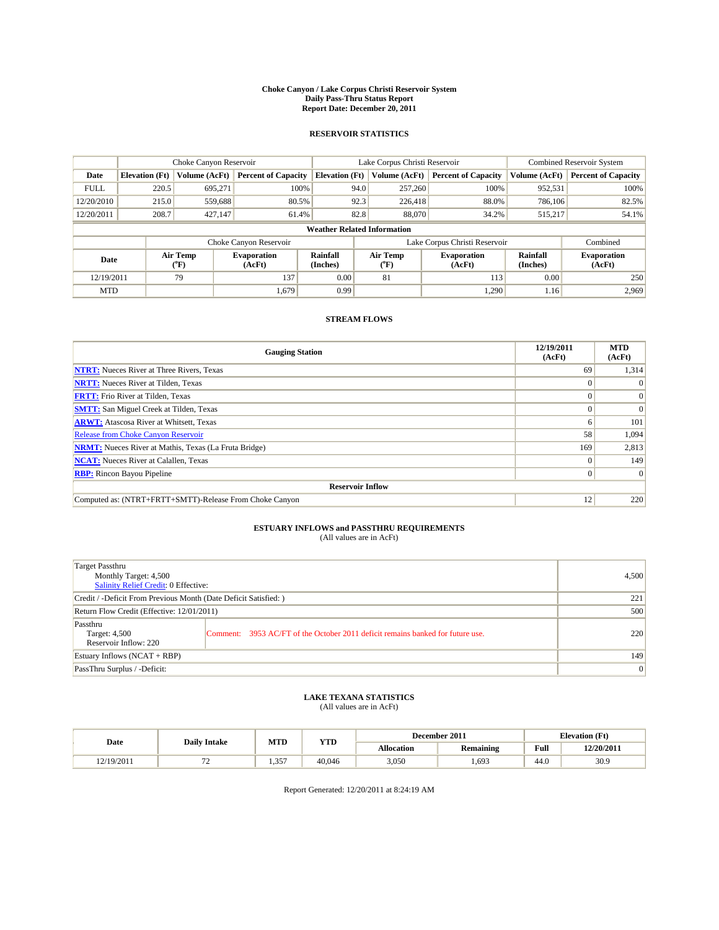#### **Choke Canyon / Lake Corpus Christi Reservoir System Daily Pass-Thru Status Report Report Date: December 20, 2011**

### **RESERVOIR STATISTICS**

|             | Choke Canyon Reservoir             |                          |                              |                       | Lake Corpus Christi Reservoir | <b>Combined Reservoir System</b> |                      |                              |  |  |
|-------------|------------------------------------|--------------------------|------------------------------|-----------------------|-------------------------------|----------------------------------|----------------------|------------------------------|--|--|
| Date        | <b>Elevation</b> (Ft)              | Volume (AcFt)            | <b>Percent of Capacity</b>   | <b>Elevation (Ft)</b> | Volume (AcFt)                 | <b>Percent of Capacity</b>       | Volume (AcFt)        | <b>Percent of Capacity</b>   |  |  |
| <b>FULL</b> | 220.5                              | 695,271                  | 100%                         | 94.0                  | 257,260                       | 100%                             | 952,531              | 100%                         |  |  |
| 12/20/2010  | 215.0                              | 559,688                  | 80.5%                        | 92.3                  | 226,418                       | 88.0%                            | 786,106              | 82.5%                        |  |  |
| 12/20/2011  | 208.7                              | 427,147                  | 61.4%                        | 82.8                  | 88,070                        | 34.2%                            | 515,217              | 54.1%                        |  |  |
|             | <b>Weather Related Information</b> |                          |                              |                       |                               |                                  |                      |                              |  |  |
|             |                                    |                          | Choke Canyon Reservoir       |                       |                               | Lake Corpus Christi Reservoir    |                      | Combined                     |  |  |
| Date        |                                    | Air Temp<br>$\rm ^{o}F)$ | <b>Evaporation</b><br>(AcFt) | Rainfall<br>(Inches)  | Air Temp<br>$\rm ^{o}F)$      | <b>Evaporation</b><br>(AcFt)     | Rainfall<br>(Inches) | <b>Evaporation</b><br>(AcFt) |  |  |
| 12/19/2011  |                                    | 79                       | 137                          | 0.00                  | 81                            | 113                              | 0.00                 | 250                          |  |  |
| <b>MTD</b>  |                                    |                          | 1,679                        | 0.99                  |                               | 1,290                            | 1.16                 | 2,969                        |  |  |

## **STREAM FLOWS**

| <b>Gauging Station</b>                                       | 12/19/2011<br>(AcFt) | <b>MTD</b><br>(AcFt) |
|--------------------------------------------------------------|----------------------|----------------------|
| <b>NTRT:</b> Nueces River at Three Rivers, Texas             | 69                   | 1,314                |
| <b>NRTT:</b> Nueces River at Tilden, Texas                   |                      | $\Omega$             |
| <b>FRTT:</b> Frio River at Tilden, Texas                     |                      | $\Omega$             |
| <b>SMTT:</b> San Miguel Creek at Tilden, Texas               |                      | $\vert 0 \vert$      |
| <b>ARWT:</b> Atascosa River at Whitsett, Texas               | o                    | 101                  |
| <b>Release from Choke Canyon Reservoir</b>                   | 58                   | 1,094                |
| <b>NRMT:</b> Nueces River at Mathis, Texas (La Fruta Bridge) | 169                  | 2,813                |
| <b>NCAT:</b> Nueces River at Calallen, Texas                 |                      | 149                  |
| <b>RBP:</b> Rincon Bayou Pipeline                            | 0                    | $\vert 0 \vert$      |
| <b>Reservoir Inflow</b>                                      |                      |                      |
| Computed as: (NTRT+FRTT+SMTT)-Release From Choke Canyon      | 12                   | 220                  |

# **ESTUARY INFLOWS and PASSTHRU REQUIREMENTS**<br>(All values are in AcFt)

| Target Passthru<br>Monthly Target: 4,500<br>Salinity Relief Credit: 0 Effective: |                                                                                | 4,500 |
|----------------------------------------------------------------------------------|--------------------------------------------------------------------------------|-------|
| Credit / -Deficit From Previous Month (Date Deficit Satisfied: )                 | 221                                                                            |       |
| Return Flow Credit (Effective: 12/01/2011)                                       | 500                                                                            |       |
| Passthru<br>Target: 4,500<br>Reservoir Inflow: 220                               | Comment: 3953 AC/FT of the October 2011 deficit remains banked for future use. | 220   |
| Estuary Inflows (NCAT + RBP)                                                     | 149                                                                            |       |
| PassThru Surplus / -Deficit:                                                     | $\vert 0 \vert$                                                                |       |

## **LAKE TEXANA STATISTICS** (All values are in AcFt)

|           | <b>Daily Intake</b> | MTD               | <b>YTD</b> |                   | December 2011    | <b>Elevation</b> (Ft) |            |
|-----------|---------------------|-------------------|------------|-------------------|------------------|-----------------------|------------|
| Date      |                     |                   |            | <b>Allocation</b> | <b>Remaining</b> | Full                  | 12/20/2011 |
| 2/19/2011 | --                  | $35^{\circ}$<br>. | 40.046     | 3,050             | .693             | $\sim$<br>44.0        | 30.9       |

Report Generated: 12/20/2011 at 8:24:19 AM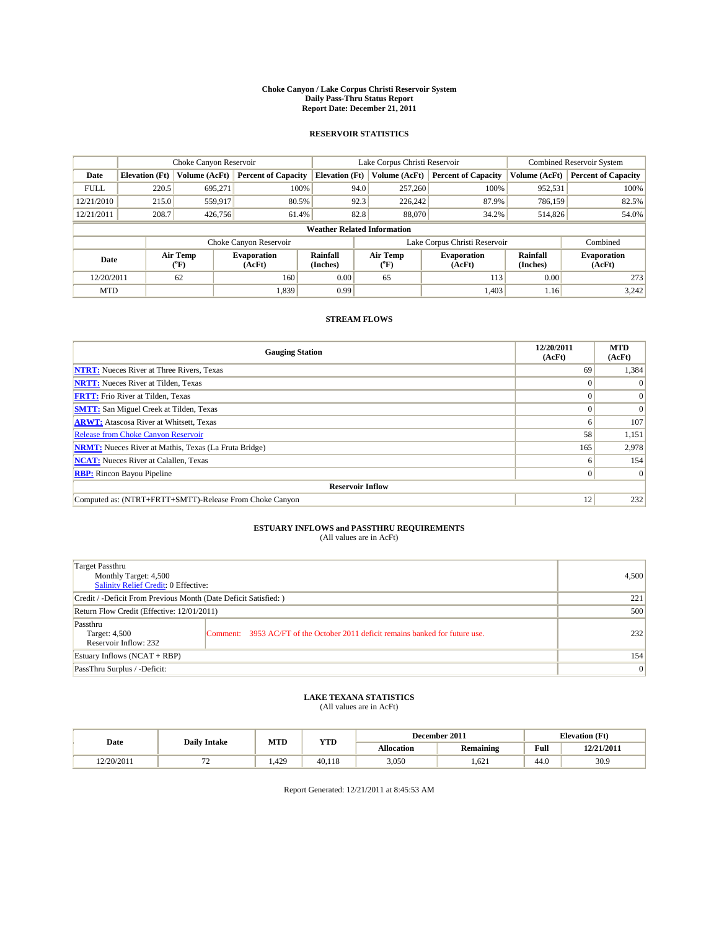#### **Choke Canyon / Lake Corpus Christi Reservoir System Daily Pass-Thru Status Report Report Date: December 21, 2011**

### **RESERVOIR STATISTICS**

|             | Choke Canyon Reservoir             |                            | Lake Corpus Christi Reservoir |                       |                                         |         | Combined Reservoir System     |                      |                              |  |
|-------------|------------------------------------|----------------------------|-------------------------------|-----------------------|-----------------------------------------|---------|-------------------------------|----------------------|------------------------------|--|
| Date        | <b>Elevation</b> (Ft)              | Volume (AcFt)              | <b>Percent of Capacity</b>    | <b>Elevation (Ft)</b> | Volume (AcFt)                           |         | <b>Percent of Capacity</b>    | Volume (AcFt)        | <b>Percent of Capacity</b>   |  |
| <b>FULL</b> | 220.5                              | 695,271                    | 100%                          |                       | 94.0                                    | 257,260 | 100%                          | 952,531              | 100%                         |  |
| 12/21/2010  | 215.0                              | 559,917                    | 80.5%                         |                       | 92.3                                    | 226,242 | 87.9%                         | 786,159              | 82.5%                        |  |
| 12/21/2011  | 208.7                              | 426,756                    | 61.4%                         |                       | 82.8                                    | 88,070  | 34.2%                         | 514,826              | 54.0%                        |  |
|             | <b>Weather Related Information</b> |                            |                               |                       |                                         |         |                               |                      |                              |  |
|             |                                    |                            | Choke Canyon Reservoir        |                       |                                         |         | Lake Corpus Christi Reservoir |                      | Combined                     |  |
| Date        |                                    | Air Temp<br>${}^{\circ}F)$ | <b>Evaporation</b><br>(AcFt)  | Rainfall<br>(Inches)  | Air Temp<br>$(^{\mathrm{o}}\mathrm{F})$ |         | <b>Evaporation</b><br>(AcFt)  | Rainfall<br>(Inches) | <b>Evaporation</b><br>(AcFt) |  |
| 12/20/2011  |                                    | 62                         | 160                           | 0.00                  | 65                                      |         | 113                           | 0.00                 | 273                          |  |
| <b>MTD</b>  |                                    |                            | 1,839                         | 0.99                  |                                         |         | 1,403                         | 1.16                 | 3,242                        |  |

## **STREAM FLOWS**

| <b>Gauging Station</b>                                       | 12/20/2011<br>(AcFt) | <b>MTD</b><br>(AcFt) |
|--------------------------------------------------------------|----------------------|----------------------|
| <b>NTRT:</b> Nueces River at Three Rivers, Texas             | 69                   | 1,384                |
| <b>NRTT:</b> Nueces River at Tilden, Texas                   | $\Omega$             |                      |
| <b>FRTT:</b> Frio River at Tilden, Texas                     |                      | $\Omega$             |
| <b>SMTT:</b> San Miguel Creek at Tilden, Texas               |                      | $\Omega$             |
| <b>ARWT:</b> Atascosa River at Whitsett, Texas               | <sub>0</sub>         | 107                  |
| <b>Release from Choke Canyon Reservoir</b>                   | 58                   | 1,151                |
| <b>NRMT:</b> Nueces River at Mathis, Texas (La Fruta Bridge) | 165                  | 2,978                |
| <b>NCAT:</b> Nueces River at Calallen, Texas                 | 6                    | 154                  |
| <b>RBP:</b> Rincon Bayou Pipeline                            | $\overline{0}$       | $\Omega$             |
| <b>Reservoir Inflow</b>                                      |                      |                      |
| Computed as: (NTRT+FRTT+SMTT)-Release From Choke Canyon      | 12                   | 232                  |

# **ESTUARY INFLOWS and PASSTHRU REQUIREMENTS**<br>(All values are in AcFt)

| Target Passthru<br>Monthly Target: 4,500<br>Salinity Relief Credit: 0 Effective: | 4,500                                                                          |     |
|----------------------------------------------------------------------------------|--------------------------------------------------------------------------------|-----|
| Credit / -Deficit From Previous Month (Date Deficit Satisfied: )                 | 221                                                                            |     |
| Return Flow Credit (Effective: 12/01/2011)                                       | 500                                                                            |     |
| Passthru<br>Target: 4,500<br>Reservoir Inflow: 232                               | Comment: 3953 AC/FT of the October 2011 deficit remains banked for future use. | 232 |
| Estuary Inflows (NCAT + RBP)                                                     |                                                                                | 154 |
| PassThru Surplus / -Deficit:                                                     | $\overline{0}$                                                                 |     |

# **LAKE TEXANA STATISTICS** (All values are in AcFt)

|            |                     | MTD  | <b>YTD</b> |                   | December 2011 |      | <b>Elevation</b> (Ft) |
|------------|---------------------|------|------------|-------------------|---------------|------|-----------------------|
| Date       | <b>Daily Intake</b> |      |            | <b>Allocation</b> | Remaining     | Full | 12/21/2011            |
| 12/20/2011 |                     | .429 | 40.118     | 3,050             | .621          | 44.0 | 30.9                  |

Report Generated: 12/21/2011 at 8:45:53 AM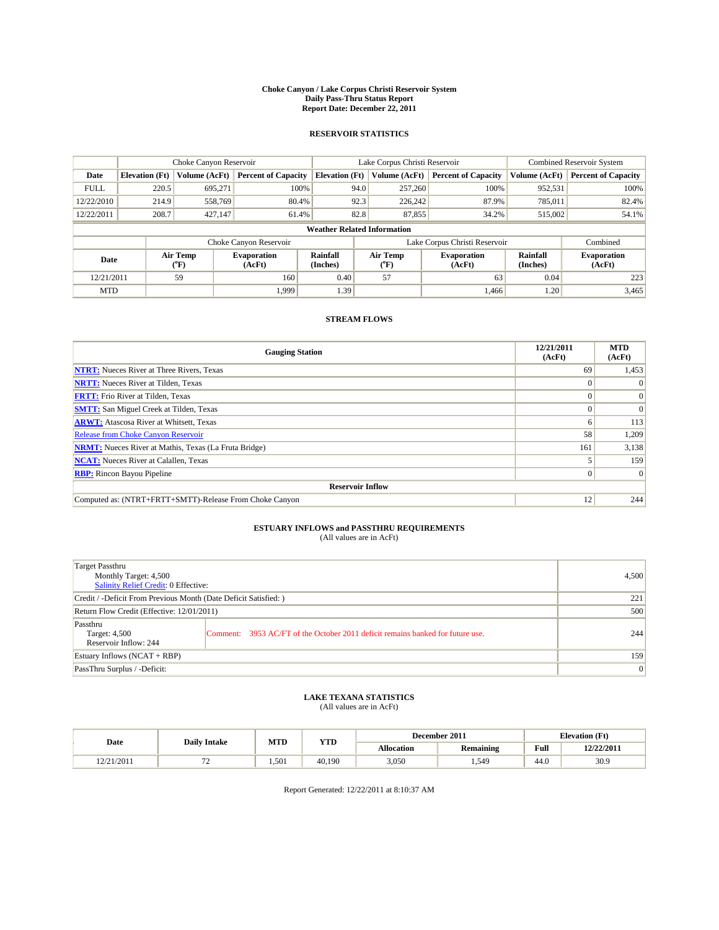#### **Choke Canyon / Lake Corpus Christi Reservoir System Daily Pass-Thru Status Report Report Date: December 22, 2011**

### **RESERVOIR STATISTICS**

|             | Choke Canyon Reservoir             |                             |                              |                             | Lake Corpus Christi Reservoir |                               |                      | <b>Combined Reservoir System</b> |  |
|-------------|------------------------------------|-----------------------------|------------------------------|-----------------------------|-------------------------------|-------------------------------|----------------------|----------------------------------|--|
| Date        | <b>Elevation</b> (Ft)              | Volume (AcFt)               | <b>Percent of Capacity</b>   | <b>Elevation</b> (Ft)       | Volume (AcFt)                 | <b>Percent of Capacity</b>    | Volume (AcFt)        | <b>Percent of Capacity</b>       |  |
| <b>FULL</b> | 220.5                              | 695,271                     | 100%                         | 94.0                        | 257,260                       | 100%                          | 952,531              | 100%                             |  |
| 12/22/2010  | 214.9                              | 558,769                     | 80.4%                        | 92.3                        | 226,242                       | 87.9%                         | 785,011              | 82.4%                            |  |
| 12/22/2011  | 208.7                              | 427,147                     | 61.4%                        | 82.8                        | 87,855                        | 34.2%                         | 515,002              | 54.1%                            |  |
|             | <b>Weather Related Information</b> |                             |                              |                             |                               |                               |                      |                                  |  |
|             |                                    |                             | Choke Canyon Reservoir       |                             |                               | Lake Corpus Christi Reservoir |                      | Combined                         |  |
| Date        |                                    | Air Temp<br>${}^{\circ}$ F) | <b>Evaporation</b><br>(AcFt) | <b>Rainfall</b><br>(Inches) | Air Temp<br>(°F)              | <b>Evaporation</b><br>(AcFt)  | Rainfall<br>(Inches) | <b>Evaporation</b><br>(AcFt)     |  |
| 12/21/2011  |                                    | 59                          | 160                          | 0.40                        | 57                            | 63                            | 0.04                 | 223                              |  |
| <b>MTD</b>  |                                    |                             | 1.999                        | 1.39                        |                               | 1,466                         | 1.20                 | 3,465                            |  |

## **STREAM FLOWS**

| <b>Gauging Station</b>                                       | 12/21/2011<br>(AcFt) | <b>MTD</b><br>(AcFt) |
|--------------------------------------------------------------|----------------------|----------------------|
| <b>NTRT:</b> Nueces River at Three Rivers, Texas             | 69                   | 1,453                |
| <b>NRTT:</b> Nueces River at Tilden, Texas                   | $\Omega$             |                      |
| <b>FRTT:</b> Frio River at Tilden, Texas                     |                      | $\Omega$             |
| <b>SMTT:</b> San Miguel Creek at Tilden, Texas               |                      | $\Omega$             |
| <b>ARWT:</b> Atascosa River at Whitsett, Texas               | 6                    | 113                  |
| <b>Release from Choke Canyon Reservoir</b>                   | 58                   | 1,209                |
| <b>NRMT:</b> Nueces River at Mathis, Texas (La Fruta Bridge) | 161                  | 3,138                |
| <b>NCAT:</b> Nueces River at Calallen, Texas                 |                      | 159                  |
| <b>RBP:</b> Rincon Bayou Pipeline                            | $\Omega$             | $\Omega$             |
| <b>Reservoir Inflow</b>                                      |                      |                      |
| Computed as: (NTRT+FRTT+SMTT)-Release From Choke Canyon      | 12                   | 244                  |

# **ESTUARY INFLOWS and PASSTHRU REQUIREMENTS**<br>(All values are in AcFt)

| Target Passthru<br>Monthly Target: 4,500<br>Salinity Relief Credit: 0 Effective: | 4,500                                                                          |     |
|----------------------------------------------------------------------------------|--------------------------------------------------------------------------------|-----|
| Credit / -Deficit From Previous Month (Date Deficit Satisfied: )                 | 221                                                                            |     |
| Return Flow Credit (Effective: 12/01/2011)                                       | 500                                                                            |     |
| Passthru<br>Target: 4,500<br>Reservoir Inflow: 244                               | Comment: 3953 AC/FT of the October 2011 deficit remains banked for future use. | 244 |
| Estuary Inflows (NCAT + RBP)                                                     | 159                                                                            |     |
| PassThru Surplus / -Deficit:                                                     | $\vert 0 \vert$                                                                |     |

## **LAKE TEXANA STATISTICS** (All values are in AcFt)

|            |                                | MTD   | <b>YTD</b> | December 2011<br><b>Elevation</b> (Ft) |                  |      |            |
|------------|--------------------------------|-------|------------|----------------------------------------|------------------|------|------------|
| Date       | <b>Daily Intake</b>            |       |            | Allocation                             | <b>Remaining</b> | Full | 12/22/2011 |
| 12/21/2011 | --<br>$\overline{\phantom{0}}$ | 1.501 | 40.190     | 3,050                                  | . .549           | 44.0 | 30.9       |

Report Generated: 12/22/2011 at 8:10:37 AM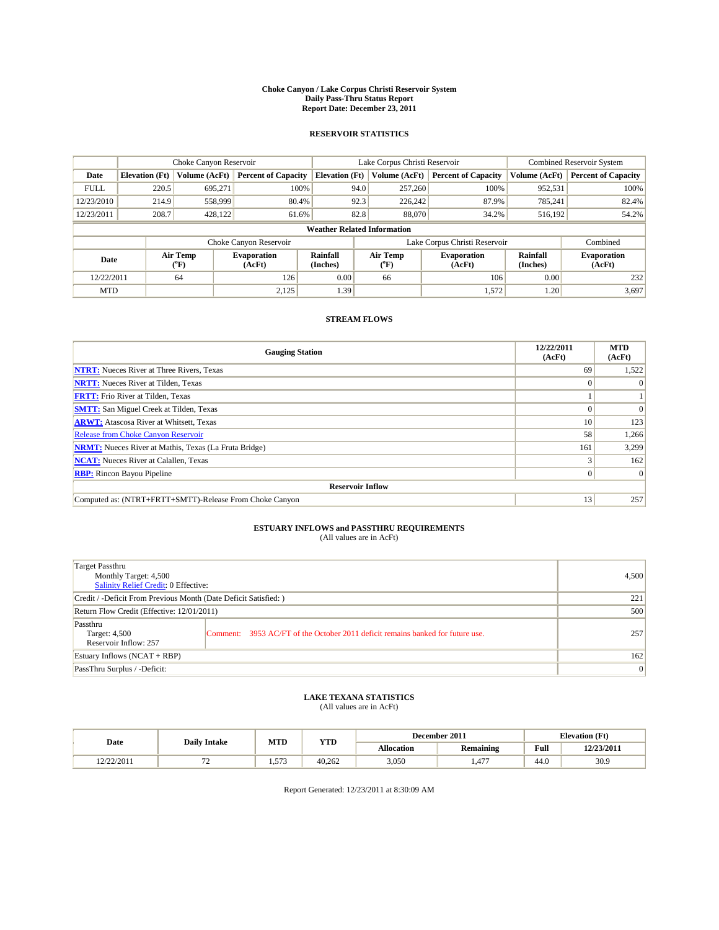#### **Choke Canyon / Lake Corpus Christi Reservoir System Daily Pass-Thru Status Report Report Date: December 23, 2011**

### **RESERVOIR STATISTICS**

|             | Choke Canyon Reservoir             |                  |                              |                             | Lake Corpus Christi Reservoir  |                               |                      | <b>Combined Reservoir System</b> |  |  |
|-------------|------------------------------------|------------------|------------------------------|-----------------------------|--------------------------------|-------------------------------|----------------------|----------------------------------|--|--|
| Date        | <b>Elevation</b> (Ft)              | Volume (AcFt)    | <b>Percent of Capacity</b>   | <b>Elevation</b> (Ft)       | Volume (AcFt)                  | <b>Percent of Capacity</b>    | Volume (AcFt)        | <b>Percent of Capacity</b>       |  |  |
| <b>FULL</b> | 220.5                              | 695,271          | 100%                         | 94.0                        | 257,260                        | 100%                          | 952,531              | 100%                             |  |  |
| 12/23/2010  | 214.9                              | 558,999          | 80.4%                        | 92.3                        | 226,242                        | 87.9%                         | 785,241              | 82.4%                            |  |  |
| 12/23/2011  | 208.7                              | 428,122          | 61.6%                        | 82.8                        | 88,070                         | 34.2%                         | 516,192              | 54.2%                            |  |  |
|             | <b>Weather Related Information</b> |                  |                              |                             |                                |                               |                      |                                  |  |  |
|             |                                    |                  | Choke Canyon Reservoir       |                             |                                | Lake Corpus Christi Reservoir |                      | Combined                         |  |  |
| Date        |                                    | Air Temp<br>(°F) | <b>Evaporation</b><br>(AcFt) | <b>Rainfall</b><br>(Inches) | Air Temp<br>$({}^o\mathrm{F})$ | <b>Evaporation</b><br>(AcFt)  | Rainfall<br>(Inches) | <b>Evaporation</b><br>(AcFt)     |  |  |
| 12/22/2011  |                                    | 64               | 126                          | 0.00                        | 66                             | 106                           | 0.00                 | 232                              |  |  |
| <b>MTD</b>  |                                    |                  | 2,125                        | 1.39                        |                                | 1,572                         | 1.20                 | 3,697                            |  |  |

## **STREAM FLOWS**

| <b>Gauging Station</b>                                       | 12/22/2011<br>(AcFt) | <b>MTD</b><br>(AcFt) |
|--------------------------------------------------------------|----------------------|----------------------|
| <b>NTRT:</b> Nueces River at Three Rivers, Texas             | 69                   | 1,522                |
| <b>NRTT:</b> Nueces River at Tilden, Texas                   | $\Omega$             |                      |
| <b>FRTT:</b> Frio River at Tilden, Texas                     |                      |                      |
| <b>SMTT:</b> San Miguel Creek at Tilden, Texas               |                      | $\Omega$             |
| <b>ARWT:</b> Atascosa River at Whitsett, Texas               | 10 <sup>1</sup>      | 123                  |
| Release from Choke Canyon Reservoir                          | 58                   | 1,266                |
| <b>NRMT:</b> Nueces River at Mathis, Texas (La Fruta Bridge) | 161                  | 3,299                |
| <b>NCAT:</b> Nueces River at Calallen, Texas                 |                      | 162                  |
| <b>RBP:</b> Rincon Bayou Pipeline                            | $\Omega$             | $\Omega$             |
| <b>Reservoir Inflow</b>                                      |                      |                      |
| Computed as: (NTRT+FRTT+SMTT)-Release From Choke Canyon      | 13                   | 257                  |

# **ESTUARY INFLOWS and PASSTHRU REQUIREMENTS**<br>(All values are in AcFt)

| Target Passthru<br>Monthly Target: 4,500<br>Salinity Relief Credit: 0 Effective: | 4,500                                                                          |     |
|----------------------------------------------------------------------------------|--------------------------------------------------------------------------------|-----|
| Credit / -Deficit From Previous Month (Date Deficit Satisfied: )                 | 221                                                                            |     |
| Return Flow Credit (Effective: 12/01/2011)                                       | 500                                                                            |     |
| Passthru<br>Target: 4,500<br>Reservoir Inflow: 257                               | Comment: 3953 AC/FT of the October 2011 deficit remains banked for future use. | 257 |
| Estuary Inflows (NCAT + RBP)                                                     | 162                                                                            |     |
| PassThru Surplus / -Deficit:                                                     | $\vert 0 \vert$                                                                |     |

## **LAKE TEXANA STATISTICS** (All values are in AcFt)

|                        |                     | MTD         | <b>YTD</b> | December 2011<br><b>Elevation</b> (Ft) |                |                                             |            |
|------------------------|---------------------|-------------|------------|----------------------------------------|----------------|---------------------------------------------|------------|
| Date                   | <b>Daily Intake</b> |             |            | Allocation                             | Remaining      | Full<br>the contract of the contract of the | 12/23/2011 |
| 2/22/2011<br>14.212011 | --<br>$\epsilon$    | 573<br>1.71 | 40.262     | 3,050                                  | $1 - 1$<br>.41 | 44.0                                        | 30.9       |

Report Generated: 12/23/2011 at 8:30:09 AM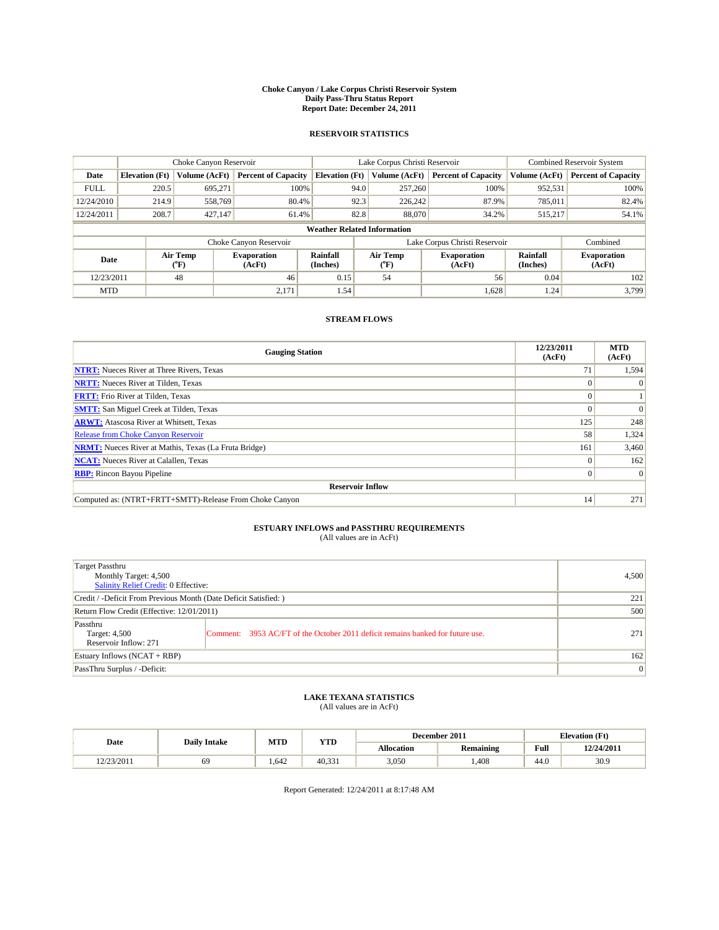#### **Choke Canyon / Lake Corpus Christi Reservoir System Daily Pass-Thru Status Report Report Date: December 24, 2011**

### **RESERVOIR STATISTICS**

|             | Choke Canyon Reservoir             |                  |                              |                       | Lake Corpus Christi Reservoir |                               |                      | <b>Combined Reservoir System</b> |  |
|-------------|------------------------------------|------------------|------------------------------|-----------------------|-------------------------------|-------------------------------|----------------------|----------------------------------|--|
| Date        | <b>Elevation</b> (Ft)              | Volume (AcFt)    | <b>Percent of Capacity</b>   | <b>Elevation</b> (Ft) | Volume (AcFt)                 | <b>Percent of Capacity</b>    | Volume (AcFt)        | <b>Percent of Capacity</b>       |  |
| <b>FULL</b> | 220.5                              | 695,271          | 100%                         | 94.0                  | 257,260                       | 100%                          | 952,531              | 100%                             |  |
| 12/24/2010  | 214.9                              | 558,769          | 80.4%                        | 92.3                  | 226.242                       | 87.9%                         | 785,011              | 82.4%                            |  |
| 12/24/2011  | 208.7                              | 427,147          | 61.4%                        | 82.8                  | 88,070                        | 34.2%                         | 515,217              | 54.1%                            |  |
|             | <b>Weather Related Information</b> |                  |                              |                       |                               |                               |                      |                                  |  |
|             |                                    |                  | Choke Canyon Reservoir       |                       |                               | Lake Corpus Christi Reservoir |                      | Combined                         |  |
| Date        |                                    | Air Temp<br>(°F) | <b>Evaporation</b><br>(AcFt) | Rainfall<br>(Inches)  | Air Temp<br>("F)              | <b>Evaporation</b><br>(AcFt)  | Rainfall<br>(Inches) | <b>Evaporation</b><br>(AcFt)     |  |
| 12/23/2011  |                                    | 48               | 46                           | 0.15                  | 54                            | 56                            | 0.04                 | 102                              |  |
| <b>MTD</b>  |                                    |                  | 2,171                        | 1.54                  |                               | 1,628                         | 1.24                 | 3.799                            |  |

## **STREAM FLOWS**

| <b>Gauging Station</b>                                       | 12/23/2011<br>(AcFt) | <b>MTD</b><br>(AcFt) |
|--------------------------------------------------------------|----------------------|----------------------|
| <b>NTRT:</b> Nueces River at Three Rivers, Texas             | 71                   | 1,594                |
| <b>NRTT:</b> Nueces River at Tilden, Texas                   |                      |                      |
| <b>FRTT:</b> Frio River at Tilden, Texas                     |                      |                      |
| <b>SMTT:</b> San Miguel Creek at Tilden, Texas               |                      | $\Omega$             |
| <b>ARWT:</b> Atascosa River at Whitsett, Texas               | 125                  | 248                  |
| <b>Release from Choke Canyon Reservoir</b>                   | 58                   | 1,324                |
| <b>NRMT:</b> Nueces River at Mathis, Texas (La Fruta Bridge) | 161                  | 3,460                |
| <b>NCAT:</b> Nueces River at Calallen, Texas                 | $\Omega$             | 162                  |
| <b>RBP:</b> Rincon Bayou Pipeline                            | $\overline{0}$       | $\Omega$             |
| <b>Reservoir Inflow</b>                                      |                      |                      |
| Computed as: (NTRT+FRTT+SMTT)-Release From Choke Canyon      | 14                   | 271                  |

# **ESTUARY INFLOWS and PASSTHRU REQUIREMENTS**<br>(All values are in AcFt)

| Target Passthru<br>Monthly Target: 4,500<br>Salinity Relief Credit: 0 Effective: | 4,500                                                                          |     |
|----------------------------------------------------------------------------------|--------------------------------------------------------------------------------|-----|
| Credit / -Deficit From Previous Month (Date Deficit Satisfied: )                 | 221                                                                            |     |
| Return Flow Credit (Effective: 12/01/2011)                                       | 500                                                                            |     |
| Passthru<br>Target: 4,500<br>Reservoir Inflow: 271                               | Comment: 3953 AC/FT of the October 2011 deficit remains banked for future use. | 271 |
| Estuary Inflows (NCAT + RBP)                                                     | 162                                                                            |     |
| PassThru Surplus / -Deficit:                                                     | $\vert 0 \vert$                                                                |     |

## **LAKE TEXANA STATISTICS** (All values are in AcFt)

|                         | <b>Daily Intake</b> | MTD  | <b>YTD</b>         |                   | December 2011    | <b>Elevation</b> (Ft) |            |
|-------------------------|---------------------|------|--------------------|-------------------|------------------|-----------------------|------------|
| Date                    |                     |      |                    | <b>Allocation</b> | <b>Remaining</b> | Full                  | 12/24/2011 |
| 2/23/2011<br>12/23/2011 | 69                  | .642 | 40,33 <sub>1</sub> | 3.050             | ,408             | 44.0                  | 30.9       |

Report Generated: 12/24/2011 at 8:17:48 AM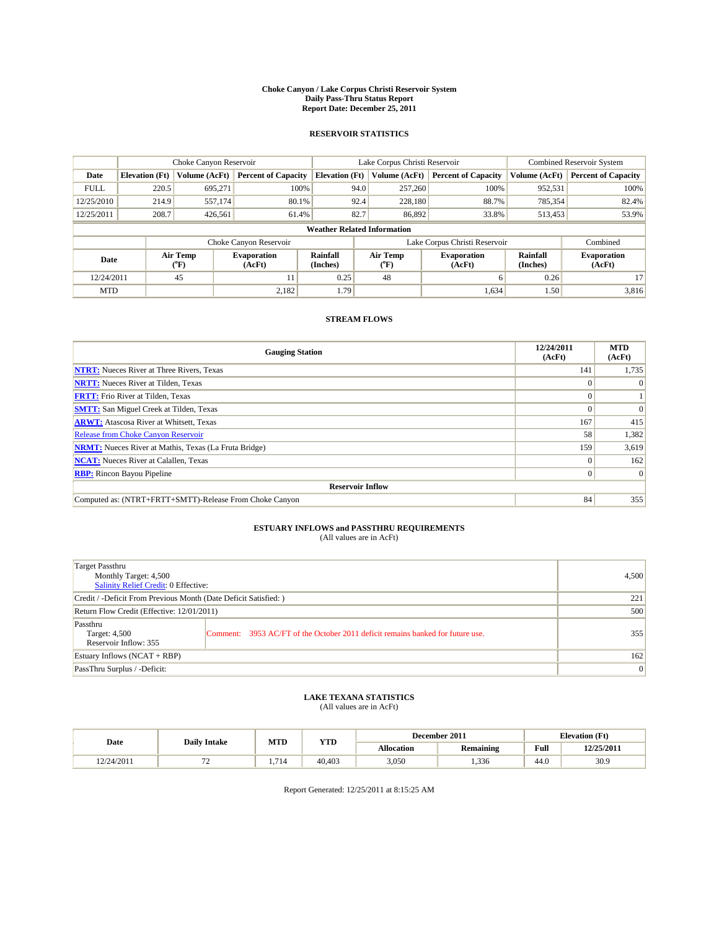#### **Choke Canyon / Lake Corpus Christi Reservoir System Daily Pass-Thru Status Report Report Date: December 25, 2011**

### **RESERVOIR STATISTICS**

|             | Choke Canyon Reservoir             |                  |                              |                       | Lake Corpus Christi Reservoir     | <b>Combined Reservoir System</b> |                      |                              |  |  |
|-------------|------------------------------------|------------------|------------------------------|-----------------------|-----------------------------------|----------------------------------|----------------------|------------------------------|--|--|
| Date        | <b>Elevation</b> (Ft)              | Volume (AcFt)    | <b>Percent of Capacity</b>   | <b>Elevation</b> (Ft) | Volume (AcFt)                     | <b>Percent of Capacity</b>       | Volume (AcFt)        | <b>Percent of Capacity</b>   |  |  |
| <b>FULL</b> | 220.5                              | 695,271          | 100%                         | 94.0                  | 257,260                           | 100%                             | 952,531              | 100%                         |  |  |
| 12/25/2010  | 214.9                              | 557,174          | 80.1%                        | 92.4                  | 228,180                           | 88.7%                            | 785,354              | 82.4%                        |  |  |
| 12/25/2011  | 208.7                              | 426,561          | 61.4%                        | 82.7                  | 86,892                            | 33.8%                            | 513,453              | 53.9%                        |  |  |
|             | <b>Weather Related Information</b> |                  |                              |                       |                                   |                                  |                      |                              |  |  |
|             |                                    |                  | Choke Canyon Reservoir       |                       |                                   | Lake Corpus Christi Reservoir    |                      | Combined                     |  |  |
| Date        |                                    | Air Temp<br>(°F) | <b>Evaporation</b><br>(AcFt) | Rainfall<br>(Inches)  | Air Temp<br>$({}^{\circ}{\rm F})$ | <b>Evaporation</b><br>(AcFt)     | Rainfall<br>(Inches) | <b>Evaporation</b><br>(AcFt) |  |  |
| 12/24/2011  |                                    | 45               | 11                           | 0.25                  | 48                                | 6                                | 0.26                 | 17                           |  |  |
| <b>MTD</b>  |                                    |                  | 2.182                        | 1.79                  |                                   | 1,634                            | 1.50                 | 3,816                        |  |  |

## **STREAM FLOWS**

| <b>Gauging Station</b>                                       | 12/24/2011<br>(AcFt) | <b>MTD</b><br>(AcFt) |
|--------------------------------------------------------------|----------------------|----------------------|
| <b>NTRT:</b> Nueces River at Three Rivers, Texas             | 141                  | 1,735                |
| <b>NRTT:</b> Nueces River at Tilden, Texas                   | $\theta$             |                      |
| <b>FRTT:</b> Frio River at Tilden, Texas                     |                      |                      |
| <b>SMTT:</b> San Miguel Creek at Tilden, Texas               |                      | $\Omega$             |
| <b>ARWT:</b> Atascosa River at Whitsett, Texas               | 167                  | 415                  |
| <b>Release from Choke Canyon Reservoir</b>                   | 58                   | 1,382                |
| <b>NRMT:</b> Nueces River at Mathis, Texas (La Fruta Bridge) | 159                  | 3,619                |
| <b>NCAT:</b> Nueces River at Calallen, Texas                 | $\Omega$             | 162                  |
| <b>RBP:</b> Rincon Bayou Pipeline                            | $\overline{0}$       | $\Omega$             |
| <b>Reservoir Inflow</b>                                      |                      |                      |
| Computed as: (NTRT+FRTT+SMTT)-Release From Choke Canyon      | 84                   | 355                  |

# **ESTUARY INFLOWS and PASSTHRU REQUIREMENTS**<br>(All values are in AcFt)

| Target Passthru<br>Monthly Target: 4,500<br>Salinity Relief Credit: 0 Effective: | 4,500                                                                          |     |
|----------------------------------------------------------------------------------|--------------------------------------------------------------------------------|-----|
| Credit / -Deficit From Previous Month (Date Deficit Satisfied: )                 | 221                                                                            |     |
| Return Flow Credit (Effective: 12/01/2011)                                       | 500                                                                            |     |
| Passthru<br>Target: 4,500<br>Reservoir Inflow: 355                               | Comment: 3953 AC/FT of the October 2011 deficit remains banked for future use. | 355 |
| Estuary Inflows (NCAT + RBP)                                                     | 162                                                                            |     |
| PassThru Surplus / -Deficit:                                                     | $\overline{0}$                                                                 |     |

## **LAKE TEXANA STATISTICS** (All values are in AcFt)

|            |                     |           | MTD<br><b>YTD</b> | December 2011 |           | <b>Elevation</b> (Ft) |            |
|------------|---------------------|-----------|-------------------|---------------|-----------|-----------------------|------------|
| Date       | <b>Daily Intake</b> |           |                   | Allocation    | Remaining | Full                  | 12/25/2011 |
| 12/24/2011 | --<br>. .           | 71<br>/14 | 40.403            | 3,050         | .336      | 44.0                  | 30.9       |

Report Generated: 12/25/2011 at 8:15:25 AM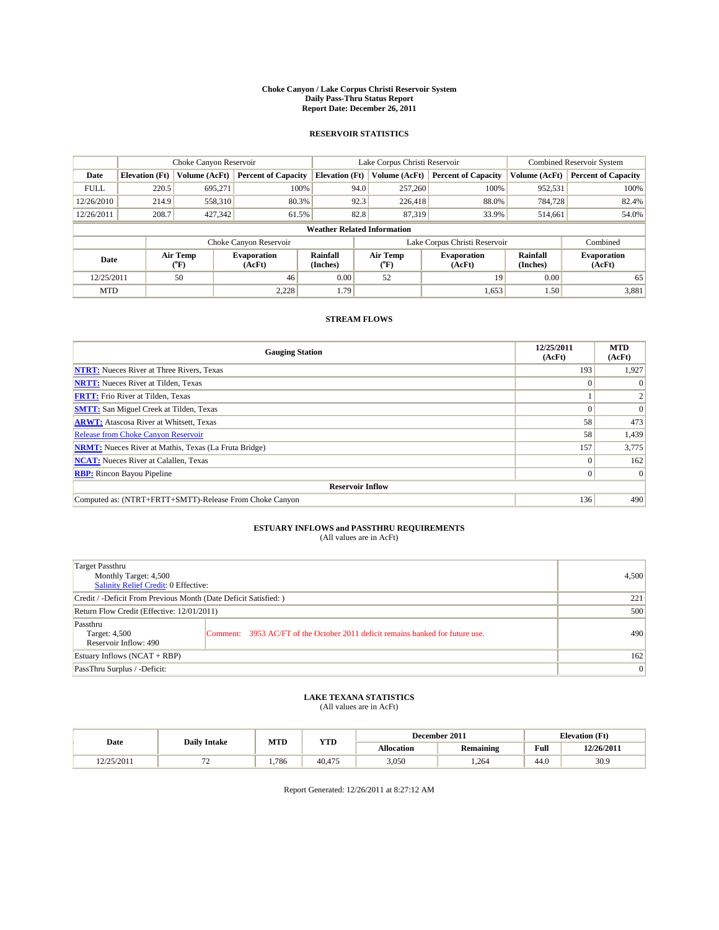#### **Choke Canyon / Lake Corpus Christi Reservoir System Daily Pass-Thru Status Report Report Date: December 26, 2011**

### **RESERVOIR STATISTICS**

|             | Choke Canyon Reservoir             |                            |                              |                             | Lake Corpus Christi Reservoir | Combined Reservoir System     |                      |                              |  |  |
|-------------|------------------------------------|----------------------------|------------------------------|-----------------------------|-------------------------------|-------------------------------|----------------------|------------------------------|--|--|
| Date        | <b>Elevation</b> (Ft)              | Volume (AcFt)              | <b>Percent of Capacity</b>   | <b>Elevation (Ft)</b>       | Volume (AcFt)                 | <b>Percent of Capacity</b>    | Volume (AcFt)        | <b>Percent of Capacity</b>   |  |  |
| <b>FULL</b> | 220.5                              | 695,271                    | 100%                         | 94.0                        | 257,260                       | 100%                          | 952,531              | 100%                         |  |  |
| 12/26/2010  | 214.9                              | 558,310                    | 80.3%                        | 92.3                        | 226,418                       | 88.0%                         | 784.728              | 82.4%                        |  |  |
| 12/26/2011  | 208.7                              | 427,342                    | 61.5%                        | 82.8                        | 87.319                        | 33.9%                         | 514,661              | 54.0%                        |  |  |
|             | <b>Weather Related Information</b> |                            |                              |                             |                               |                               |                      |                              |  |  |
|             |                                    |                            | Choke Canyon Reservoir       |                             |                               | Lake Corpus Christi Reservoir |                      | Combined                     |  |  |
| Date        |                                    | Air Temp<br>${}^{\circ}F)$ | <b>Evaporation</b><br>(AcFt) | <b>Rainfall</b><br>(Inches) | Air Temp<br>$(^oF)$           | <b>Evaporation</b><br>(AcFt)  | Rainfall<br>(Inches) | <b>Evaporation</b><br>(AcFt) |  |  |
| 12/25/2011  |                                    | 50                         | 46                           | 0.00                        | 52                            | 19                            | 0.00                 | 65                           |  |  |
| <b>MTD</b>  |                                    |                            | 2,228                        | 1.79                        |                               | 1,653                         | 1.50                 | 3,881                        |  |  |

## **STREAM FLOWS**

| <b>Gauging Station</b>                                       | 12/25/2011<br>(AcFt) | <b>MTD</b><br>(AcFt) |
|--------------------------------------------------------------|----------------------|----------------------|
| <b>NTRT:</b> Nueces River at Three Rivers, Texas             | 193                  | 1,927                |
| <b>NRTT:</b> Nueces River at Tilden, Texas                   | $\Omega$             |                      |
| <b>FRTT:</b> Frio River at Tilden, Texas                     |                      |                      |
| <b>SMTT:</b> San Miguel Creek at Tilden, Texas               |                      | $\Omega$             |
| <b>ARWT:</b> Atascosa River at Whitsett, Texas               | 58                   | 473                  |
| Release from Choke Canyon Reservoir                          | 58                   | 1,439                |
| <b>NRMT:</b> Nueces River at Mathis, Texas (La Fruta Bridge) | 157                  | 3,775                |
| <b>NCAT:</b> Nueces River at Calallen, Texas                 | $\Omega$             | 162                  |
| <b>RBP:</b> Rincon Bayou Pipeline                            | $\Omega$             | $\Omega$             |
| <b>Reservoir Inflow</b>                                      |                      |                      |
| Computed as: (NTRT+FRTT+SMTT)-Release From Choke Canyon      | 136                  | 490                  |

# **ESTUARY INFLOWS and PASSTHRU REQUIREMENTS**<br>(All values are in AcFt)

| Target Passthru<br>Monthly Target: 4,500<br>Salinity Relief Credit: 0 Effective: |                                                                                | 4,500 |
|----------------------------------------------------------------------------------|--------------------------------------------------------------------------------|-------|
| Credit / -Deficit From Previous Month (Date Deficit Satisfied: )                 | 221                                                                            |       |
| Return Flow Credit (Effective: 12/01/2011)                                       | 500                                                                            |       |
| Passthru<br>Target: 4,500<br>Reservoir Inflow: 490                               | Comment: 3953 AC/FT of the October 2011 deficit remains banked for future use. | 490   |
| Estuary Inflows (NCAT + RBP)                                                     |                                                                                | 162   |
| PassThru Surplus / -Deficit:                                                     |                                                                                | 0     |

# **LAKE TEXANA STATISTICS** (All values are in AcFt)

|            |                     | MTD   | <b>YTD</b> |            | December 2011    |                                             | <b>Elevation</b> (Ft) |
|------------|---------------------|-------|------------|------------|------------------|---------------------------------------------|-----------------------|
| Date       | <b>Daily Intake</b> |       |            | Allocation | <b>Remaining</b> | Full<br>the contract of the contract of the | 12/26/2011            |
| 12/25/2011 | . .                 | 1,786 | 40.475     | 3,050      | .264             | 44.0                                        | 30.9                  |

Report Generated: 12/26/2011 at 8:27:12 AM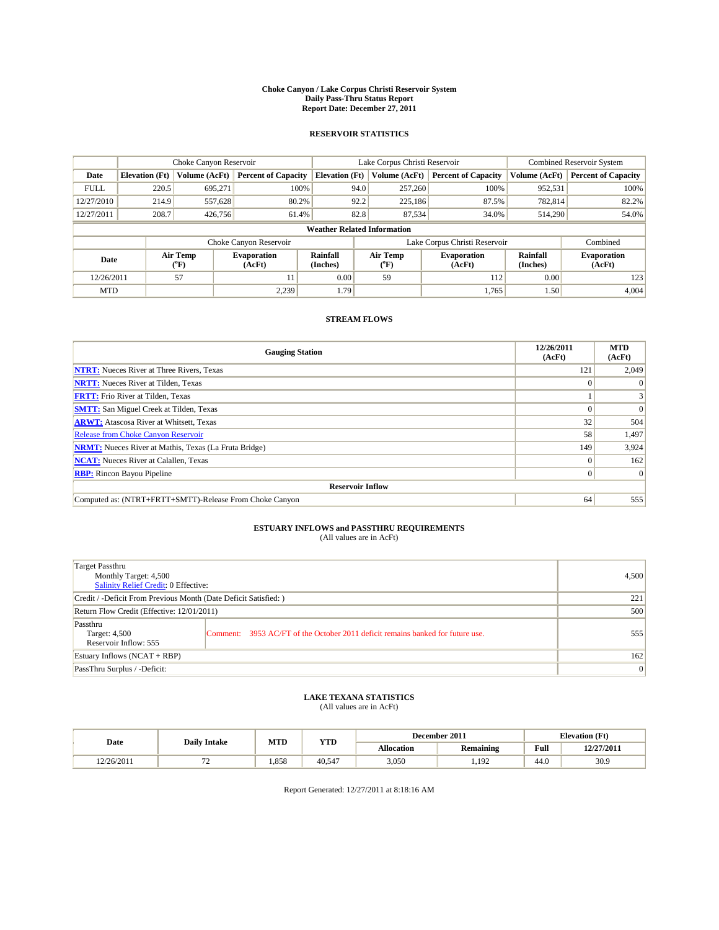#### **Choke Canyon / Lake Corpus Christi Reservoir System Daily Pass-Thru Status Report Report Date: December 27, 2011**

### **RESERVOIR STATISTICS**

|             | Choke Canyon Reservoir             |                            |                              |                       | Lake Corpus Christi Reservoir |                  |                               |                             | <b>Combined Reservoir System</b> |  |
|-------------|------------------------------------|----------------------------|------------------------------|-----------------------|-------------------------------|------------------|-------------------------------|-----------------------------|----------------------------------|--|
| Date        | <b>Elevation</b> (Ft)              | Volume (AcFt)              | <b>Percent of Capacity</b>   | <b>Elevation</b> (Ft) |                               | Volume (AcFt)    | <b>Percent of Capacity</b>    | Volume (AcFt)               | <b>Percent of Capacity</b>       |  |
| <b>FULL</b> | 220.5                              | 695.271                    | 100%                         |                       | 94.0                          | 257,260          | 100%                          | 952,531                     | 100%                             |  |
| 12/27/2010  | 214.9                              | 557.628                    | 80.2%                        |                       | 92.2                          | 225.186          | 87.5%                         | 782,814                     | 82.2%                            |  |
| 12/27/2011  | 208.7                              | 426,756                    | 61.4%                        |                       | 82.8                          | 87,534           | 34.0%                         | 514,290                     | 54.0%                            |  |
|             | <b>Weather Related Information</b> |                            |                              |                       |                               |                  |                               |                             |                                  |  |
|             |                                    |                            | Choke Canyon Reservoir       |                       |                               |                  | Lake Corpus Christi Reservoir |                             | Combined                         |  |
| Date        |                                    | Air Temp<br>${}^{\circ}F)$ | <b>Evaporation</b><br>(AcFt) | Rainfall<br>(Inches)  |                               | Air Temp<br>(°F) | <b>Evaporation</b><br>(AcFt)  | <b>Rainfall</b><br>(Inches) | <b>Evaporation</b><br>(AcFt)     |  |
| 12/26/2011  |                                    | 57                         | 11                           | 0.00                  |                               | 59               | 112                           | 0.00                        | 123                              |  |
| <b>MTD</b>  |                                    |                            | 2,239                        | 1.79                  |                               |                  | 1,765                         | 1.50                        | 4,004                            |  |

## **STREAM FLOWS**

| <b>Gauging Station</b>                                       | 12/26/2011<br>(AcFt) | <b>MTD</b><br>(AcFt) |
|--------------------------------------------------------------|----------------------|----------------------|
| <b>NTRT:</b> Nueces River at Three Rivers, Texas             | 121                  | 2,049                |
| <b>NRTT:</b> Nueces River at Tilden, Texas                   | $\theta$             |                      |
| <b>FRTT:</b> Frio River at Tilden, Texas                     |                      |                      |
| <b>SMTT:</b> San Miguel Creek at Tilden, Texas               |                      | $\Omega$             |
| <b>ARWT:</b> Atascosa River at Whitsett, Texas               | 32                   | 504                  |
| <b>Release from Choke Canyon Reservoir</b>                   | 58                   | 1,497                |
| <b>NRMT:</b> Nueces River at Mathis, Texas (La Fruta Bridge) | 149                  | 3,924                |
| <b>NCAT:</b> Nueces River at Calallen, Texas                 | $\Omega$             | 162                  |
| <b>RBP:</b> Rincon Bayou Pipeline                            | $\overline{0}$       | $\Omega$             |
| <b>Reservoir Inflow</b>                                      |                      |                      |
| Computed as: (NTRT+FRTT+SMTT)-Release From Choke Canyon      | 64                   | 555                  |

# **ESTUARY INFLOWS and PASSTHRU REQUIREMENTS**<br>(All values are in AcFt)

| Target Passthru<br>Monthly Target: 4,500<br>Salinity Relief Credit: 0 Effective: |                                                                                | 4,500 |
|----------------------------------------------------------------------------------|--------------------------------------------------------------------------------|-------|
| Credit / -Deficit From Previous Month (Date Deficit Satisfied: )                 | 221                                                                            |       |
| Return Flow Credit (Effective: 12/01/2011)                                       | 500                                                                            |       |
| Passthru<br>Target: 4,500<br>Reservoir Inflow: 555                               | Comment: 3953 AC/FT of the October 2011 deficit remains banked for future use. | 555   |
| Estuary Inflows (NCAT + RBP)                                                     |                                                                                | 162   |
| PassThru Surplus / -Deficit:                                                     | $\overline{0}$                                                                 |       |

## **LAKE TEXANA STATISTICS** (All values are in AcFt)

|            | <b>Daily Intake</b> | MTD   | <b>YTD</b> |                   | December 2011    |                | <b>Elevation</b> (Ft) |
|------------|---------------------|-------|------------|-------------------|------------------|----------------|-----------------------|
| Date       |                     |       |            | <b>Allocation</b> | <b>Remaining</b> | Full           | 12/27/2011            |
| 12/26/2011 | --                  | 1.858 | 40.547     | 3,050             | 1.192            | $\sim$<br>44.0 | 30.9                  |

Report Generated: 12/27/2011 at 8:18:16 AM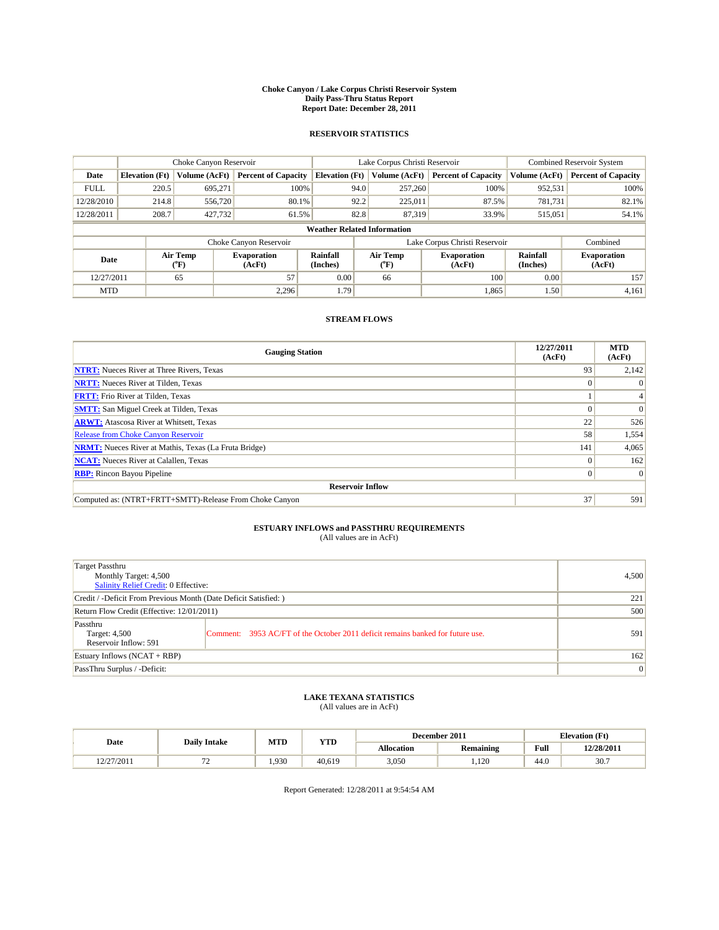#### **Choke Canyon / Lake Corpus Christi Reservoir System Daily Pass-Thru Status Report Report Date: December 28, 2011**

### **RESERVOIR STATISTICS**

|             | Choke Canyon Reservoir             |                  |                              |                       | Lake Corpus Christi Reservoir     | <b>Combined Reservoir System</b> |                      |                              |  |
|-------------|------------------------------------|------------------|------------------------------|-----------------------|-----------------------------------|----------------------------------|----------------------|------------------------------|--|
| Date        | <b>Elevation</b> (Ft)              | Volume (AcFt)    | <b>Percent of Capacity</b>   | <b>Elevation</b> (Ft) | Volume (AcFt)                     | <b>Percent of Capacity</b>       | Volume (AcFt)        | <b>Percent of Capacity</b>   |  |
| <b>FULL</b> | 220.5                              | 695,271          | 100%                         | 94.0                  | 257,260                           | 100%                             | 952,531              | 100%                         |  |
| 12/28/2010  | 214.8                              | 556,720          | 80.1%                        | 92.2                  | 225,011                           | 87.5%                            | 781,731              | 82.1%                        |  |
| 12/28/2011  | 208.7                              | 427,732          | 61.5%                        | 82.8                  | 87,319                            | 33.9%                            | 515,051              | 54.1%                        |  |
|             | <b>Weather Related Information</b> |                  |                              |                       |                                   |                                  |                      |                              |  |
|             |                                    |                  | Choke Canyon Reservoir       |                       |                                   | Lake Corpus Christi Reservoir    |                      | Combined                     |  |
| Date        |                                    | Air Temp<br>(°F) | <b>Evaporation</b><br>(AcFt) | Rainfall<br>(Inches)  | Air Temp<br>$({}^{\circ}{\rm F})$ | <b>Evaporation</b><br>(AcFt)     | Rainfall<br>(Inches) | <b>Evaporation</b><br>(AcFt) |  |
| 12/27/2011  |                                    | 65               | 57                           | 0.00                  | 66                                | 100                              | 0.00                 | 157                          |  |
| <b>MTD</b>  |                                    |                  | 2.296                        | 1.79                  |                                   | 1.865                            | 1.50                 | 4,161                        |  |

## **STREAM FLOWS**

| <b>Gauging Station</b>                                       | 12/27/2011<br>(AcFt) | <b>MTD</b><br>(AcFt) |
|--------------------------------------------------------------|----------------------|----------------------|
| <b>NTRT:</b> Nueces River at Three Rivers, Texas             | 93                   | 2,142                |
| <b>NRTT:</b> Nueces River at Tilden, Texas                   | $\Omega$             |                      |
| <b>FRTT:</b> Frio River at Tilden, Texas                     |                      |                      |
| <b>SMTT:</b> San Miguel Creek at Tilden, Texas               |                      | $\Omega$             |
| <b>ARWT:</b> Atascosa River at Whitsett, Texas               | 22                   | 526                  |
| Release from Choke Canyon Reservoir                          | 58                   | 1,554                |
| <b>NRMT:</b> Nueces River at Mathis, Texas (La Fruta Bridge) | 141                  | 4,065                |
| <b>NCAT:</b> Nueces River at Calallen, Texas                 | 0                    | 162                  |
| <b>RBP:</b> Rincon Bayou Pipeline                            | $\overline{0}$       | $\Omega$             |
| <b>Reservoir Inflow</b>                                      |                      |                      |
| Computed as: (NTRT+FRTT+SMTT)-Release From Choke Canyon      | 37                   | 591                  |

# **ESTUARY INFLOWS and PASSTHRU REQUIREMENTS**<br>(All values are in AcFt)

| <b>Target Passthru</b><br>Monthly Target: 4,500<br>Salinity Relief Credit: 0 Effective: |                                                                                | 4,500 |
|-----------------------------------------------------------------------------------------|--------------------------------------------------------------------------------|-------|
| Credit / -Deficit From Previous Month (Date Deficit Satisfied: )                        | 221                                                                            |       |
| Return Flow Credit (Effective: 12/01/2011)                                              | 500                                                                            |       |
| Passthru<br>Target: 4,500<br>Reservoir Inflow: 591                                      | Comment: 3953 AC/FT of the October 2011 deficit remains banked for future use. | 591   |
| Estuary Inflows (NCAT + RBP)                                                            |                                                                                | 162   |
| PassThru Surplus / -Deficit:                                                            |                                                                                | 0     |

# **LAKE TEXANA STATISTICS** (All values are in AcFt)

|                       | <b>Daily Intake</b> | MTD   | <b>YTD</b> |            | December 2011 |      | <b>Elevation</b> (Ft) |
|-----------------------|---------------------|-------|------------|------------|---------------|------|-----------------------|
| Date                  |                     |       |            | Allocation | Remaining     | Full | 12/28/2011            |
| 2/27/2011<br>12212011 | . .                 | 1.930 | 40.619     | 3,050      | 100<br>.120   | 44.0 | 30.7                  |

Report Generated: 12/28/2011 at 9:54:54 AM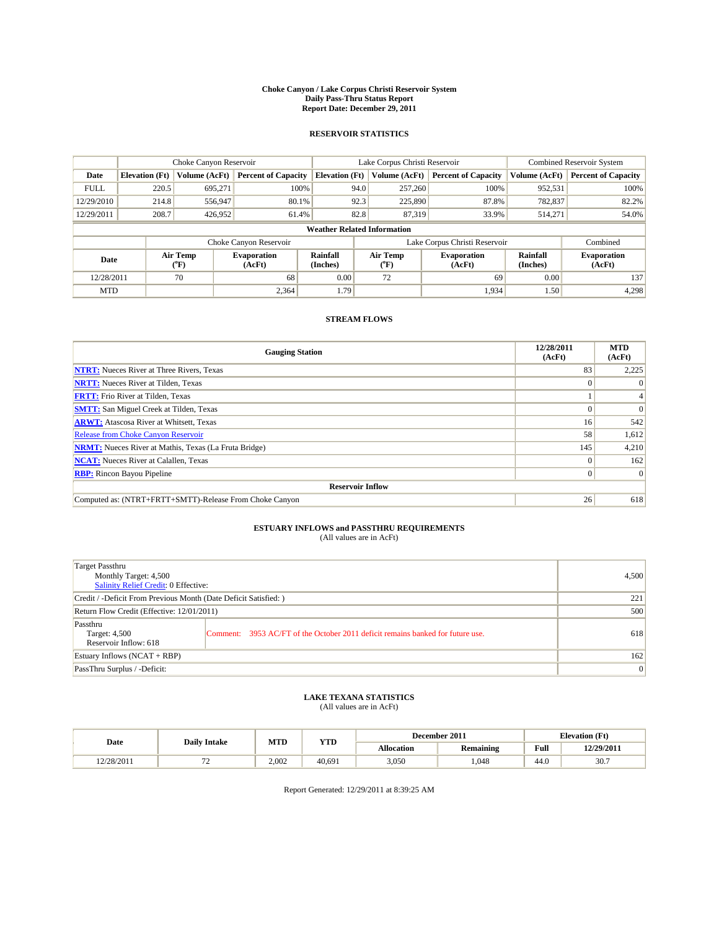#### **Choke Canyon / Lake Corpus Christi Reservoir System Daily Pass-Thru Status Report Report Date: December 29, 2011**

### **RESERVOIR STATISTICS**

|             | Choke Canyon Reservoir             |                  |                              |                       | Lake Corpus Christi Reservoir |                               |                      | <b>Combined Reservoir System</b> |  |
|-------------|------------------------------------|------------------|------------------------------|-----------------------|-------------------------------|-------------------------------|----------------------|----------------------------------|--|
| Date        | <b>Elevation</b> (Ft)              | Volume (AcFt)    | <b>Percent of Capacity</b>   | <b>Elevation</b> (Ft) | Volume (AcFt)                 | <b>Percent of Capacity</b>    | Volume (AcFt)        | <b>Percent of Capacity</b>       |  |
| <b>FULL</b> | 220.5                              | 695,271          | 100%                         | 94.0                  | 257,260                       | 100%                          | 952,531              | 100%                             |  |
| 12/29/2010  | 214.8                              | 556,947          | 80.1%                        | 92.3                  | 225,890                       | 87.8%                         | 782,837              | 82.2%                            |  |
| 12/29/2011  | 208.7                              | 426,952          | 61.4%                        | 82.8                  | 87,319                        | 33.9%                         | 514,271              | 54.0%                            |  |
|             | <b>Weather Related Information</b> |                  |                              |                       |                               |                               |                      |                                  |  |
|             |                                    |                  | Choke Canyon Reservoir       |                       |                               | Lake Corpus Christi Reservoir |                      | Combined                         |  |
| Date        |                                    | Air Temp<br>(°F) | <b>Evaporation</b><br>(AcFt) | Rainfall<br>(Inches)  | Air Temp<br>("F)              | <b>Evaporation</b><br>(AcFt)  | Rainfall<br>(Inches) | <b>Evaporation</b><br>(AcFt)     |  |
| 12/28/2011  |                                    | 70               | 68                           | 0.00                  | 72                            | 69                            | 0.00                 | 137                              |  |
| <b>MTD</b>  |                                    |                  | 2,364                        | 1.79                  |                               | 1,934                         | 1.50                 | 4,298                            |  |

## **STREAM FLOWS**

| <b>Gauging Station</b>                                       | 12/28/2011<br>(AcFt) | <b>MTD</b><br>(AcFt) |
|--------------------------------------------------------------|----------------------|----------------------|
| <b>NTRT:</b> Nueces River at Three Rivers, Texas             | 83                   | 2,225                |
| <b>NRTT:</b> Nueces River at Tilden, Texas                   | $\Omega$             |                      |
| <b>FRTT:</b> Frio River at Tilden, Texas                     |                      |                      |
| <b>SMTT:</b> San Miguel Creek at Tilden, Texas               |                      | $\Omega$             |
| <b>ARWT:</b> Atascosa River at Whitsett, Texas               | 16 <sup>1</sup>      | 542                  |
| <b>Release from Choke Canyon Reservoir</b>                   | 58                   | 1,612                |
| <b>NRMT:</b> Nueces River at Mathis, Texas (La Fruta Bridge) | 145                  | 4,210                |
| <b>NCAT:</b> Nueces River at Calallen, Texas                 | $\Omega$             | 162                  |
| <b>RBP:</b> Rincon Bayou Pipeline                            | $\overline{0}$       | $\Omega$             |
| <b>Reservoir Inflow</b>                                      |                      |                      |
| Computed as: (NTRT+FRTT+SMTT)-Release From Choke Canyon      | 26                   | 618                  |

# **ESTUARY INFLOWS and PASSTHRU REQUIREMENTS**<br>(All values are in AcFt)

| <b>Target Passthru</b><br>Monthly Target: 4,500<br>Salinity Relief Credit: 0 Effective: |                                                                                | 4,500 |
|-----------------------------------------------------------------------------------------|--------------------------------------------------------------------------------|-------|
| Credit / -Deficit From Previous Month (Date Deficit Satisfied: )                        | 221                                                                            |       |
| Return Flow Credit (Effective: 12/01/2011)                                              | 500                                                                            |       |
| Passthru<br>Target: 4,500<br>Reservoir Inflow: 618                                      | Comment: 3953 AC/FT of the October 2011 deficit remains banked for future use. | 618   |
| Estuary Inflows (NCAT + RBP)                                                            |                                                                                | 162   |
| PassThru Surplus / -Deficit:                                                            |                                                                                | 0     |

# **LAKE TEXANA STATISTICS** (All values are in AcFt)

|            |                                | MTD   | <b>YTD</b> |            | December 2011    |      | <b>Elevation</b> (Ft) |
|------------|--------------------------------|-------|------------|------------|------------------|------|-----------------------|
| Date       | <b>Daily Intake</b>            |       |            | Allocation | <b>Remaining</b> | Full | 12/29/2011            |
| 12/28/2011 | --<br>$\overline{\phantom{0}}$ | 2.002 | 40.691     | 3,050      | .048             | 44.0 | 30.7                  |

Report Generated: 12/29/2011 at 8:39:25 AM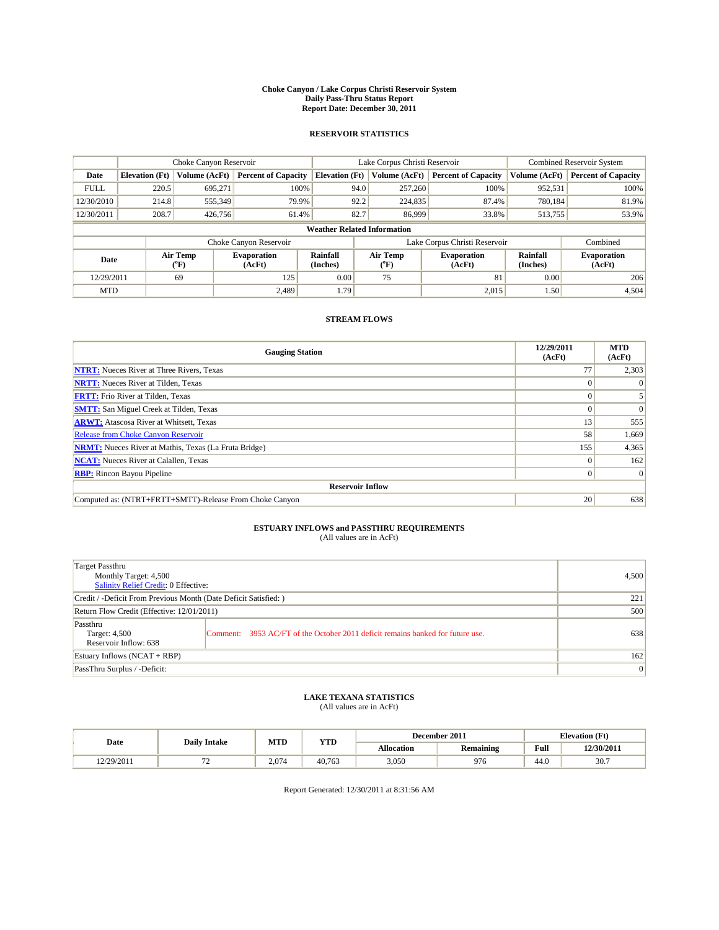#### **Choke Canyon / Lake Corpus Christi Reservoir System Daily Pass-Thru Status Report Report Date: December 30, 2011**

### **RESERVOIR STATISTICS**

|             | Choke Canyon Reservoir             |                  |                              |                       | Lake Corpus Christi Reservoir |                               |                      | <b>Combined Reservoir System</b> |  |
|-------------|------------------------------------|------------------|------------------------------|-----------------------|-------------------------------|-------------------------------|----------------------|----------------------------------|--|
| Date        | <b>Elevation</b> (Ft)              | Volume (AcFt)    | <b>Percent of Capacity</b>   | <b>Elevation</b> (Ft) | Volume (AcFt)                 | <b>Percent of Capacity</b>    | Volume (AcFt)        | <b>Percent of Capacity</b>       |  |
| <b>FULL</b> | 220.5                              | 695,271          | 100%                         | 94.0                  | 257,260                       | 100%                          | 952,531              | 100%                             |  |
| 12/30/2010  | 214.8                              | 555,349          | 79.9%                        | 92.2                  | 224,835                       | 87.4%                         | 780,184              | 81.9%                            |  |
| 12/30/2011  | 208.7                              | 426,756          | 61.4%                        | 82.7                  | 86,999                        | 33.8%                         | 513,755              | 53.9%                            |  |
|             | <b>Weather Related Information</b> |                  |                              |                       |                               |                               |                      |                                  |  |
|             |                                    |                  | Choke Canyon Reservoir       |                       |                               | Lake Corpus Christi Reservoir |                      | Combined                         |  |
| Date        |                                    | Air Temp<br>(°F) | <b>Evaporation</b><br>(AcFt) | Rainfall<br>(Inches)  | Air Temp<br>("F)              | <b>Evaporation</b><br>(AcFt)  | Rainfall<br>(Inches) | <b>Evaporation</b><br>(AcFt)     |  |
| 12/29/2011  |                                    | 69               | 125                          | 0.00                  | 75                            | 81                            | 0.00                 | 206                              |  |
| <b>MTD</b>  |                                    |                  | 2.489                        | 1.79                  |                               | 2,015                         | 1.50                 | 4,504                            |  |

## **STREAM FLOWS**

| <b>Gauging Station</b>                                       | 12/29/2011<br>(AcFt) | <b>MTD</b><br>(AcFt) |
|--------------------------------------------------------------|----------------------|----------------------|
| <b>NTRT:</b> Nueces River at Three Rivers, Texas             | 77                   | 2,303                |
| <b>NRTT:</b> Nueces River at Tilden, Texas                   |                      |                      |
| <b>FRTT:</b> Frio River at Tilden, Texas                     |                      |                      |
| <b>SMTT:</b> San Miguel Creek at Tilden, Texas               |                      | $\Omega$             |
| <b>ARWT:</b> Atascosa River at Whitsett, Texas               | 13                   | 555                  |
| <b>Release from Choke Canyon Reservoir</b>                   | 58                   | 1,669                |
| <b>NRMT:</b> Nueces River at Mathis, Texas (La Fruta Bridge) | 155                  | 4,365                |
| <b>NCAT:</b> Nueces River at Calallen, Texas                 | $\Omega$             | 162                  |
| <b>RBP:</b> Rincon Bayou Pipeline                            | $\overline{0}$       | $\Omega$             |
| <b>Reservoir Inflow</b>                                      |                      |                      |
| Computed as: (NTRT+FRTT+SMTT)-Release From Choke Canyon      | 20                   | 638                  |

# **ESTUARY INFLOWS and PASSTHRU REQUIREMENTS**<br>(All values are in AcFt)

| <b>Target Passthru</b><br>Monthly Target: 4,500<br>Salinity Relief Credit: 0 Effective: |                                                                                | 4,500 |
|-----------------------------------------------------------------------------------------|--------------------------------------------------------------------------------|-------|
| Credit / -Deficit From Previous Month (Date Deficit Satisfied: )                        | 221                                                                            |       |
| Return Flow Credit (Effective: 12/01/2011)                                              | 500                                                                            |       |
| Passthru<br>Target: 4,500<br>Reservoir Inflow: 638                                      | Comment: 3953 AC/FT of the October 2011 deficit remains banked for future use. | 638   |
| Estuary Inflows $(NCAT + RBP)$                                                          |                                                                                | 162   |
| PassThru Surplus / -Deficit:                                                            |                                                                                | 0     |

# **LAKE TEXANA STATISTICS** (All values are in AcFt)

|            | <b>Daily Intake</b> | MTD   | YTD    |            | December 2011 |      | <b>Elevation</b> (Ft) |
|------------|---------------------|-------|--------|------------|---------------|------|-----------------------|
| Date       |                     |       |        | Allocation | Remaining     | Full | 12/30/2011            |
| 12/29/2011 | . .                 | 2.074 | 40.763 | 3,050      | 976           | 44.0 | 30.7                  |

Report Generated: 12/30/2011 at 8:31:56 AM